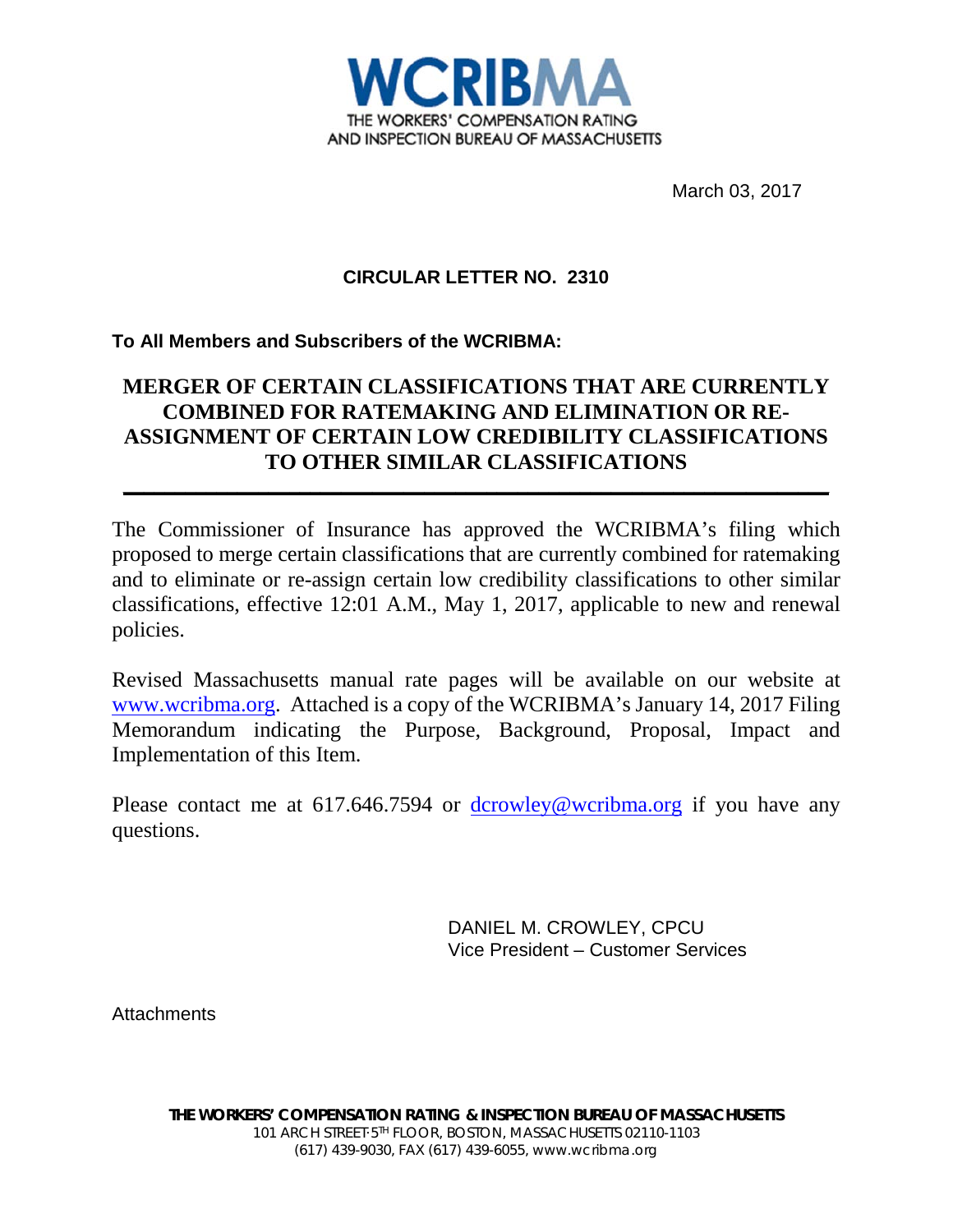

March 03, 2017

# **CIRCULAR LETTER NO. 2310**

# **To All Members and Subscribers of the WCRIBMA:**

# **MERGER OF CERTAIN CLASSIFICATIONS THAT ARE CURRENTLY COMBINED FOR RATEMAKING AND ELIMINATION OR RE-ASSIGNMENT OF CERTAIN LOW CREDIBILITY CLASSIFICATIONS TO OTHER SIMILAR CLASSIFICATIONS**

**\_\_\_\_\_\_\_\_\_\_\_\_\_\_\_\_\_\_\_\_\_\_\_\_\_\_\_\_\_\_\_\_\_\_\_\_\_\_\_\_\_\_\_\_\_\_\_\_\_\_\_\_\_\_\_\_\_\_\_\_\_\_\_\_\_\_\_\_**

The Commissioner of Insurance has approved the WCRIBMA's filing which proposed to merge certain classifications that are currently combined for ratemaking and to eliminate or re-assign certain low credibility classifications to other similar classifications, effective 12:01 A.M., May 1, 2017, applicable to new and renewal policies.

Revised Massachusetts manual rate pages will be available on our website at [www.wcribma.org.](http://www.wcribma.org/) Attached is a copy of the WCRIBMA's January 14, 2017 Filing Memorandum indicating the Purpose, Background, Proposal, Impact and Implementation of this Item.

Please contact me at 617.646.7594 or  $d$ crowley@wcribma.org if you have any questions.

> DANIEL M. CROWLEY, CPCU Vice President – Customer Services

**Attachments**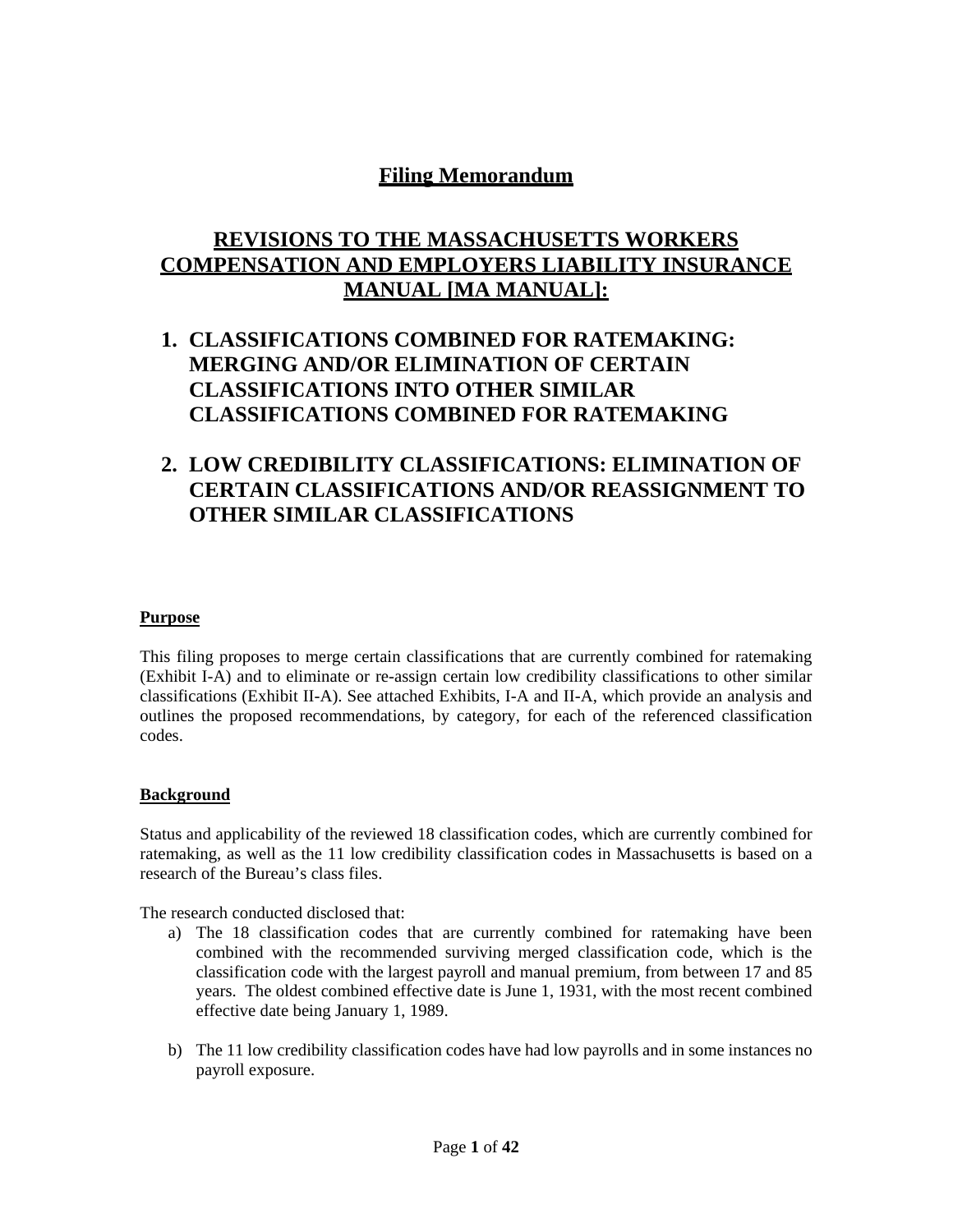# **Filing Memorandum**

# **REVISIONS TO THE MASSACHUSETTS WORKERS COMPENSATION AND EMPLOYERS LIABILITY INSURANCE MANUAL [MA MANUAL]:**

# **1. CLASSIFICATIONS COMBINED FOR RATEMAKING: MERGING AND/OR ELIMINATION OF CERTAIN CLASSIFICATIONS INTO OTHER SIMILAR CLASSIFICATIONS COMBINED FOR RATEMAKING**

# **2. LOW CREDIBILITY CLASSIFICATIONS: ELIMINATION OF CERTAIN CLASSIFICATIONS AND/OR REASSIGNMENT TO OTHER SIMILAR CLASSIFICATIONS**

#### **Purpose**

This filing proposes to merge certain classifications that are currently combined for ratemaking (Exhibit I-A) and to eliminate or re-assign certain low credibility classifications to other similar classifications (Exhibit II-A). See attached Exhibits, I-A and II-A, which provide an analysis and outlines the proposed recommendations, by category, for each of the referenced classification codes.

#### **Background**

Status and applicability of the reviewed 18 classification codes, which are currently combined for ratemaking, as well as the 11 low credibility classification codes in Massachusetts is based on a research of the Bureau's class files.

The research conducted disclosed that:

- a) The 18 classification codes that are currently combined for ratemaking have been combined with the recommended surviving merged classification code, which is the classification code with the largest payroll and manual premium, from between 17 and 85 years. The oldest combined effective date is June 1, 1931, with the most recent combined effective date being January 1, 1989.
- b) The 11 low credibility classification codes have had low payrolls and in some instances no payroll exposure.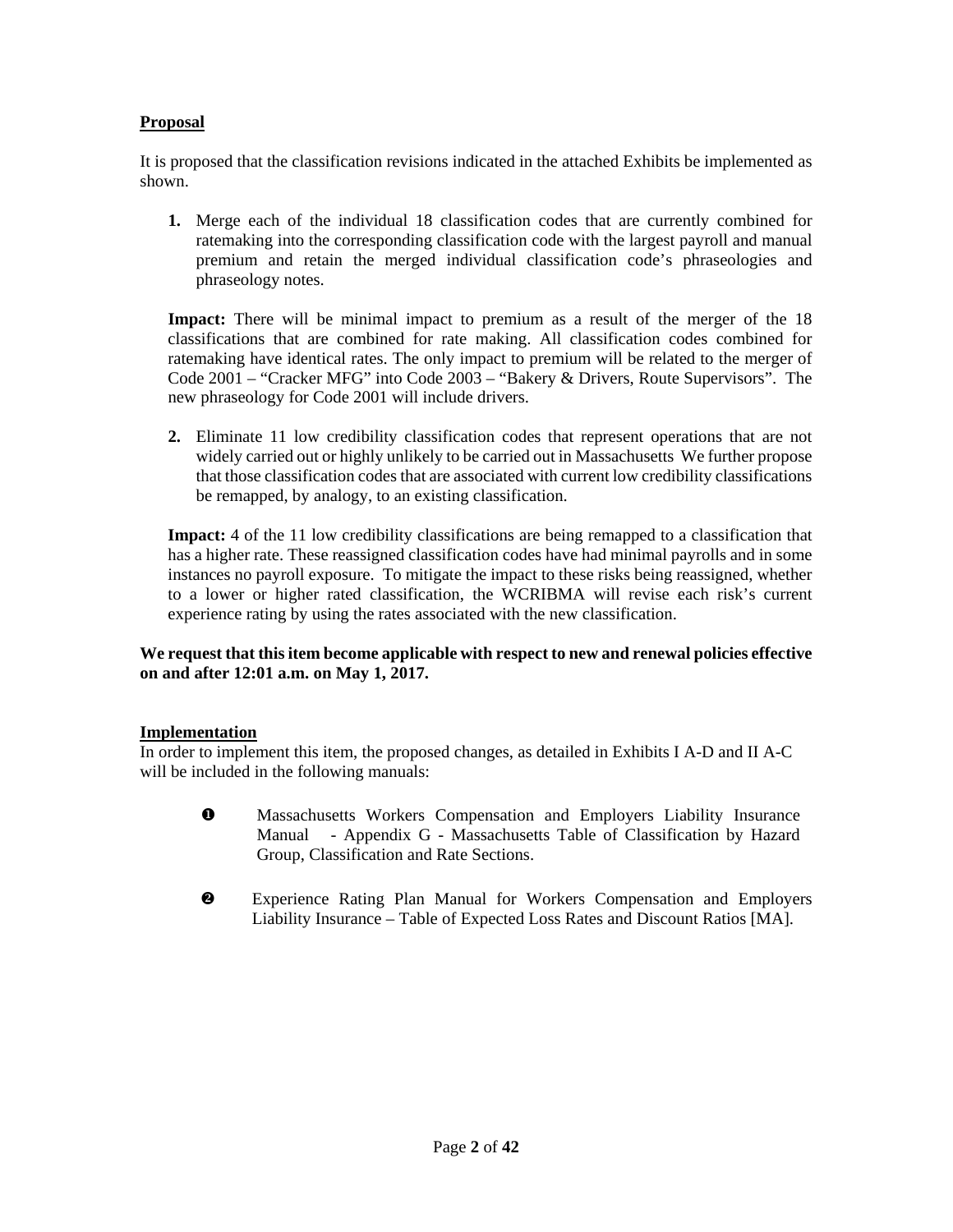#### **Proposal**

It is proposed that the classification revisions indicated in the attached Exhibits be implemented as shown.

**1.** Merge each of the individual 18 classification codes that are currently combined for ratemaking into the corresponding classification code with the largest payroll and manual premium and retain the merged individual classification code's phraseologies and phraseology notes.

**Impact:** There will be minimal impact to premium as a result of the merger of the 18 classifications that are combined for rate making. All classification codes combined for ratemaking have identical rates. The only impact to premium will be related to the merger of Code 2001 – "Cracker MFG" into Code 2003 – "Bakery & Drivers, Route Supervisors". The new phraseology for Code 2001 will include drivers.

**2.** Eliminate 11 low credibility classification codes that represent operations that are not widely carried out or highly unlikely to be carried out in Massachusetts We further propose that those classification codes that are associated with current low credibility classifications be remapped, by analogy, to an existing classification.

**Impact:** 4 of the 11 low credibility classifications are being remapped to a classification that has a higher rate. These reassigned classification codes have had minimal payrolls and in some instances no payroll exposure. To mitigate the impact to these risks being reassigned, whether to a lower or higher rated classification, the WCRIBMA will revise each risk's current experience rating by using the rates associated with the new classification.

#### **We request that this item become applicable with respect to new and renewal policies effective on and after 12:01 a.m. on May 1, 2017.**

#### **Implementation**

In order to implement this item, the proposed changes, as detailed in Exhibits I A-D and II A-C will be included in the following manuals:

- $\bullet$  Massachusetts Workers Compensation and Employers Liability Insurance Manual - Appendix G - Massachusetts Table of Classification by Hazard Group, Classification and Rate Sections.
- Experience Rating Plan Manual for Workers Compensation and Employers Liability Insurance – Table of Expected Loss Rates and Discount Ratios [MA].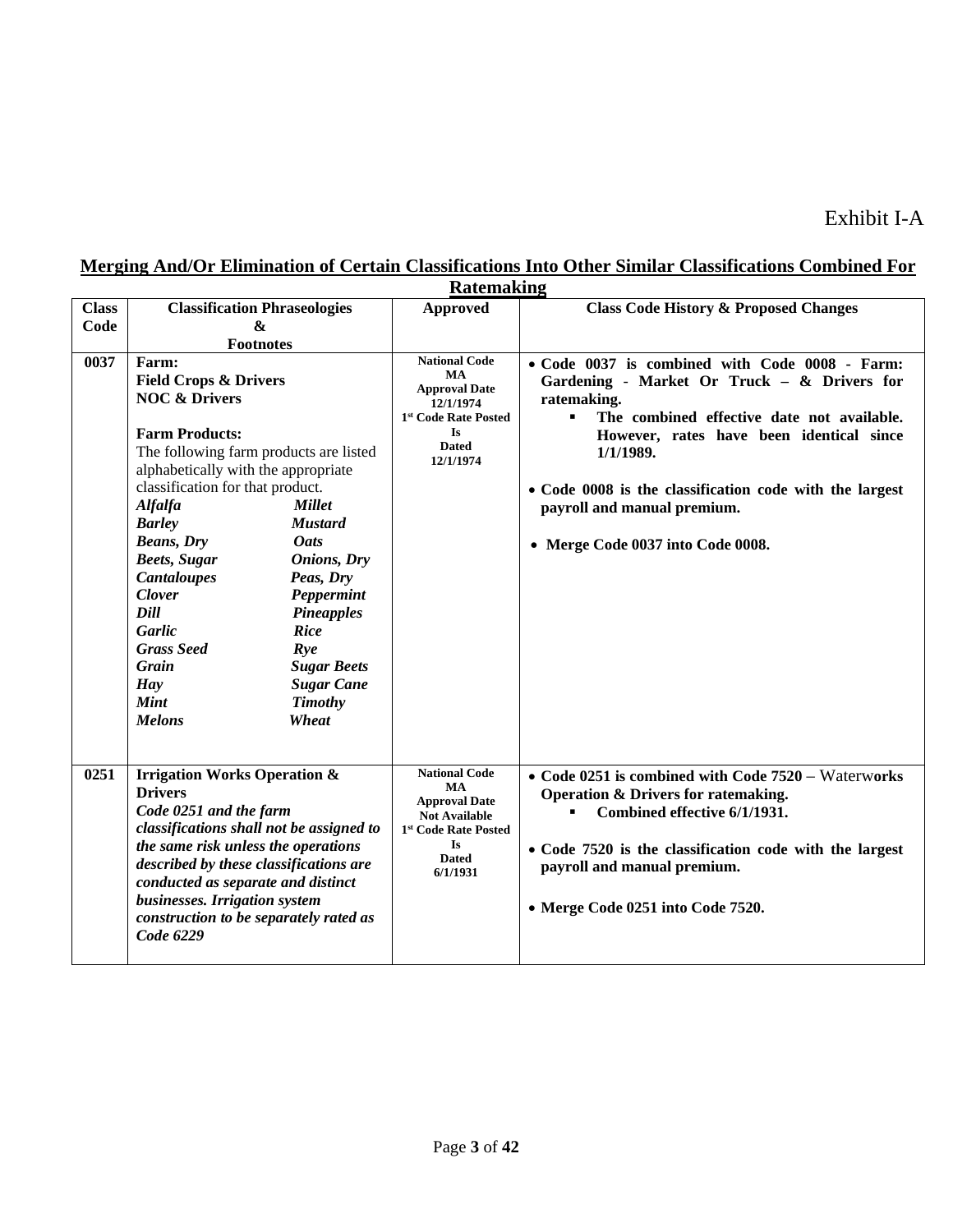|              | <b>Ratemaking</b>                                                                                                                                                                                                                                                                                                                              |                                                                                                                                                                                                                   |                                                                                                                                             |                                                                                                                                                                                                                                                              |
|--------------|------------------------------------------------------------------------------------------------------------------------------------------------------------------------------------------------------------------------------------------------------------------------------------------------------------------------------------------------|-------------------------------------------------------------------------------------------------------------------------------------------------------------------------------------------------------------------|---------------------------------------------------------------------------------------------------------------------------------------------|--------------------------------------------------------------------------------------------------------------------------------------------------------------------------------------------------------------------------------------------------------------|
| <b>Class</b> | <b>Classification Phraseologies</b>                                                                                                                                                                                                                                                                                                            |                                                                                                                                                                                                                   | <b>Approved</b>                                                                                                                             | <b>Class Code History &amp; Proposed Changes</b>                                                                                                                                                                                                             |
| Code         | <b>&amp;</b>                                                                                                                                                                                                                                                                                                                                   |                                                                                                                                                                                                                   |                                                                                                                                             |                                                                                                                                                                                                                                                              |
|              | <b>Footnotes</b>                                                                                                                                                                                                                                                                                                                               |                                                                                                                                                                                                                   |                                                                                                                                             |                                                                                                                                                                                                                                                              |
| 0037         | Farm:<br><b>Field Crops &amp; Drivers</b><br><b>NOC &amp; Drivers</b><br><b>Farm Products:</b>                                                                                                                                                                                                                                                 |                                                                                                                                                                                                                   | <b>National Code</b><br><b>MA</b><br><b>Approval Date</b><br>12/1/1974<br>1st Code Rate Posted                                              | • Code 0037 is combined with Code 0008 - Farm:<br>Gardening - Market Or Truck - & Drivers for<br>ratemaking.<br>The combined effective date not available.<br>$\blacksquare$                                                                                 |
|              | The following farm products are listed<br>alphabetically with the appropriate<br>classification for that product.<br><b>Alfalfa</b><br><b>Barley</b><br><b>Beans</b> , Dry<br><b>Beets, Sugar</b><br><b>Cantaloupes</b><br><b>Clover</b><br>Dill<br>Garlic<br><b>Grass Seed</b><br>Grain<br><b>Hay</b><br><b>Mint</b><br><b>Melons</b>         | <b>Millet</b><br><b>Mustard</b><br><b>Oats</b><br><b>Onions</b> , Dry<br>Peas, Dry<br>Peppermint<br><b>Pineapples</b><br><b>Rice</b><br>Rye<br><b>Sugar Beets</b><br><b>Sugar Cane</b><br><b>Timothy</b><br>Wheat | <b>Is</b><br><b>Dated</b><br>12/1/1974                                                                                                      | However, rates have been identical since<br>1/1/1989.<br>• Code 0008 is the classification code with the largest<br>payroll and manual premium.<br>• Merge Code 0037 into Code 0008.                                                                         |
| 0251         | <b>Irrigation Works Operation &amp;</b><br><b>Drivers</b><br>Code 0251 and the farm<br>classifications shall not be assigned to<br>the same risk unless the operations<br>described by these classifications are<br>conducted as separate and distinct<br>businesses. Irrigation system<br>construction to be separately rated as<br>Code 6229 |                                                                                                                                                                                                                   | <b>National Code</b><br>MA<br><b>Approval Date</b><br><b>Not Available</b><br>1st Code Rate Posted<br><b>Is</b><br><b>Dated</b><br>6/1/1931 | • Code 0251 is combined with Code $7520 - W$ aterworks<br>Operation & Drivers for ratemaking.<br>Combined effective 6/1/1931.<br>• Code 7520 is the classification code with the largest<br>payroll and manual premium.<br>• Merge Code 0251 into Code 7520. |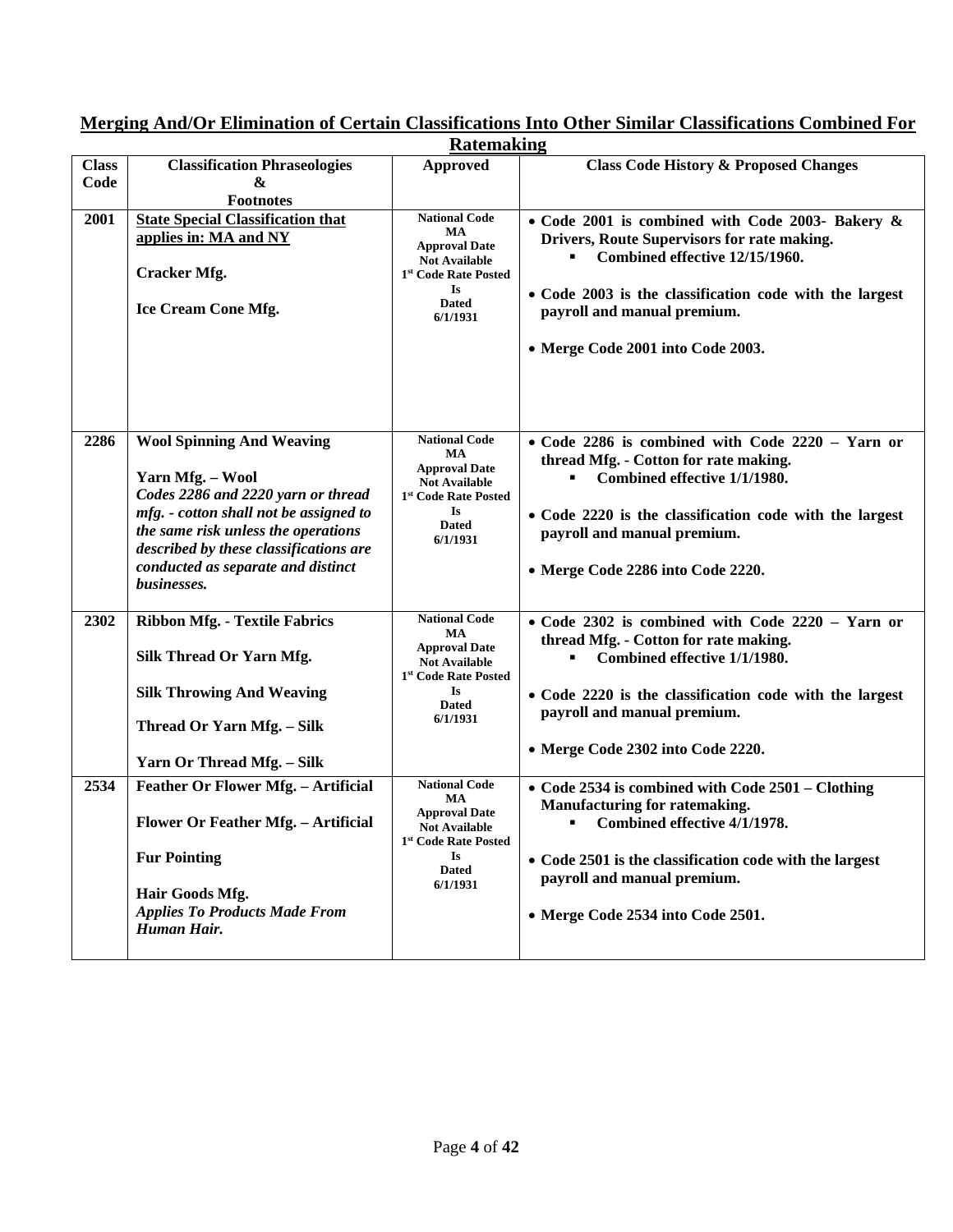|              | <b>Ratemaking</b>                                       |                                                          |                                                          |  |
|--------------|---------------------------------------------------------|----------------------------------------------------------|----------------------------------------------------------|--|
| <b>Class</b> | <b>Classification Phraseologies</b>                     | <b>Approved</b>                                          | <b>Class Code History &amp; Proposed Changes</b>         |  |
| Code         | &                                                       |                                                          |                                                          |  |
|              | <b>Footnotes</b>                                        |                                                          |                                                          |  |
| 2001         | <b>State Special Classification that</b>                | <b>National Code</b>                                     | • Code 2001 is combined with Code 2003- Bakery &         |  |
|              | applies in: MA and NY                                   | MA<br><b>Approval Date</b>                               | Drivers, Route Supervisors for rate making.              |  |
|              |                                                         | <b>Not Available</b>                                     | Combined effective 12/15/1960.                           |  |
|              | <b>Cracker Mfg.</b>                                     | 1 <sup>st</sup> Code Rate Posted                         |                                                          |  |
|              |                                                         | Is<br><b>Dated</b>                                       | • Code 2003 is the classification code with the largest  |  |
|              | <b>Ice Cream Cone Mfg.</b>                              | 6/1/1931                                                 | payroll and manual premium.                              |  |
|              |                                                         |                                                          |                                                          |  |
|              |                                                         |                                                          | • Merge Code 2001 into Code 2003.                        |  |
|              |                                                         |                                                          |                                                          |  |
|              |                                                         |                                                          |                                                          |  |
|              |                                                         |                                                          |                                                          |  |
| 2286         | <b>Wool Spinning And Weaving</b>                        | <b>National Code</b>                                     | $\bullet$ Code 2286 is combined with Code 2220 - Yarn or |  |
|              |                                                         | MA                                                       | thread Mfg. - Cotton for rate making.                    |  |
|              | Yarn Mfg. - Wool                                        | <b>Approval Date</b><br><b>Not Available</b>             | Combined effective 1/1/1980.                             |  |
|              | Codes 2286 and 2220 yarn or thread                      | 1st Code Rate Posted                                     |                                                          |  |
|              | mfg. - cotton shall not be assigned to                  | Is                                                       | • Code 2220 is the classification code with the largest  |  |
|              | the same risk unless the operations                     | <b>Dated</b><br>6/1/1931                                 | payroll and manual premium.                              |  |
|              | described by these classifications are                  |                                                          |                                                          |  |
|              | conducted as separate and distinct                      |                                                          | • Merge Code 2286 into Code 2220.                        |  |
|              | businesses.                                             |                                                          |                                                          |  |
| 2302         | <b>Ribbon Mfg. - Textile Fabrics</b>                    | <b>National Code</b>                                     | $\bullet$ Code 2302 is combined with Code 2220 - Yarn or |  |
|              |                                                         | MA                                                       | thread Mfg. - Cotton for rate making.                    |  |
|              | Silk Thread Or Yarn Mfg.                                | <b>Approval Date</b>                                     | Combined effective 1/1/1980.                             |  |
|              |                                                         | <b>Not Available</b><br>1 <sup>st</sup> Code Rate Posted |                                                          |  |
|              | <b>Silk Throwing And Weaving</b>                        | Is                                                       | • Code 2220 is the classification code with the largest  |  |
|              |                                                         | <b>Dated</b><br>6/1/1931                                 | payroll and manual premium.                              |  |
|              | Thread Or Yarn Mfg. - Silk                              |                                                          |                                                          |  |
|              |                                                         |                                                          | • Merge Code 2302 into Code 2220.                        |  |
|              | Yarn Or Thread Mfg. - Silk                              |                                                          |                                                          |  |
| 2534         | Feather Or Flower Mfg. - Artificial                     | <b>National Code</b><br>MA                               | • Code 2534 is combined with Code 2501 – Clothing        |  |
|              |                                                         | <b>Approval Date</b>                                     | Manufacturing for ratemaking.                            |  |
|              | Flower Or Feather Mfg. - Artificial                     | <b>Not Available</b>                                     | Combined effective 4/1/1978.<br>٠                        |  |
|              |                                                         | 1st Code Rate Posted                                     |                                                          |  |
|              | <b>Fur Pointing</b>                                     | Is<br><b>Dated</b>                                       | • Code 2501 is the classification code with the largest  |  |
|              |                                                         | 6/1/1931                                                 | payroll and manual premium.                              |  |
|              | Hair Goods Mfg.<br><b>Applies To Products Made From</b> |                                                          |                                                          |  |
|              | Human Hair.                                             |                                                          | • Merge Code 2534 into Code 2501.                        |  |
|              |                                                         |                                                          |                                                          |  |
|              |                                                         |                                                          |                                                          |  |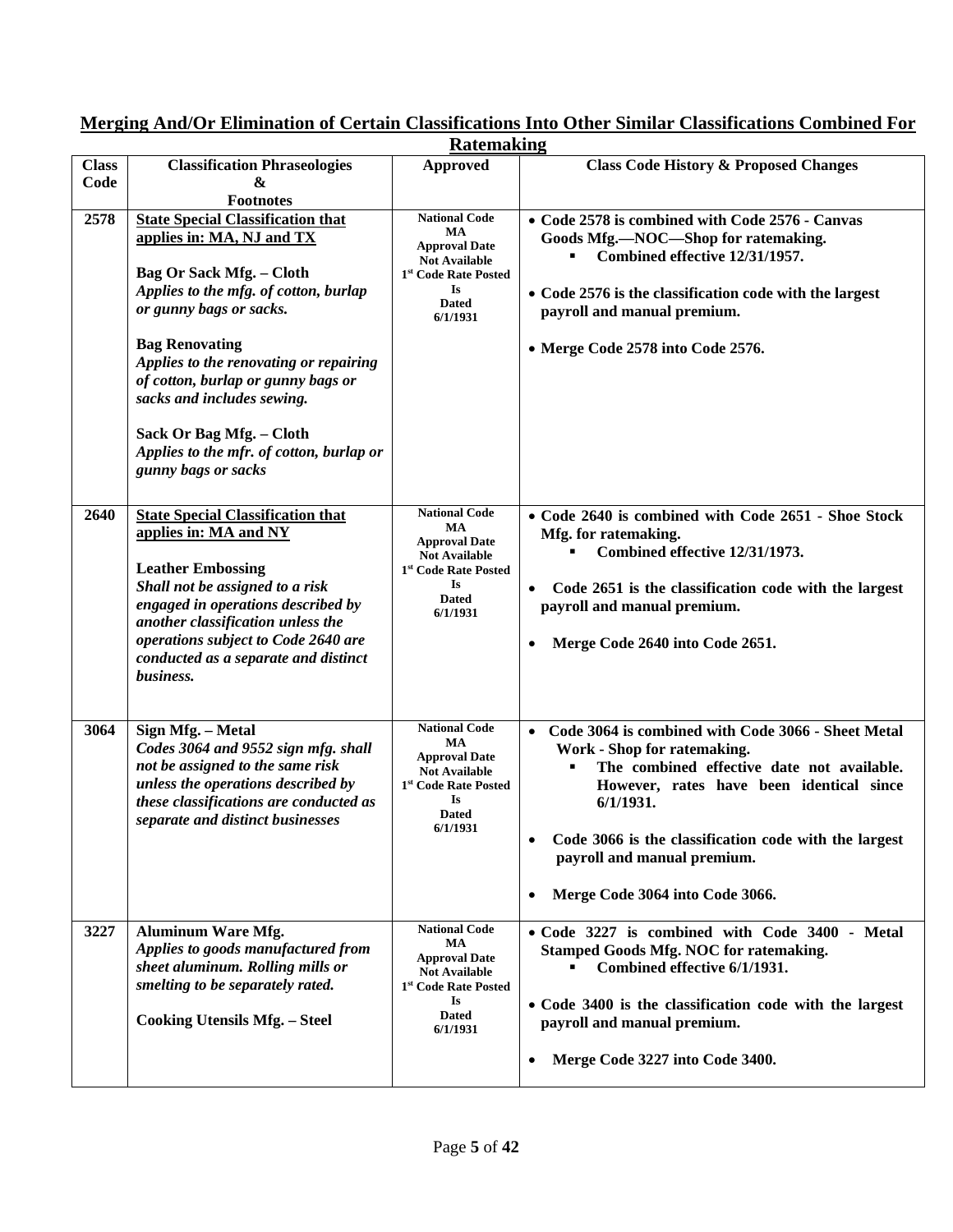|                      | <b>Ratemaking</b>                                                                                                                                                                                                                                                                                                                                                                                                                      |                                                                                                                                                         |                                                                                                                                                                                                                                                                                                                       |  |
|----------------------|----------------------------------------------------------------------------------------------------------------------------------------------------------------------------------------------------------------------------------------------------------------------------------------------------------------------------------------------------------------------------------------------------------------------------------------|---------------------------------------------------------------------------------------------------------------------------------------------------------|-----------------------------------------------------------------------------------------------------------------------------------------------------------------------------------------------------------------------------------------------------------------------------------------------------------------------|--|
| <b>Class</b><br>Code | <b>Classification Phraseologies</b><br>&                                                                                                                                                                                                                                                                                                                                                                                               | <b>Approved</b>                                                                                                                                         | <b>Class Code History &amp; Proposed Changes</b>                                                                                                                                                                                                                                                                      |  |
| 2578                 | <b>Footnotes</b><br><b>State Special Classification that</b><br>applies in: MA, NJ and TX<br><b>Bag Or Sack Mfg. - Cloth</b><br>Applies to the mfg. of cotton, burlap<br>or gunny bags or sacks.<br><b>Bag Renovating</b><br>Applies to the renovating or repairing<br>of cotton, burlap or gunny bags or<br>sacks and includes sewing.<br>Sack Or Bag Mfg. - Cloth<br>Applies to the mfr. of cotton, burlap or<br>gunny bags or sacks | <b>National Code</b><br>MA<br><b>Approval Date</b><br><b>Not Available</b><br>1 <sup>st</sup> Code Rate Posted<br>Is<br><b>Dated</b><br>6/1/1931        | • Code 2578 is combined with Code 2576 - Canvas<br>Goods Mfg.-NOC-Shop for ratemaking.<br>Combined effective 12/31/1957.<br>• Code 2576 is the classification code with the largest<br>payroll and manual premium.<br>• Merge Code 2578 into Code 2576.                                                               |  |
| 2640                 | <b>State Special Classification that</b><br>applies in: MA and NY<br><b>Leather Embossing</b><br>Shall not be assigned to a risk<br>engaged in operations described by<br>another classification unless the<br>operations subject to Code 2640 are<br>conducted as a separate and distinct<br>business.                                                                                                                                | <b>National Code</b><br>MA<br><b>Approval Date</b><br><b>Not Available</b><br>1 <sup>st</sup> Code Rate Posted<br><b>Is</b><br><b>Dated</b><br>6/1/1931 | • Code 2640 is combined with Code 2651 - Shoe Stock<br>Mfg. for ratemaking.<br>Combined effective 12/31/1973.<br>Code 2651 is the classification code with the largest<br>$\bullet$<br>payroll and manual premium.<br>Merge Code 2640 into Code 2651.                                                                 |  |
| 3064                 | Sign Mfg. - Metal<br>Codes 3064 and 9552 sign mfg. shall<br>not be assigned to the same risk<br>unless the operations described by<br>these classifications are conducted as<br>separate and distinct businesses                                                                                                                                                                                                                       | <b>National Code</b><br>MA<br><b>Approval Date</b><br><b>Not Available</b><br>1 <sup>st</sup> Code Rate Posted<br><b>Is</b><br><b>Dated</b><br>6/1/1931 | • Code 3064 is combined with Code 3066 - Sheet Metal<br>Work - Shop for ratemaking.<br>The combined effective date not available.<br>However, rates have been identical since<br>6/1/1931.<br>Code 3066 is the classification code with the largest<br>payroll and manual premium.<br>Merge Code 3064 into Code 3066. |  |
| 3227                 | <b>Aluminum Ware Mfg.</b><br>Applies to goods manufactured from<br>sheet aluminum. Rolling mills or<br>smelting to be separately rated.<br><b>Cooking Utensils Mfg. - Steel</b>                                                                                                                                                                                                                                                        | <b>National Code</b><br>MA<br><b>Approval Date</b><br><b>Not Available</b><br>1st Code Rate Posted<br><b>Is</b><br><b>Dated</b><br>6/1/1931             | • Code 3227 is combined with Code 3400 - Metal<br><b>Stamped Goods Mfg. NOC for ratemaking.</b><br>Combined effective 6/1/1931.<br>• Code 3400 is the classification code with the largest<br>payroll and manual premium.<br>Merge Code 3227 into Code 3400.                                                          |  |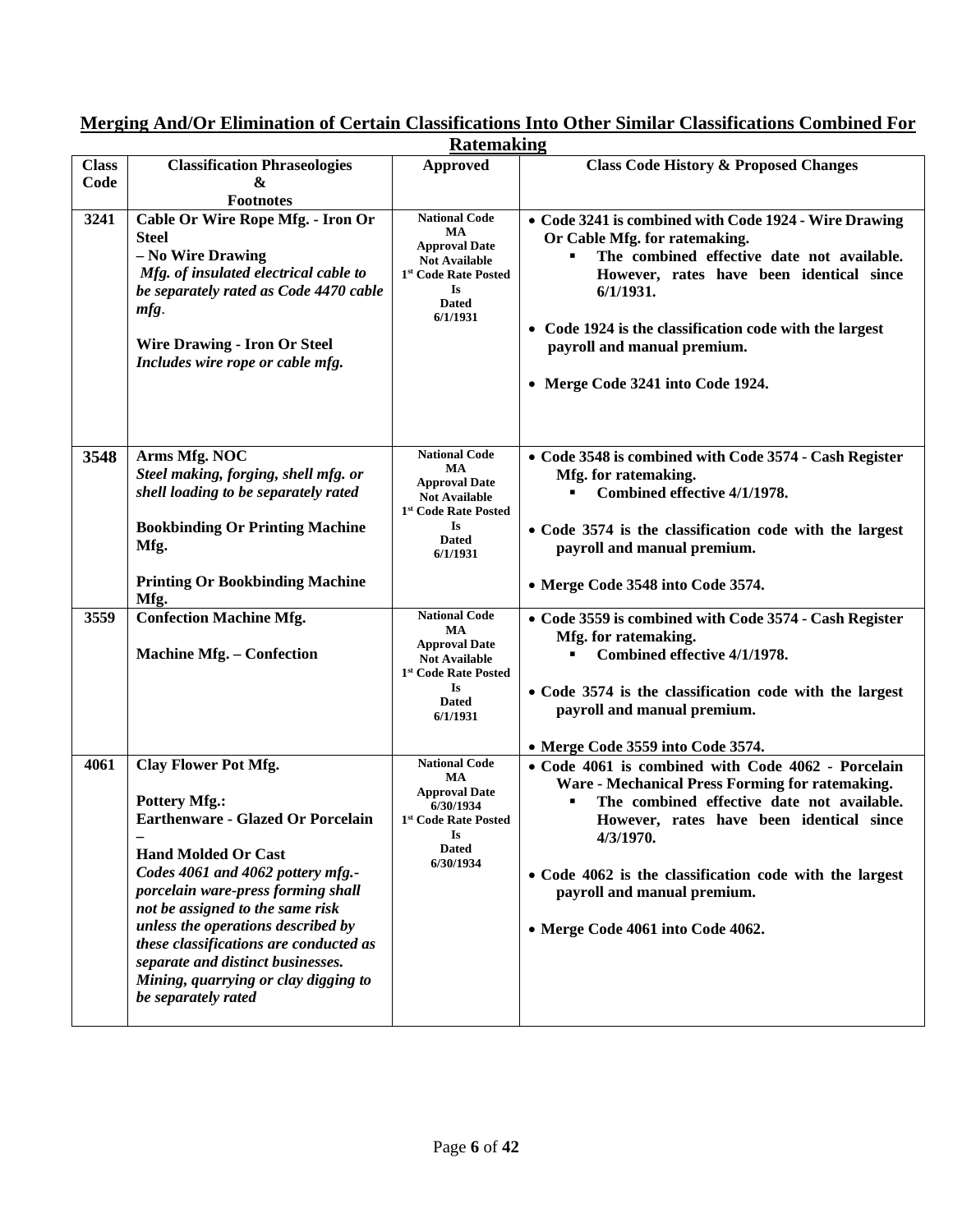|              | <b>Ratemaking</b>                                                                                                                                                                                                                                                                                                                                                                                                                |                                                                                                                                                  |                                                                                                                                                                                                                                                                                                                                             |  |
|--------------|----------------------------------------------------------------------------------------------------------------------------------------------------------------------------------------------------------------------------------------------------------------------------------------------------------------------------------------------------------------------------------------------------------------------------------|--------------------------------------------------------------------------------------------------------------------------------------------------|---------------------------------------------------------------------------------------------------------------------------------------------------------------------------------------------------------------------------------------------------------------------------------------------------------------------------------------------|--|
| <b>Class</b> | <b>Classification Phraseologies</b>                                                                                                                                                                                                                                                                                                                                                                                              | <b>Approved</b>                                                                                                                                  | <b>Class Code History &amp; Proposed Changes</b>                                                                                                                                                                                                                                                                                            |  |
| Code         | &                                                                                                                                                                                                                                                                                                                                                                                                                                |                                                                                                                                                  |                                                                                                                                                                                                                                                                                                                                             |  |
|              | <b>Footnotes</b>                                                                                                                                                                                                                                                                                                                                                                                                                 |                                                                                                                                                  |                                                                                                                                                                                                                                                                                                                                             |  |
| 3241         | Cable Or Wire Rope Mfg. - Iron Or<br><b>Steel</b><br>- No Wire Drawing<br>Mfg. of insulated electrical cable to<br>be separately rated as Code 4470 cable<br>mfg.<br><b>Wire Drawing - Iron Or Steel</b><br>Includes wire rope or cable mfg.                                                                                                                                                                                     | <b>National Code</b><br>MA<br><b>Approval Date</b><br><b>Not Available</b><br>1 <sup>st</sup> Code Rate Posted<br>Is<br><b>Dated</b><br>6/1/1931 | • Code 3241 is combined with Code 1924 - Wire Drawing<br>Or Cable Mfg. for ratemaking.<br>The combined effective date not available.<br>However, rates have been identical since<br>6/1/1931.<br>• Code 1924 is the classification code with the largest<br>payroll and manual premium.<br>• Merge Code 3241 into Code 1924.                |  |
| 3548         | Arms Mfg. NOC<br>Steel making, forging, shell mfg. or<br>shell loading to be separately rated<br><b>Bookbinding Or Printing Machine</b><br>Mfg.<br><b>Printing Or Bookbinding Machine</b>                                                                                                                                                                                                                                        | <b>National Code</b><br>MA<br><b>Approval Date</b><br><b>Not Available</b><br>1st Code Rate Posted<br><b>Is</b><br><b>Dated</b><br>6/1/1931      | • Code 3548 is combined with Code 3574 - Cash Register<br>Mfg. for ratemaking.<br>Combined effective 4/1/1978.<br>• Code 3574 is the classification code with the largest<br>payroll and manual premium.<br>• Merge Code 3548 into Code 3574.                                                                                               |  |
|              | Mfg.                                                                                                                                                                                                                                                                                                                                                                                                                             |                                                                                                                                                  |                                                                                                                                                                                                                                                                                                                                             |  |
| 3559         | <b>Confection Machine Mfg.</b><br><b>Machine Mfg. - Confection</b>                                                                                                                                                                                                                                                                                                                                                               | <b>National Code</b><br>MA<br><b>Approval Date</b><br><b>Not Available</b><br>1st Code Rate Posted<br><b>Is</b><br><b>Dated</b><br>6/1/1931      | • Code 3559 is combined with Code 3574 - Cash Register<br>Mfg. for ratemaking.<br>Combined effective 4/1/1978.<br>• Code 3574 is the classification code with the largest<br>payroll and manual premium.<br>• Merge Code 3559 into Code 3574.                                                                                               |  |
| 4061         | <b>Clay Flower Pot Mfg.</b><br><b>Pottery Mfg.:</b><br><b>Earthenware - Glazed Or Porcelain</b><br><b>Hand Molded Or Cast</b><br>Codes 4061 and 4062 pottery mfg.-<br>porcelain ware-press forming shall<br>not be assigned to the same risk<br>unless the operations described by<br>these classifications are conducted as<br>separate and distinct businesses.<br>Mining, quarrying or clay digging to<br>be separately rated | <b>National Code</b><br>MA<br><b>Approval Date</b><br>6/30/1934<br>1st Code Rate Posted<br>$\mathbf{I}$ s<br>Dated<br>6/30/1934                  | • Code 4061 is combined with Code 4062 - Porcelain<br>Ware - Mechanical Press Forming for ratemaking.<br>The combined effective date not available.<br>However, rates have been identical since<br>4/3/1970.<br>• Code 4062 is the classification code with the largest<br>payroll and manual premium.<br>• Merge Code 4061 into Code 4062. |  |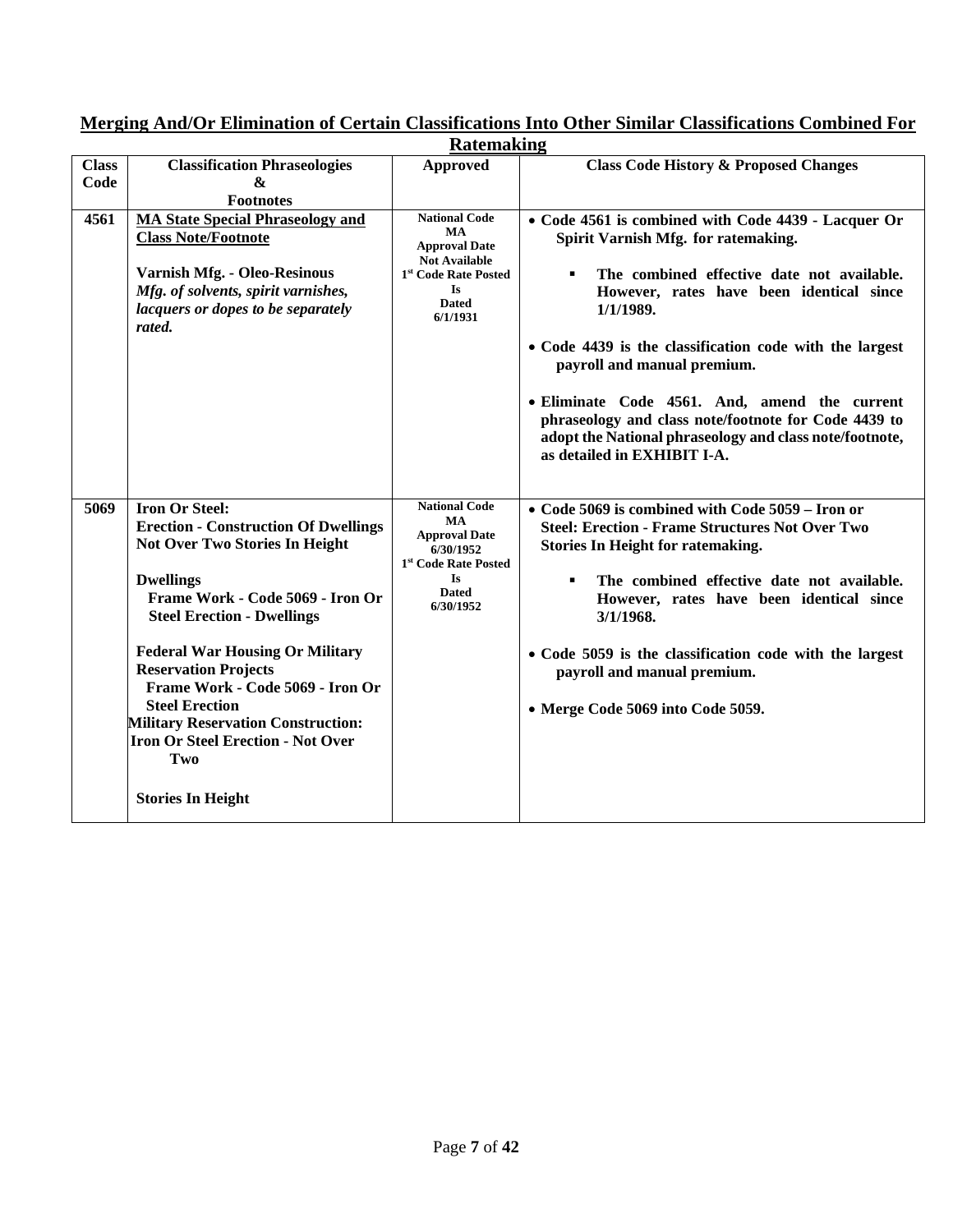|                      | <b>Ratemaking</b>                                                                                                                                                                                                                                                                                                                                                                                                                                                     |                                                                                                                                                                |                                                                                                                                                                                                                                                                                                                                                                                                                                                                                                     |  |
|----------------------|-----------------------------------------------------------------------------------------------------------------------------------------------------------------------------------------------------------------------------------------------------------------------------------------------------------------------------------------------------------------------------------------------------------------------------------------------------------------------|----------------------------------------------------------------------------------------------------------------------------------------------------------------|-----------------------------------------------------------------------------------------------------------------------------------------------------------------------------------------------------------------------------------------------------------------------------------------------------------------------------------------------------------------------------------------------------------------------------------------------------------------------------------------------------|--|
| <b>Class</b><br>Code | <b>Classification Phraseologies</b><br>&<br><b>Footnotes</b>                                                                                                                                                                                                                                                                                                                                                                                                          | <b>Approved</b>                                                                                                                                                | <b>Class Code History &amp; Proposed Changes</b>                                                                                                                                                                                                                                                                                                                                                                                                                                                    |  |
| 4561                 | <b>MA State Special Phraseology and</b><br><b>Class Note/Footnote</b><br><b>Varnish Mfg. - Oleo-Resinous</b><br>Mfg. of solvents, spirit varnishes,<br>lacquers or dopes to be separately<br>rated.                                                                                                                                                                                                                                                                   | <b>National Code</b><br><b>MA</b><br><b>Approval Date</b><br><b>Not Available</b><br>1 <sup>st</sup> Code Rate Posted<br><b>Is</b><br><b>Dated</b><br>6/1/1931 | • Code 4561 is combined with Code 4439 - Lacquer Or<br>Spirit Varnish Mfg. for ratemaking.<br>The combined effective date not available.<br>٠<br>However, rates have been identical since<br>1/1/1989.<br>• Code 4439 is the classification code with the largest<br>payroll and manual premium.<br>· Eliminate Code 4561. And, amend the current<br>phraseology and class note/footnote for Code 4439 to<br>adopt the National phraseology and class note/footnote,<br>as detailed in EXHIBIT I-A. |  |
| 5069                 | <b>Iron Or Steel:</b><br><b>Erection - Construction Of Dwellings</b><br>Not Over Two Stories In Height<br><b>Dwellings</b><br>Frame Work - Code 5069 - Iron Or<br><b>Steel Erection - Dwellings</b><br><b>Federal War Housing Or Military</b><br><b>Reservation Projects</b><br>Frame Work - Code 5069 - Iron Or<br><b>Steel Erection</b><br><b>Military Reservation Construction:</b><br><b>Iron Or Steel Erection - Not Over</b><br>Two<br><b>Stories In Height</b> | <b>National Code</b><br>MA<br><b>Approval Date</b><br>6/30/1952<br>1st Code Rate Posted<br><b>Is</b><br><b>Dated</b><br>6/30/1952                              | • Code 5069 is combined with Code 5059 – Iron or<br><b>Steel: Erection - Frame Structures Not Over Two</b><br><b>Stories In Height for ratemaking.</b><br>The combined effective date not available.<br>$\blacksquare$<br>However, rates have been identical since<br>3/1/1968.<br>• Code 5059 is the classification code with the largest<br>payroll and manual premium.<br>• Merge Code 5069 into Code 5059.                                                                                      |  |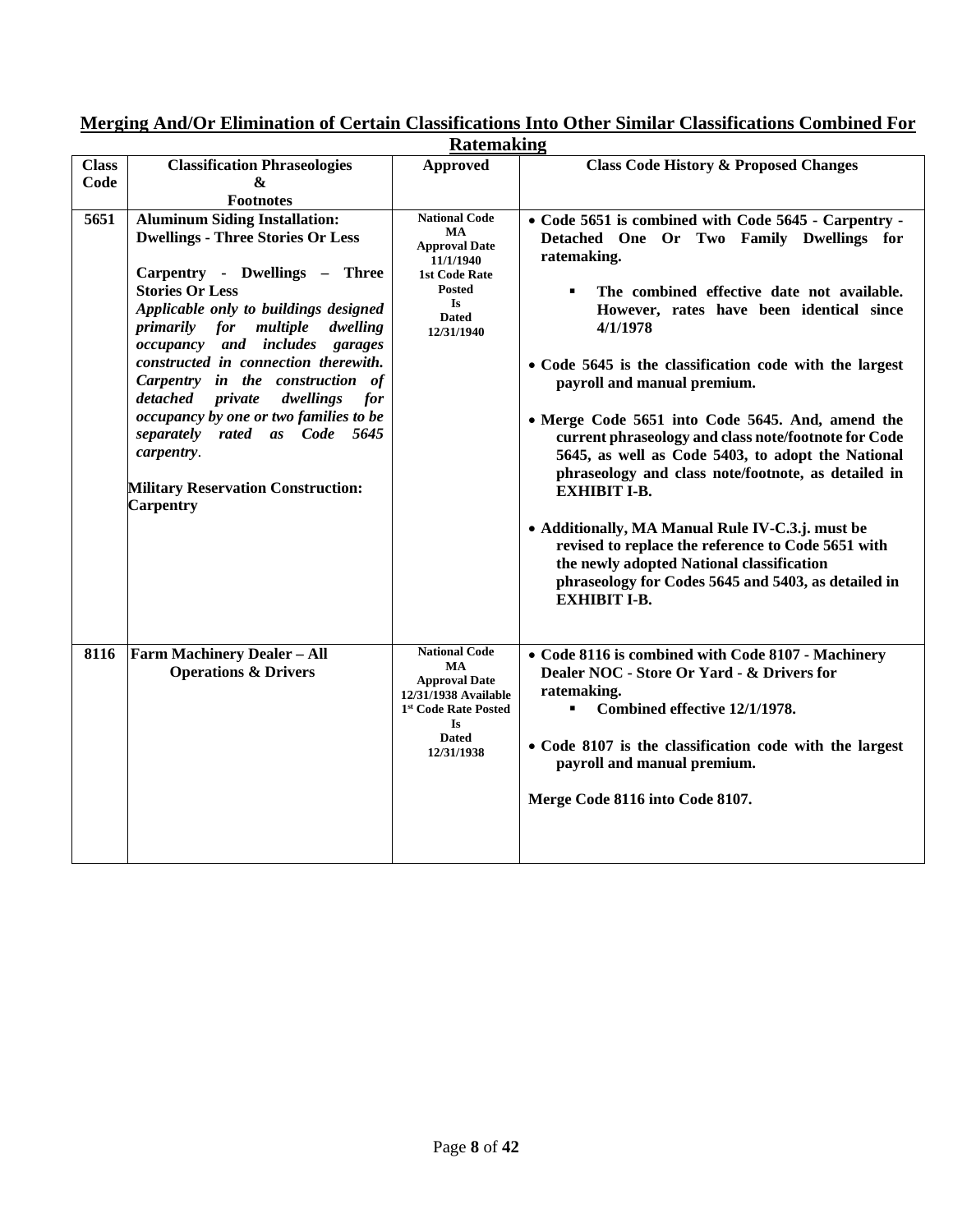|                      | <b>Ratemaking</b>                                                                                                                                                                                                                                                                                                                                                                                                                                                                                                                      |                                                                                                                                                                  |                                                                                                                                                                                                                                                                                                                                                                                                                                                                                                                                                                                                                                                                                                                                                                                                     |  |
|----------------------|----------------------------------------------------------------------------------------------------------------------------------------------------------------------------------------------------------------------------------------------------------------------------------------------------------------------------------------------------------------------------------------------------------------------------------------------------------------------------------------------------------------------------------------|------------------------------------------------------------------------------------------------------------------------------------------------------------------|-----------------------------------------------------------------------------------------------------------------------------------------------------------------------------------------------------------------------------------------------------------------------------------------------------------------------------------------------------------------------------------------------------------------------------------------------------------------------------------------------------------------------------------------------------------------------------------------------------------------------------------------------------------------------------------------------------------------------------------------------------------------------------------------------------|--|
| <b>Class</b><br>Code | <b>Classification Phraseologies</b><br>&<br><b>Footnotes</b>                                                                                                                                                                                                                                                                                                                                                                                                                                                                           | <b>Approved</b>                                                                                                                                                  | <b>Class Code History &amp; Proposed Changes</b>                                                                                                                                                                                                                                                                                                                                                                                                                                                                                                                                                                                                                                                                                                                                                    |  |
| 5651                 | <b>Aluminum Siding Installation:</b><br><b>Dwellings - Three Stories Or Less</b><br>Carpentry - Dwellings - Three<br><b>Stories Or Less</b><br>Applicable only to buildings designed<br>multiple<br>primarily for<br>dwelling<br>occupancy and includes garages<br>constructed in connection therewith.<br>Carpentry in the construction of<br>detached private<br>dwellings<br>for<br>occupancy by one or two families to be<br>separately rated as Code 5645<br>carpentry.<br><b>Military Reservation Construction:</b><br>Carpentry | <b>National Code</b><br><b>MA</b><br><b>Approval Date</b><br>11/1/1940<br><b>1st Code Rate</b><br><b>Posted</b><br>Is<br><b>Dated</b><br>12/31/1940              | • Code 5651 is combined with Code 5645 - Carpentry -<br>Detached One Or Two Family Dwellings for<br>ratemaking.<br>The combined effective date not available.<br>However, rates have been identical since<br>4/1/1978<br>• Code 5645 is the classification code with the largest<br>payroll and manual premium.<br>• Merge Code 5651 into Code 5645. And, amend the<br>current phraseology and class note/footnote for Code<br>5645, as well as Code 5403, to adopt the National<br>phraseology and class note/footnote, as detailed in<br><b>EXHIBIT I-B.</b><br>• Additionally, MA Manual Rule IV-C.3.j. must be<br>revised to replace the reference to Code 5651 with<br>the newly adopted National classification<br>phraseology for Codes 5645 and 5403, as detailed in<br><b>EXHIBIT I-B.</b> |  |
| 8116                 | <b>Farm Machinery Dealer - All</b><br><b>Operations &amp; Drivers</b>                                                                                                                                                                                                                                                                                                                                                                                                                                                                  | <b>National Code</b><br><b>MA</b><br><b>Approval Date</b><br>12/31/1938 Available<br>1 <sup>st</sup> Code Rate Posted<br><b>Is</b><br><b>Dated</b><br>12/31/1938 | • Code 8116 is combined with Code 8107 - Machinery<br>Dealer NOC - Store Or Yard - & Drivers for<br>ratemaking.<br>Combined effective 12/1/1978.<br>٠<br>• Code 8107 is the classification code with the largest<br>payroll and manual premium.<br>Merge Code 8116 into Code 8107.                                                                                                                                                                                                                                                                                                                                                                                                                                                                                                                  |  |

**Merging And/Or Elimination of Certain Classifications Into Other Similar Classifications Combined For**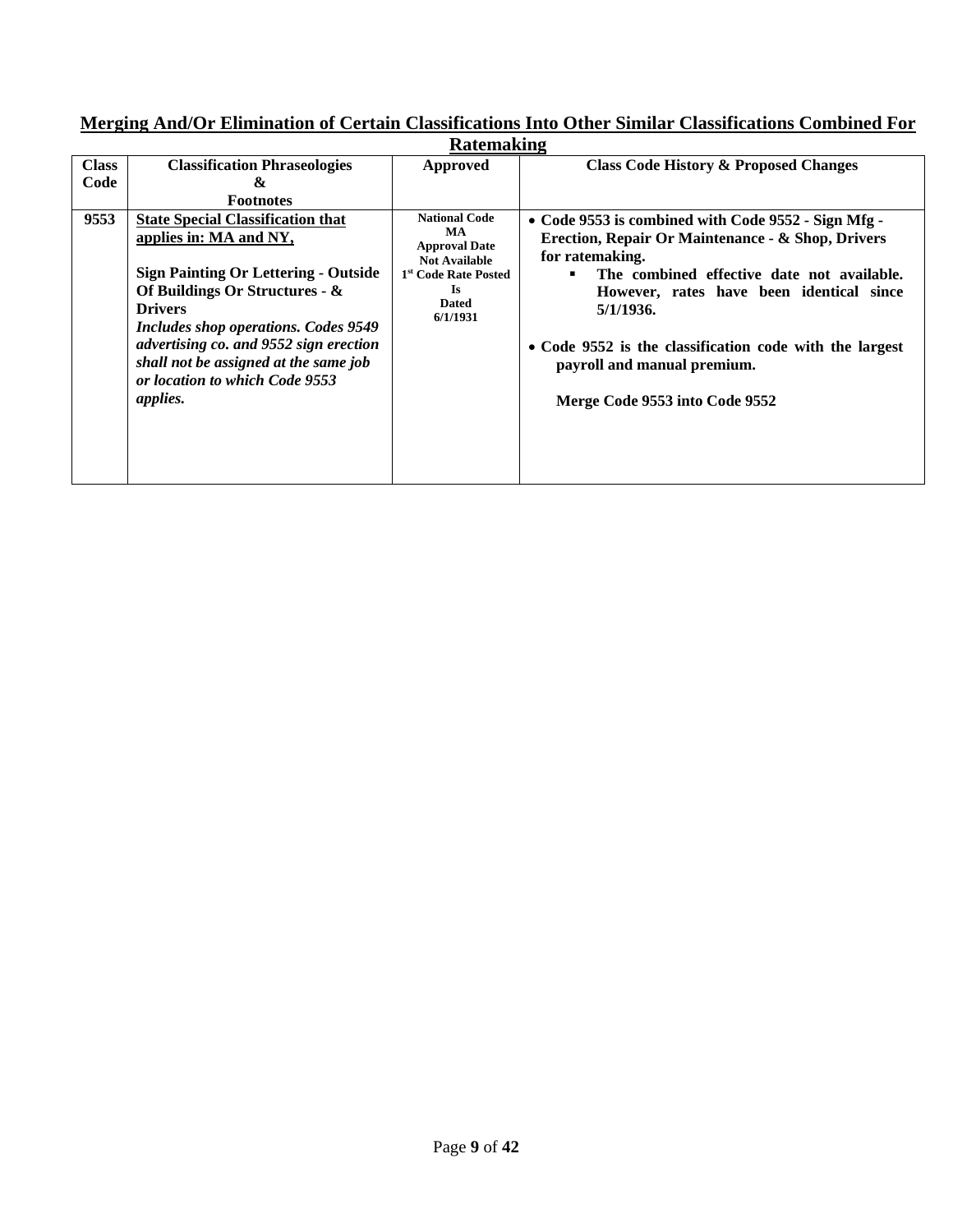| <b>Ratemaking</b>    |                                                                                                                                                                                                                                                                                                                                                |                                                                                                                                                    |                                                                                                                                                                                                                                                                                                                                                                |  |
|----------------------|------------------------------------------------------------------------------------------------------------------------------------------------------------------------------------------------------------------------------------------------------------------------------------------------------------------------------------------------|----------------------------------------------------------------------------------------------------------------------------------------------------|----------------------------------------------------------------------------------------------------------------------------------------------------------------------------------------------------------------------------------------------------------------------------------------------------------------------------------------------------------------|--|
| <b>Class</b><br>Code | <b>Classification Phraseologies</b><br>&<br><b>Footnotes</b>                                                                                                                                                                                                                                                                                   | Approved                                                                                                                                           | <b>Class Code History &amp; Proposed Changes</b>                                                                                                                                                                                                                                                                                                               |  |
| 9553                 | <b>State Special Classification that</b><br>applies in: MA and NY,<br><b>Sign Painting Or Lettering - Outside</b><br>Of Buildings Or Structures - &<br><b>Drivers</b><br>Includes shop operations. Codes 9549<br>advertising co. and 9552 sign erection<br>shall not be assigned at the same job<br>or location to which Code 9553<br>applies. | <b>National Code</b><br><b>MA</b><br><b>Approval Date</b><br><b>Not Available</b><br>1st Code Rate Posted<br><b>Is</b><br><b>Dated</b><br>6/1/1931 | • Code 9553 is combined with Code 9552 - Sign Mfg -<br>Erection, Repair Or Maintenance - & Shop, Drivers<br>for ratemaking.<br>The combined effective date not available.<br>However, rates have been identical since<br>5/1/1936.<br>• Code 9552 is the classification code with the largest<br>payroll and manual premium.<br>Merge Code 9553 into Code 9552 |  |

**Merging And/Or Elimination of Certain Classifications Into Other Similar Classifications Combined For**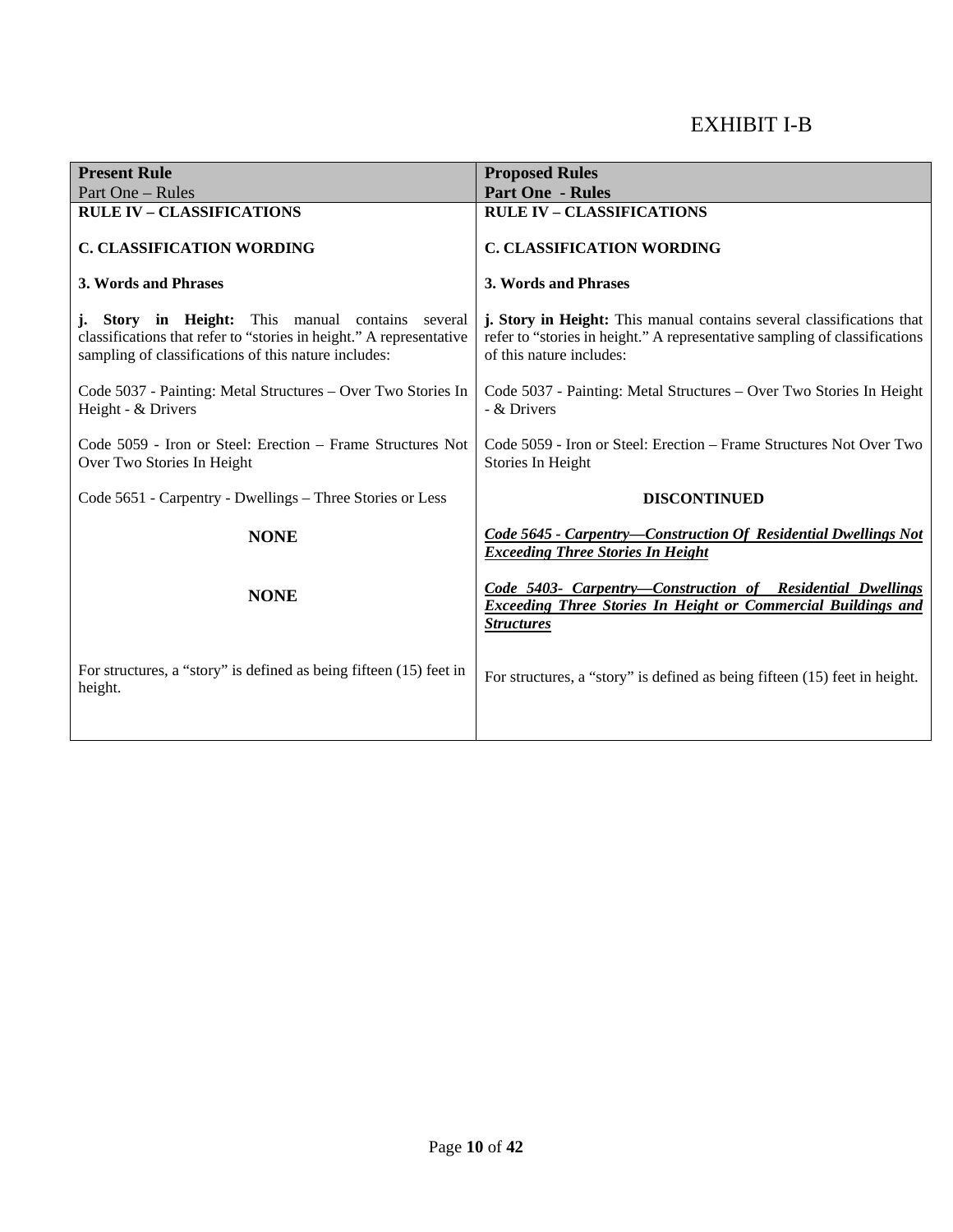# EXHIBIT I-B

| <b>Present Rule</b>                                                                                                                                                             | <b>Proposed Rules</b>                                                                                                                                                           |
|---------------------------------------------------------------------------------------------------------------------------------------------------------------------------------|---------------------------------------------------------------------------------------------------------------------------------------------------------------------------------|
| Part One - Rules                                                                                                                                                                | <b>Part One - Rules</b>                                                                                                                                                         |
| <b>RULE IV - CLASSIFICATIONS</b>                                                                                                                                                | <b>RULE IV - CLASSIFICATIONS</b>                                                                                                                                                |
| <b>C. CLASSIFICATION WORDING</b>                                                                                                                                                | <b>C. CLASSIFICATION WORDING</b>                                                                                                                                                |
| 3. Words and Phrases                                                                                                                                                            | 3. Words and Phrases                                                                                                                                                            |
| j. Story in Height: This manual contains several<br>classifications that refer to "stories in height." A representative<br>sampling of classifications of this nature includes: | j. Story in Height: This manual contains several classifications that<br>refer to "stories in height." A representative sampling of classifications<br>of this nature includes: |
| Code 5037 - Painting: Metal Structures – Over Two Stories In<br>Height - & Drivers                                                                                              | Code 5037 - Painting: Metal Structures – Over Two Stories In Height<br>- & Drivers                                                                                              |
| Code 5059 - Iron or Steel: Erection – Frame Structures Not<br>Over Two Stories In Height                                                                                        | Code 5059 - Iron or Steel: Erection – Frame Structures Not Over Two<br>Stories In Height                                                                                        |
| Code 5651 - Carpentry - Dwellings - Three Stories or Less                                                                                                                       | <b>DISCONTINUED</b>                                                                                                                                                             |
| <b>NONE</b>                                                                                                                                                                     | Code 5645 - Carpentry-Construction Of Residential Dwellings Not<br><b>Exceeding Three Stories In Height</b>                                                                     |
| <b>NONE</b>                                                                                                                                                                     | Code 5403- Carpentry-Construction of Residential Dwellings<br><b>Exceeding Three Stories In Height or Commercial Buildings and</b><br><b>Structures</b>                         |
| For structures, a "story" is defined as being fifteen (15) feet in<br>height.                                                                                                   | For structures, a "story" is defined as being fifteen (15) feet in height.                                                                                                      |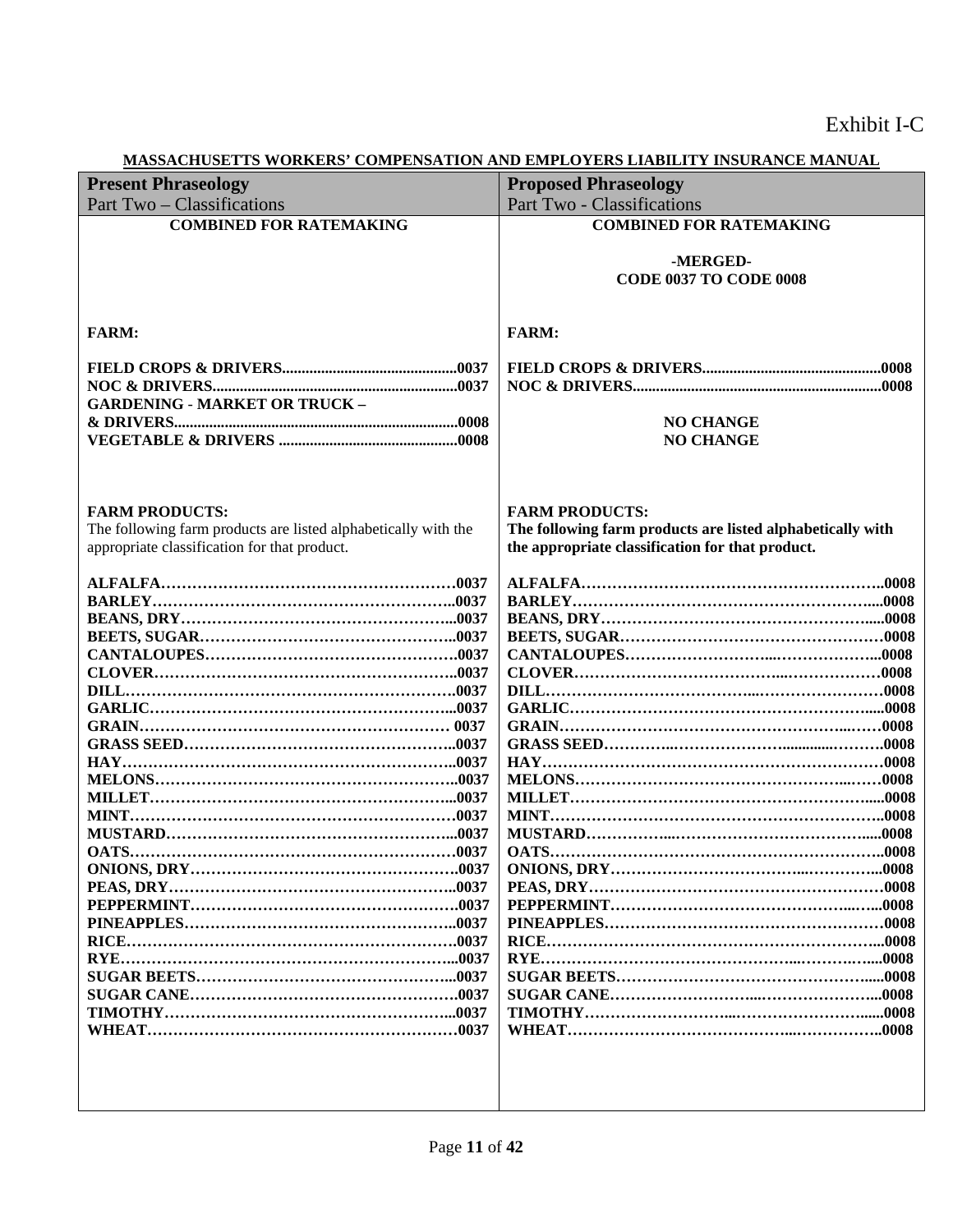|                                                                | MASSACHUSETTS WURKERS' COMPENSATION AND EMPLOTERS LIABILITT INSURANCE MANUAL |
|----------------------------------------------------------------|------------------------------------------------------------------------------|
| <b>Present Phraseology</b>                                     | <b>Proposed Phraseology</b>                                                  |
| Part Two - Classifications                                     | <b>Part Two - Classifications</b>                                            |
| <b>COMBINED FOR RATEMAKING</b>                                 | <b>COMBINED FOR RATEMAKING</b>                                               |
|                                                                |                                                                              |
|                                                                | -MERGED-                                                                     |
|                                                                | <b>CODE 0037 TO CODE 0008</b>                                                |
|                                                                |                                                                              |
|                                                                |                                                                              |
| <b>FARM:</b>                                                   | <b>FARM:</b>                                                                 |
|                                                                |                                                                              |
|                                                                |                                                                              |
|                                                                |                                                                              |
|                                                                |                                                                              |
| <b>GARDENING - MARKET OR TRUCK -</b>                           |                                                                              |
|                                                                | <b>NO CHANGE</b>                                                             |
|                                                                | <b>NO CHANGE</b>                                                             |
|                                                                |                                                                              |
|                                                                |                                                                              |
|                                                                |                                                                              |
| <b>FARM PRODUCTS:</b>                                          | <b>FARM PRODUCTS:</b>                                                        |
| The following farm products are listed alphabetically with the | The following farm products are listed alphabetically with                   |
| appropriate classification for that product.                   | the appropriate classification for that product.                             |
|                                                                |                                                                              |
|                                                                |                                                                              |
|                                                                |                                                                              |
|                                                                |                                                                              |
|                                                                |                                                                              |
|                                                                |                                                                              |
|                                                                |                                                                              |
|                                                                |                                                                              |
|                                                                |                                                                              |
|                                                                |                                                                              |
|                                                                |                                                                              |
|                                                                |                                                                              |
|                                                                |                                                                              |
|                                                                |                                                                              |
|                                                                |                                                                              |
|                                                                |                                                                              |
|                                                                |                                                                              |
|                                                                |                                                                              |
|                                                                |                                                                              |
|                                                                |                                                                              |
|                                                                |                                                                              |
|                                                                |                                                                              |
|                                                                |                                                                              |
|                                                                |                                                                              |
|                                                                |                                                                              |
|                                                                |                                                                              |
|                                                                |                                                                              |
|                                                                |                                                                              |
|                                                                |                                                                              |
|                                                                |                                                                              |
|                                                                |                                                                              |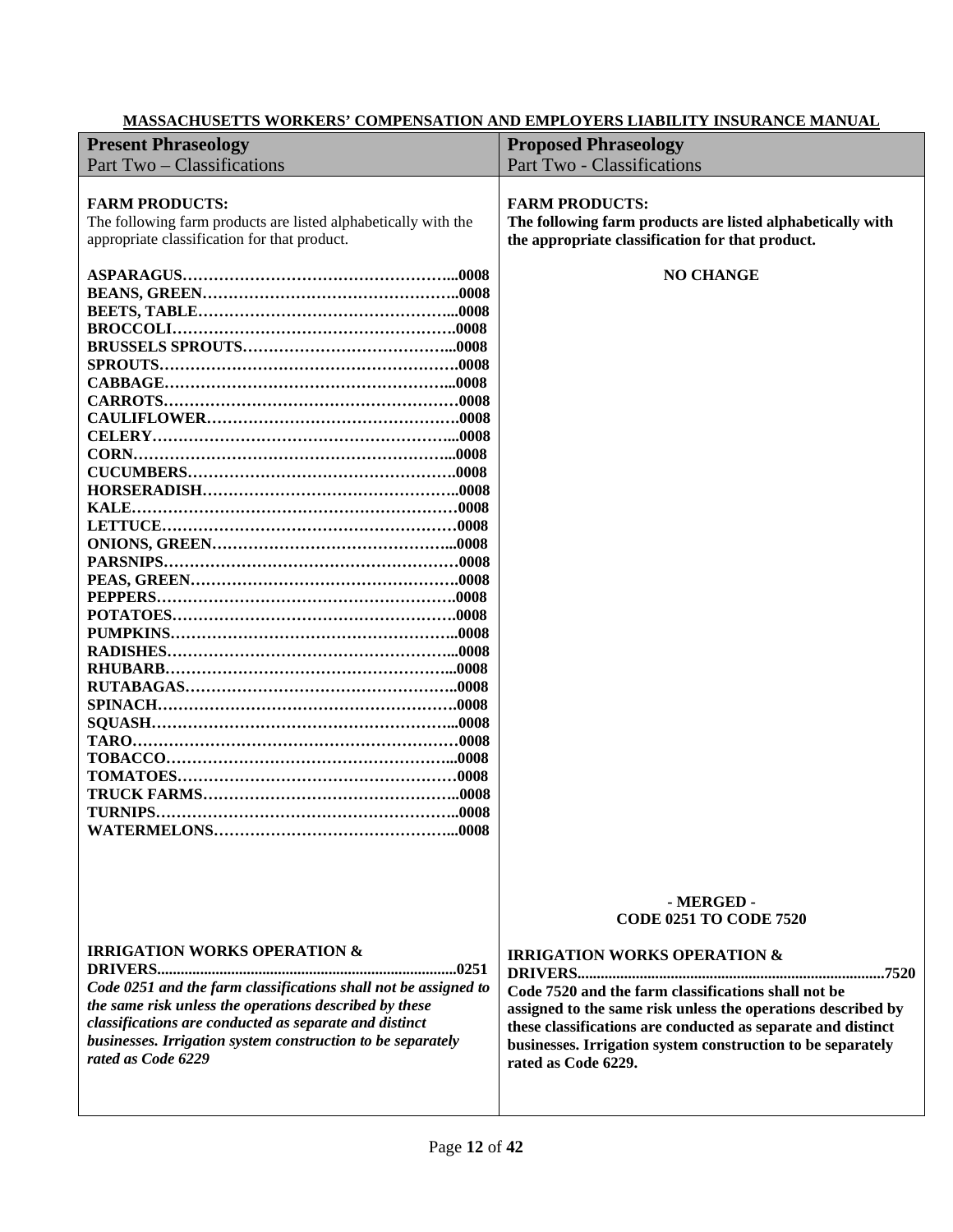| <b>Present Phraseology</b>                                                                                                                                                                                                                                                                                          | <b>Proposed Phraseology</b>                                                                                                                                                                                                                                                                                                                                         |
|---------------------------------------------------------------------------------------------------------------------------------------------------------------------------------------------------------------------------------------------------------------------------------------------------------------------|---------------------------------------------------------------------------------------------------------------------------------------------------------------------------------------------------------------------------------------------------------------------------------------------------------------------------------------------------------------------|
|                                                                                                                                                                                                                                                                                                                     |                                                                                                                                                                                                                                                                                                                                                                     |
| Part Two - Classifications                                                                                                                                                                                                                                                                                          | <b>Part Two - Classifications</b>                                                                                                                                                                                                                                                                                                                                   |
| <b>FARM PRODUCTS:</b><br>The following farm products are listed alphabetically with the<br>appropriate classification for that product.                                                                                                                                                                             | <b>FARM PRODUCTS:</b><br>The following farm products are listed alphabetically with<br>the appropriate classification for that product.                                                                                                                                                                                                                             |
|                                                                                                                                                                                                                                                                                                                     | <b>NO CHANGE</b>                                                                                                                                                                                                                                                                                                                                                    |
| <b>IRRIGATION WORKS OPERATION &amp;</b><br>Code 0251 and the farm classifications shall not be assigned to<br>the same risk unless the operations described by these<br>classifications are conducted as separate and distinct<br>businesses. Irrigation system construction to be separately<br>rated as Code 6229 | - MERGED -<br><b>CODE 0251 TO CODE 7520</b><br><b>IRRIGATION WORKS OPERATION &amp;</b><br>Code 7520 and the farm classifications shall not be<br>assigned to the same risk unless the operations described by<br>these classifications are conducted as separate and distinct<br>businesses. Irrigation system construction to be separately<br>rated as Code 6229. |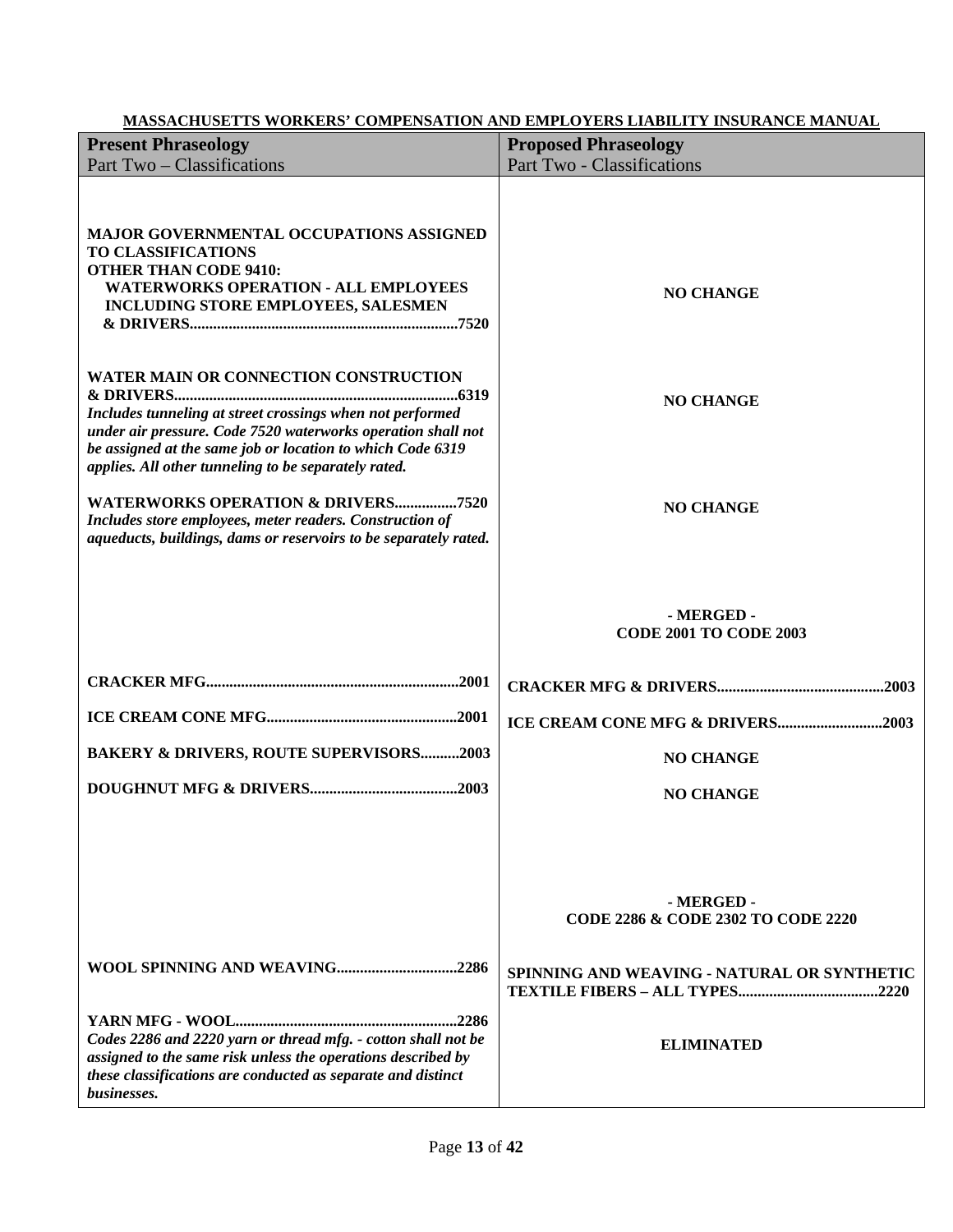| <b>Present Phraseology</b>                                                                                                                                                                                                                                                                      | <b>Proposed Phraseology</b>                                 |
|-------------------------------------------------------------------------------------------------------------------------------------------------------------------------------------------------------------------------------------------------------------------------------------------------|-------------------------------------------------------------|
| Part Two – Classifications                                                                                                                                                                                                                                                                      | Part Two - Classifications                                  |
| <b>MAJOR GOVERNMENTAL OCCUPATIONS ASSIGNED</b><br><b>TO CLASSIFICATIONS</b><br><b>OTHER THAN CODE 9410:</b><br><b>WATERWORKS OPERATION - ALL EMPLOYEES</b><br><b>INCLUDING STORE EMPLOYEES, SALESMEN</b>                                                                                        | <b>NO CHANGE</b>                                            |
| <b>WATER MAIN OR CONNECTION CONSTRUCTION</b><br>Includes tunneling at street crossings when not performed<br>under air pressure. Code 7520 waterworks operation shall not<br>be assigned at the same job or location to which Code 6319<br>applies. All other tunneling to be separately rated. | <b>NO CHANGE</b>                                            |
| <b>WATERWORKS OPERATION &amp; DRIVERS7520</b><br>Includes store employees, meter readers. Construction of<br>aqueducts, buildings, dams or reservoirs to be separately rated.                                                                                                                   | <b>NO CHANGE</b>                                            |
|                                                                                                                                                                                                                                                                                                 | - MERGED -<br><b>CODE 2001 TO CODE 2003</b>                 |
|                                                                                                                                                                                                                                                                                                 |                                                             |
|                                                                                                                                                                                                                                                                                                 | ICE CREAM CONE MFG & DRIVERS2003                            |
| <b>BAKERY &amp; DRIVERS, ROUTE SUPERVISORS2003</b>                                                                                                                                                                                                                                              | <b>NO CHANGE</b>                                            |
|                                                                                                                                                                                                                                                                                                 | <b>NO CHANGE</b>                                            |
|                                                                                                                                                                                                                                                                                                 | - MERGED -<br><b>CODE 2286 &amp; CODE 2302 TO CODE 2220</b> |
|                                                                                                                                                                                                                                                                                                 | SPINNING AND WEAVING - NATURAL OR SYNTHETIC                 |
| Codes 2286 and 2220 yarn or thread mfg. - cotton shall not be<br>assigned to the same risk unless the operations described by<br>these classifications are conducted as separate and distinct<br>businesses.                                                                                    | <b>ELIMINATED</b>                                           |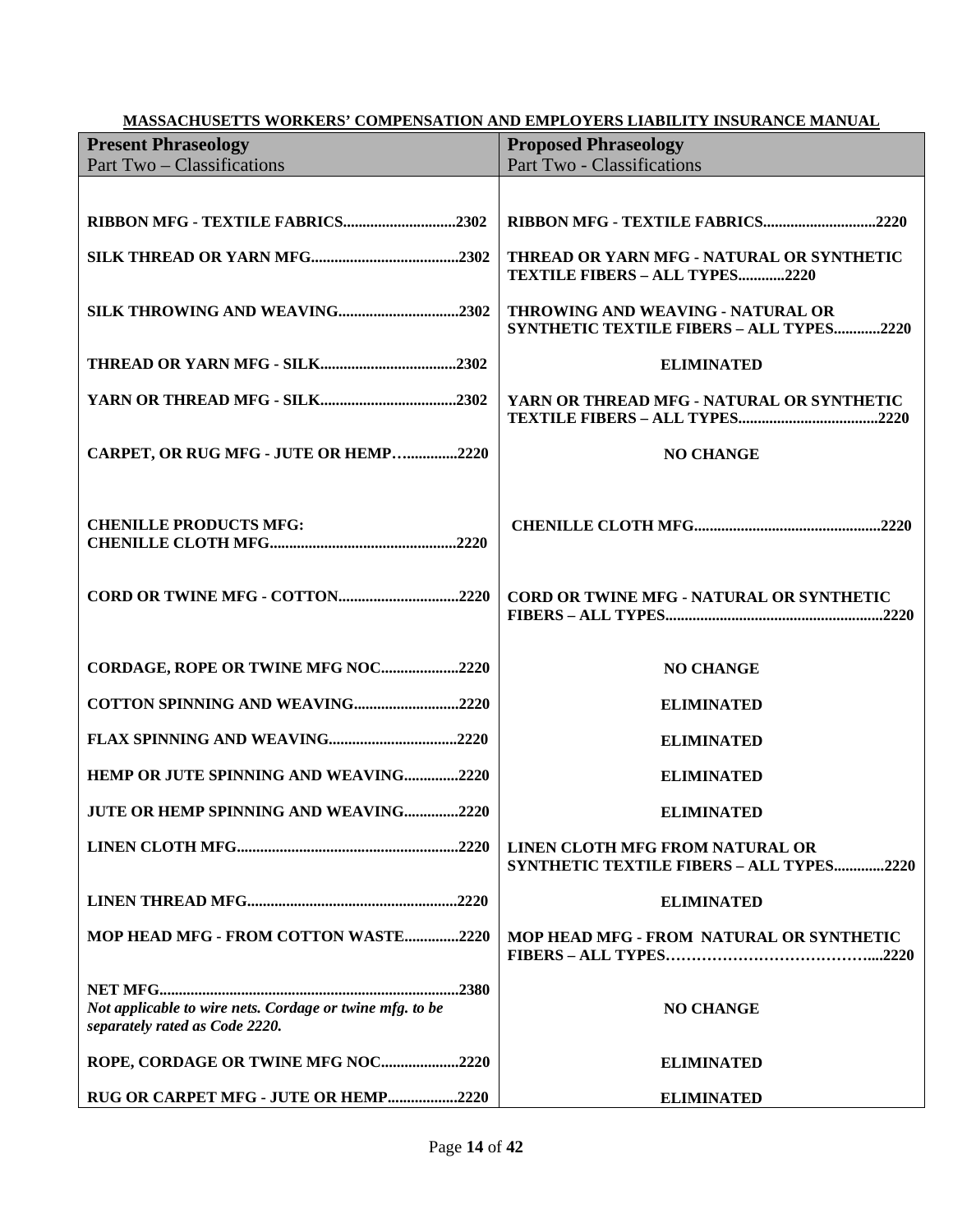| <b>MASSACHUSETTS WORKERS' COMPENSATION AND EMPLOYERS LIABILITY INSURANCE MANUAL</b>        |                                                                               |
|--------------------------------------------------------------------------------------------|-------------------------------------------------------------------------------|
| <b>Present Phraseology</b>                                                                 | <b>Proposed Phraseology</b>                                                   |
| Part Two – Classifications                                                                 | <b>Part Two - Classifications</b>                                             |
|                                                                                            |                                                                               |
| RIBBON MFG - TEXTILE FABRICS2302                                                           | RIBBON MFG - TEXTILE FABRICS2220                                              |
|                                                                                            | THREAD OR YARN MFG - NATURAL OR SYNTHETIC<br>TEXTILE FIBERS - ALL TYPES2220   |
|                                                                                            | THROWING AND WEAVING - NATURAL OR<br>SYNTHETIC TEXTILE FIBERS - ALL TYPES2220 |
|                                                                                            | <b>ELIMINATED</b>                                                             |
|                                                                                            | YARN OR THREAD MFG - NATURAL OR SYNTHETIC                                     |
| CARPET, OR RUG MFG - JUTE OR HEMP2220                                                      | <b>NO CHANGE</b>                                                              |
| <b>CHENILLE PRODUCTS MFG:</b>                                                              |                                                                               |
|                                                                                            | CORD OR TWINE MFG - NATURAL OR SYNTHETIC                                      |
| CORDAGE, ROPE OR TWINE MFG NOC2220                                                         | <b>NO CHANGE</b>                                                              |
| COTTON SPINNING AND WEAVING2220                                                            | <b>ELIMINATED</b>                                                             |
|                                                                                            | <b>ELIMINATED</b>                                                             |
| HEMP OR JUTE SPINNING AND WEAVING2220                                                      | <b>ELIMINATED</b>                                                             |
| <b>JUTE OR HEMP SPINNING AND WEAVING</b><br>2220                                           | <b>ELIMINATED</b>                                                             |
|                                                                                            | LINEN CLOTH MFG FROM NATURAL OR<br>SYNTHETIC TEXTILE FIBERS - ALL TYPES2220   |
|                                                                                            | <b>ELIMINATED</b>                                                             |
| MOP HEAD MFG - FROM COTTON WASTE2220                                                       | MOP HEAD MFG - FROM NATURAL OR SYNTHETIC                                      |
| Not applicable to wire nets. Cordage or twine mfg. to be<br>separately rated as Code 2220. | <b>NO CHANGE</b>                                                              |
| ROPE, CORDAGE OR TWINE MFG NOC2220                                                         | <b>ELIMINATED</b>                                                             |
| RUG OR CARPET MFG - JUTE OR HEMP2220                                                       | <b>ELIMINATED</b>                                                             |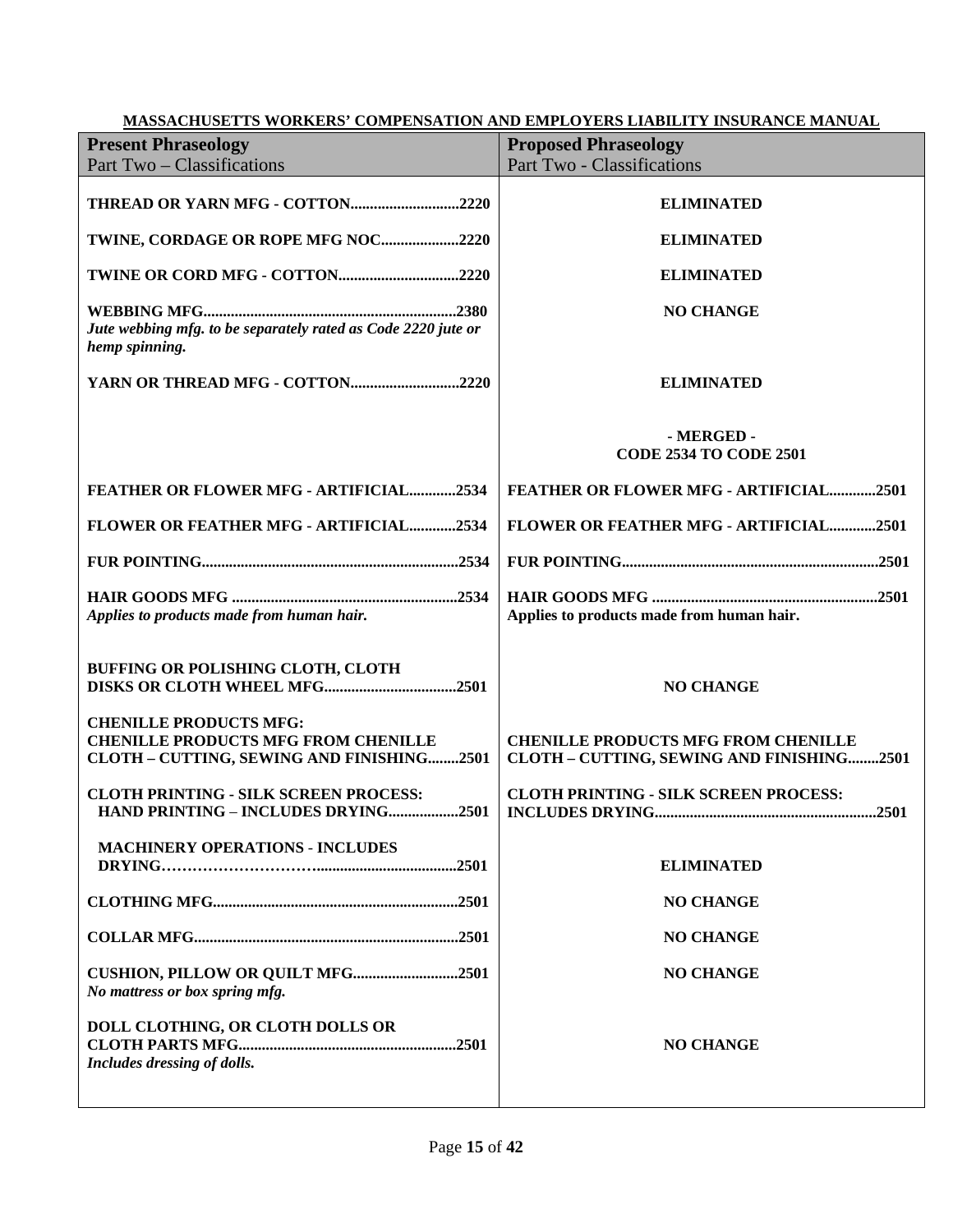| <b>MASSACHUSETTS WORKERS' COMPENSATION AND EMPLOYERS LIABILITY INSURANCE MANUAL</b>                                      |                                                                                         |  |
|--------------------------------------------------------------------------------------------------------------------------|-----------------------------------------------------------------------------------------|--|
| <b>Present Phraseology</b>                                                                                               | <b>Proposed Phraseology</b>                                                             |  |
| Part Two - Classifications                                                                                               | <b>Part Two - Classifications</b>                                                       |  |
|                                                                                                                          |                                                                                         |  |
|                                                                                                                          | <b>ELIMINATED</b>                                                                       |  |
| TWINE, CORDAGE OR ROPE MFG NOC2220                                                                                       | <b>ELIMINATED</b>                                                                       |  |
|                                                                                                                          | <b>ELIMINATED</b>                                                                       |  |
| Jute webbing mfg. to be separately rated as Code 2220 jute or<br>hemp spinning.                                          | <b>NO CHANGE</b>                                                                        |  |
| YARN OR THREAD MFG - COTTON2220                                                                                          | <b>ELIMINATED</b>                                                                       |  |
|                                                                                                                          | - MERGED -<br><b>CODE 2534 TO CODE 2501</b>                                             |  |
| FEATHER OR FLOWER MFG - ARTIFICIAL2534                                                                                   | FEATHER OR FLOWER MFG - ARTIFICIAL2501                                                  |  |
| FLOWER OR FEATHER MFG - ARTIFICIAL2534                                                                                   | FLOWER OR FEATHER MFG - ARTIFICIAL2501                                                  |  |
|                                                                                                                          |                                                                                         |  |
| Applies to products made from human hair.                                                                                | Applies to products made from human hair.                                               |  |
| BUFFING OR POLISHING CLOTH, CLOTH                                                                                        | <b>NO CHANGE</b>                                                                        |  |
| <b>CHENILLE PRODUCTS MFG:</b><br><b>CHENILLE PRODUCTS MFG FROM CHENILLE</b><br>CLOTH - CUTTING, SEWING AND FINISHING2501 | <b>CHENILLE PRODUCTS MFG FROM CHENILLE</b><br>CLOTH - CUTTING, SEWING AND FINISHING2501 |  |
| <b>CLOTH PRINTING - SILK SCREEN PROCESS:</b><br>HAND PRINTING - INCLUDES DRYING2501                                      | <b>CLOTH PRINTING - SILK SCREEN PROCESS:</b>                                            |  |
| <b>MACHINERY OPERATIONS - INCLUDES</b>                                                                                   | <b>ELIMINATED</b>                                                                       |  |
|                                                                                                                          | <b>NO CHANGE</b>                                                                        |  |
|                                                                                                                          | <b>NO CHANGE</b>                                                                        |  |
| CUSHION, PILLOW OR QUILT MFG2501<br>No mattress or box spring mfg.                                                       | <b>NO CHANGE</b>                                                                        |  |
| DOLL CLOTHING, OR CLOTH DOLLS OR<br>Includes dressing of dolls.                                                          | <b>NO CHANGE</b>                                                                        |  |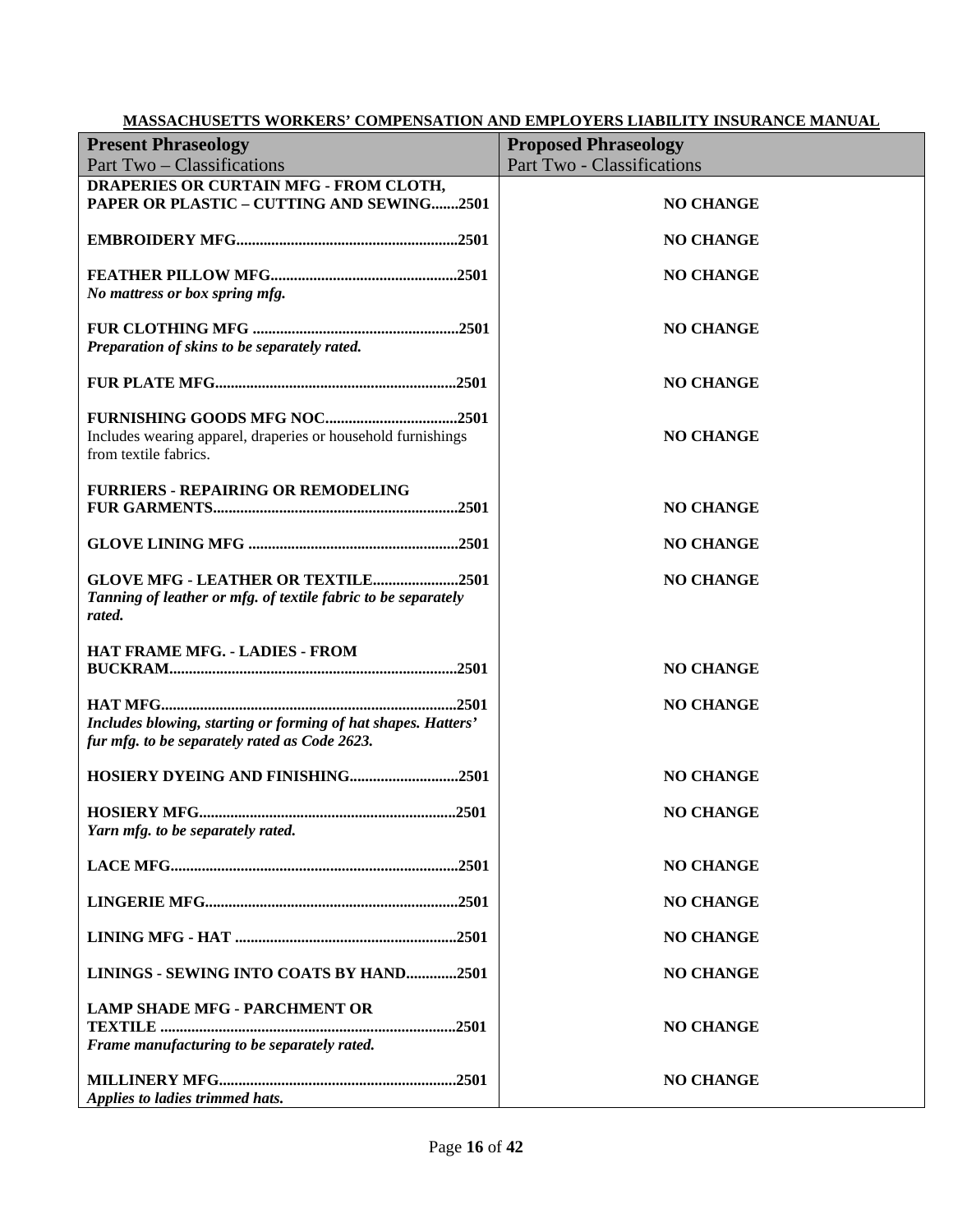|                                                                                                                      | MASSACHUSETTS WORKERS' COMPENSATION AND EMPLOYERS LIABILITY INSURANCE MANUAL |
|----------------------------------------------------------------------------------------------------------------------|------------------------------------------------------------------------------|
| <b>Present Phraseology</b>                                                                                           | <b>Proposed Phraseology</b>                                                  |
| Part Two - Classifications                                                                                           | Part Two - Classifications                                                   |
| DRAPERIES OR CURTAIN MFG - FROM CLOTH,<br>PAPER OR PLASTIC - CUTTING AND SEWING2501                                  | <b>NO CHANGE</b>                                                             |
|                                                                                                                      | <b>NO CHANGE</b>                                                             |
| No mattress or box spring mfg.                                                                                       | <b>NO CHANGE</b>                                                             |
| Preparation of skins to be separately rated.                                                                         | <b>NO CHANGE</b>                                                             |
|                                                                                                                      | <b>NO CHANGE</b>                                                             |
| Includes wearing apparel, draperies or household furnishings<br>from textile fabrics.                                | <b>NO CHANGE</b>                                                             |
| <b>FURRIERS - REPAIRING OR REMODELING</b>                                                                            | <b>NO CHANGE</b>                                                             |
|                                                                                                                      | <b>NO CHANGE</b>                                                             |
| <b>GLOVE MFG - LEATHER OR TEXTILE2501</b><br>Tanning of leather or mfg. of textile fabric to be separately<br>rated. | <b>NO CHANGE</b>                                                             |
| HAT FRAME MFG. - LADIES - FROM                                                                                       | <b>NO CHANGE</b>                                                             |
| Includes blowing, starting or forming of hat shapes. Hatters'<br>fur mfg. to be separately rated as Code 2623.       | <b>NO CHANGE</b>                                                             |
| HOSIERY DYEING AND FINISHING2501                                                                                     | <b>NO CHANGE</b>                                                             |
| Yarn mfg. to be separately rated.                                                                                    | <b>NO CHANGE</b>                                                             |
|                                                                                                                      | <b>NO CHANGE</b>                                                             |
|                                                                                                                      | <b>NO CHANGE</b>                                                             |
|                                                                                                                      | <b>NO CHANGE</b>                                                             |
| LININGS - SEWING INTO COATS BY HAND2501                                                                              | <b>NO CHANGE</b>                                                             |
| <b>LAMP SHADE MFG - PARCHMENT OR</b><br>Frame manufacturing to be separately rated.                                  | <b>NO CHANGE</b>                                                             |
| Applies to ladies trimmed hats.                                                                                      | <b>NO CHANGE</b>                                                             |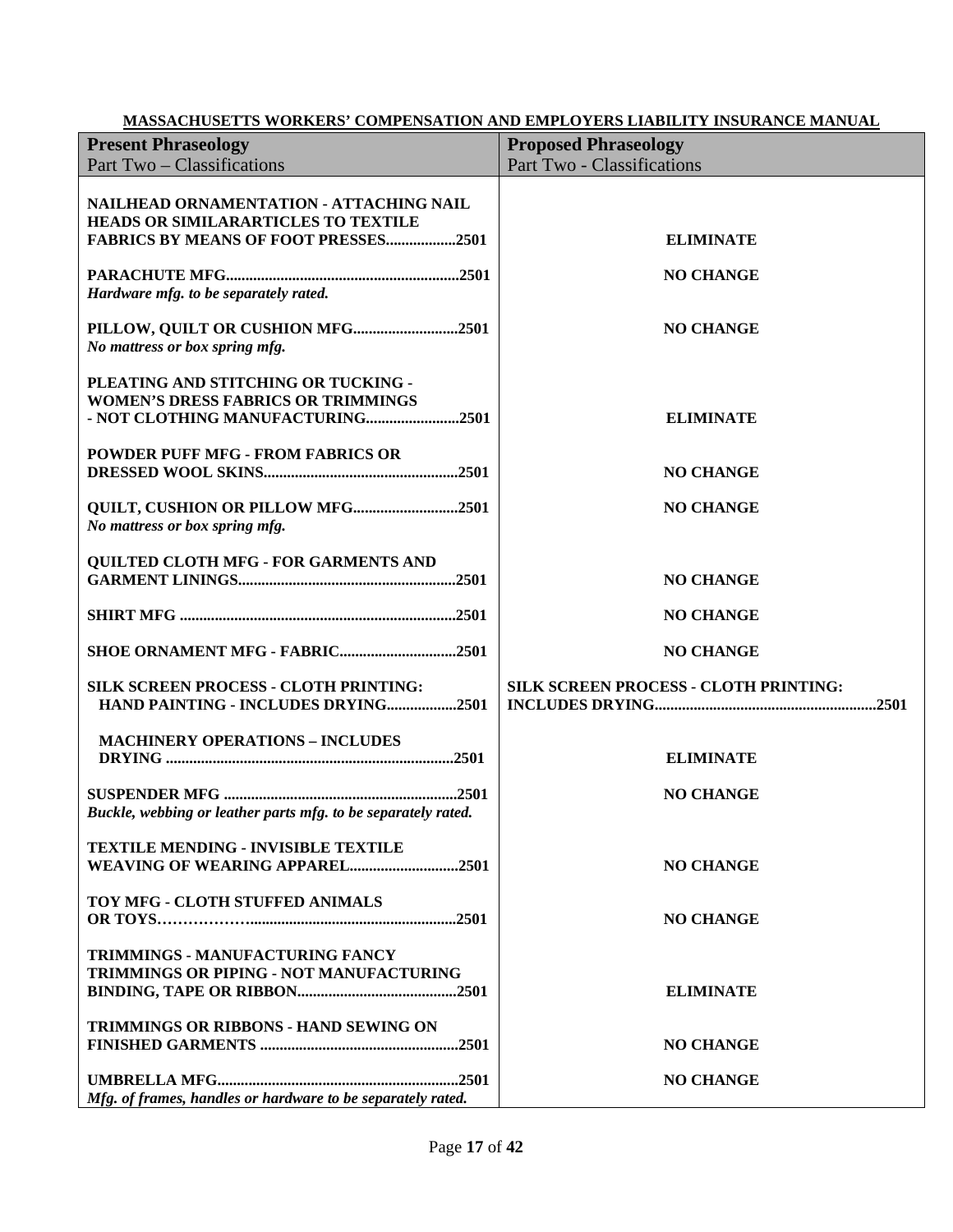| <b>Present Phraseology</b>                                                                                                    | <b>Proposed Phraseology</b>           |
|-------------------------------------------------------------------------------------------------------------------------------|---------------------------------------|
| Part Two – Classifications                                                                                                    | Part Two - Classifications            |
| NAILHEAD ORNAMENTATION - ATTACHING NAIL<br>HEADS OR SIMILARARTICLES TO TEXTILE<br><b>FABRICS BY MEANS OF FOOT PRESSES2501</b> | <b>ELIMINATE</b>                      |
| Hardware mfg. to be separately rated.                                                                                         | <b>NO CHANGE</b>                      |
| PILLOW, QUILT OR CUSHION MFG2501<br>No mattress or box spring mfg.                                                            | <b>NO CHANGE</b>                      |
| PLEATING AND STITCHING OR TUCKING -<br><b>WOMEN'S DRESS FABRICS OR TRIMMINGS</b><br>- NOT CLOTHING MANUFACTURING2501          | <b>ELIMINATE</b>                      |
| <b>POWDER PUFF MFG - FROM FABRICS OR</b>                                                                                      | <b>NO CHANGE</b>                      |
| QUILT, CUSHION OR PILLOW MFG2501<br>No mattress or box spring mfg.                                                            | <b>NO CHANGE</b>                      |
| <b>QUILTED CLOTH MFG - FOR GARMENTS AND</b>                                                                                   | <b>NO CHANGE</b>                      |
|                                                                                                                               | <b>NO CHANGE</b>                      |
| SHOE ORNAMENT MFG - FABRIC2501                                                                                                | <b>NO CHANGE</b>                      |
| <b>SILK SCREEN PROCESS - CLOTH PRINTING:</b><br>HAND PAINTING - INCLUDES DRYING2501                                           | SILK SCREEN PROCESS - CLOTH PRINTING: |
| <b>MACHINERY OPERATIONS - INCLUDES</b>                                                                                        | <b>ELIMINATE</b>                      |
| Buckle, webbing or leather parts mfg. to be separately rated.                                                                 | <b>NO CHANGE</b>                      |
| <b>TEXTILE MENDING - INVISIBLE TEXTILE</b><br>WEAVING OF WEARING APPAREL2501                                                  | <b>NO CHANGE</b>                      |
| TOY MFG - CLOTH STUFFED ANIMALS                                                                                               | <b>NO CHANGE</b>                      |
| <b>TRIMMINGS - MANUFACTURING FANCY</b><br><b>TRIMMINGS OR PIPING - NOT MANUFACTURING</b>                                      | <b>ELIMINATE</b>                      |
| <b>TRIMMINGS OR RIBBONS - HAND SEWING ON</b>                                                                                  | <b>NO CHANGE</b>                      |
| Mfg. of frames, handles or hardware to be separately rated.                                                                   | <b>NO CHANGE</b>                      |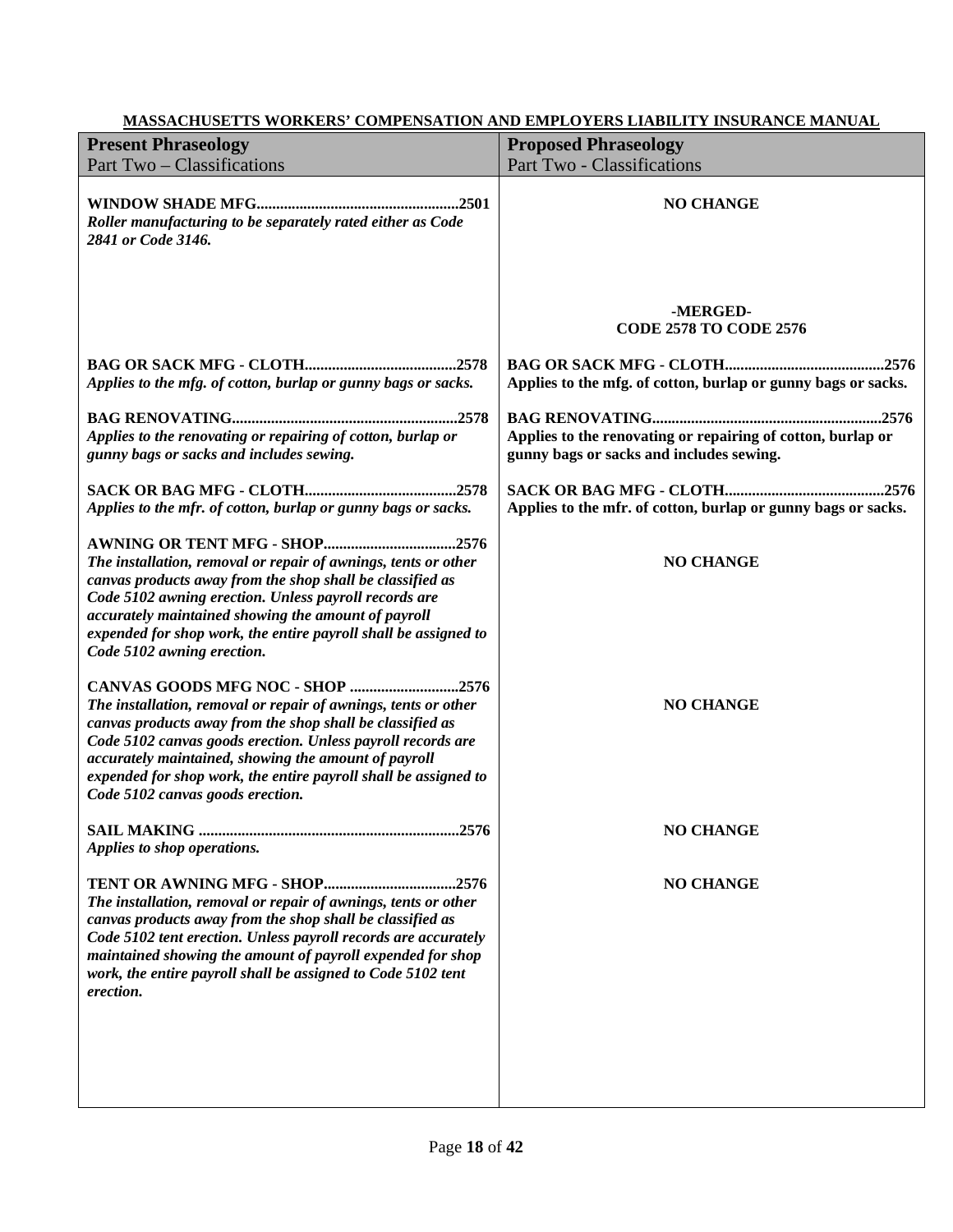| <b>Present Phraseology</b>                                                                                                                                                                                                                                                                                                                                                                    | <b>Proposed Phraseology</b>                                                                             |
|-----------------------------------------------------------------------------------------------------------------------------------------------------------------------------------------------------------------------------------------------------------------------------------------------------------------------------------------------------------------------------------------------|---------------------------------------------------------------------------------------------------------|
| Part Two - Classifications                                                                                                                                                                                                                                                                                                                                                                    | Part Two - Classifications                                                                              |
| Roller manufacturing to be separately rated either as Code<br>2841 or Code 3146.                                                                                                                                                                                                                                                                                                              | <b>NO CHANGE</b>                                                                                        |
|                                                                                                                                                                                                                                                                                                                                                                                               | -MERGED-<br><b>CODE 2578 TO CODE 2576</b>                                                               |
| Applies to the mfg. of cotton, burlap or gunny bags or sacks.                                                                                                                                                                                                                                                                                                                                 | Applies to the mfg. of cotton, burlap or gunny bags or sacks.                                           |
| Applies to the renovating or repairing of cotton, burlap or<br>gunny bags or sacks and includes sewing.                                                                                                                                                                                                                                                                                       | Applies to the renovating or repairing of cotton, burlap or<br>gunny bags or sacks and includes sewing. |
| Applies to the mfr. of cotton, burlap or gunny bags or sacks.                                                                                                                                                                                                                                                                                                                                 | Applies to the mfr. of cotton, burlap or gunny bags or sacks.                                           |
| <b>AWNING OR TENT MFG - SHOP2576</b><br>The installation, removal or repair of awnings, tents or other<br>canvas products away from the shop shall be classified as<br>Code 5102 awning erection. Unless payroll records are<br>accurately maintained showing the amount of payroll<br>expended for shop work, the entire payroll shall be assigned to<br>Code 5102 awning erection.          | <b>NO CHANGE</b>                                                                                        |
| CANVAS GOODS MFG NOC - SHOP 2576<br>The installation, removal or repair of awnings, tents or other<br>canvas products away from the shop shall be classified as<br>Code 5102 canvas goods erection. Unless payroll records are<br>accurately maintained, showing the amount of payroll<br>expended for shop work, the entire payroll shall be assigned to<br>Code 5102 canvas goods erection. | <b>NO CHANGE</b>                                                                                        |
| Applies to shop operations.                                                                                                                                                                                                                                                                                                                                                                   | <b>NO CHANGE</b>                                                                                        |
| The installation, removal or repair of awnings, tents or other<br>canvas products away from the shop shall be classified as<br>Code 5102 tent erection. Unless payroll records are accurately<br>maintained showing the amount of payroll expended for shop<br>work, the entire payroll shall be assigned to Code 5102 tent<br>erection.                                                      | <b>NO CHANGE</b>                                                                                        |
|                                                                                                                                                                                                                                                                                                                                                                                               |                                                                                                         |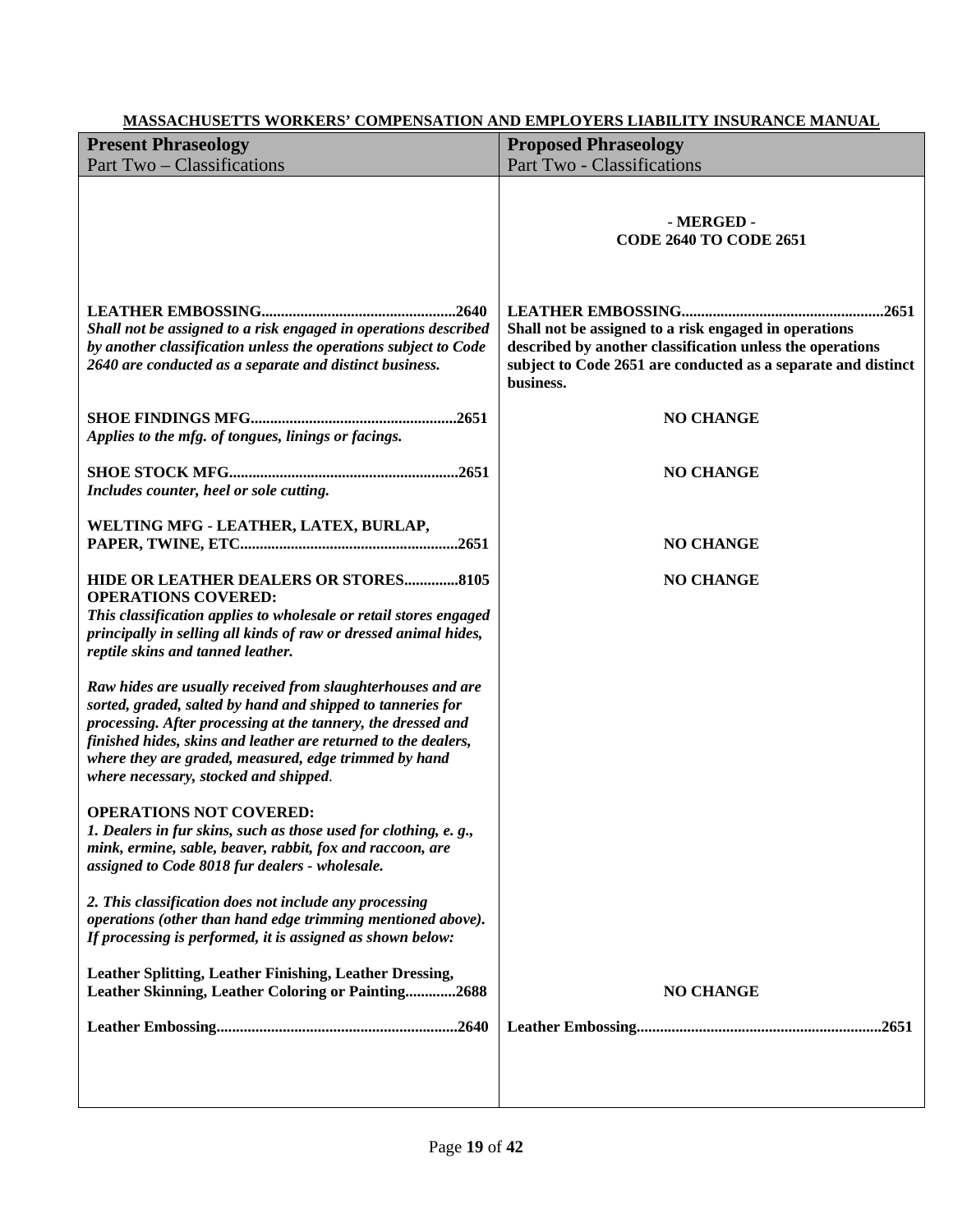| <u>MASSACHUSETTS WORKERS' COMPENSATION AND EMPLOTERS LIABILITY INSURANCE MANUAL</u>                                                                                                                                                                                                                                                                            |                                                                                                                                                                                                  |
|----------------------------------------------------------------------------------------------------------------------------------------------------------------------------------------------------------------------------------------------------------------------------------------------------------------------------------------------------------------|--------------------------------------------------------------------------------------------------------------------------------------------------------------------------------------------------|
| <b>Present Phraseology</b>                                                                                                                                                                                                                                                                                                                                     | <b>Proposed Phraseology</b>                                                                                                                                                                      |
| Part Two – Classifications                                                                                                                                                                                                                                                                                                                                     | Part Two - Classifications                                                                                                                                                                       |
|                                                                                                                                                                                                                                                                                                                                                                | - MERGED -<br><b>CODE 2640 TO CODE 2651</b>                                                                                                                                                      |
| Shall not be assigned to a risk engaged in operations described<br>by another classification unless the operations subject to Code<br>2640 are conducted as a separate and distinct business.                                                                                                                                                                  | Shall not be assigned to a risk engaged in operations<br>described by another classification unless the operations<br>subject to Code 2651 are conducted as a separate and distinct<br>business. |
| Applies to the mfg. of tongues, linings or facings.                                                                                                                                                                                                                                                                                                            | <b>NO CHANGE</b>                                                                                                                                                                                 |
| Includes counter, heel or sole cutting.                                                                                                                                                                                                                                                                                                                        | <b>NO CHANGE</b>                                                                                                                                                                                 |
| WELTING MFG - LEATHER, LATEX, BURLAP,                                                                                                                                                                                                                                                                                                                          | <b>NO CHANGE</b>                                                                                                                                                                                 |
| HIDE OR LEATHER DEALERS OR STORES8105<br><b>OPERATIONS COVERED:</b><br>This classification applies to wholesale or retail stores engaged<br>principally in selling all kinds of raw or dressed animal hides,<br>reptile skins and tanned leather.                                                                                                              | <b>NO CHANGE</b>                                                                                                                                                                                 |
| Raw hides are usually received from slaughterhouses and are<br>sorted, graded, salted by hand and shipped to tanneries for<br>processing. After processing at the tannery, the dressed and<br>finished hides, skins and leather are returned to the dealers,<br>where they are graded, measured, edge trimmed by hand<br>where necessary, stocked and shipped. |                                                                                                                                                                                                  |
| <b>OPERATIONS NOT COVERED:</b><br>1. Dealers in fur skins, such as those used for clothing, e.g.,<br>mink, ermine, sable, beaver, rabbit, fox and raccoon, are<br>assigned to Code 8018 fur dealers - wholesale.                                                                                                                                               |                                                                                                                                                                                                  |
| 2. This classification does not include any processing<br>operations (other than hand edge trimming mentioned above).<br>If processing is performed, it is assigned as shown below:                                                                                                                                                                            |                                                                                                                                                                                                  |
| Leather Splitting, Leather Finishing, Leather Dressing,<br>Leather Skinning, Leather Coloring or Painting2688                                                                                                                                                                                                                                                  | <b>NO CHANGE</b>                                                                                                                                                                                 |
|                                                                                                                                                                                                                                                                                                                                                                |                                                                                                                                                                                                  |
|                                                                                                                                                                                                                                                                                                                                                                |                                                                                                                                                                                                  |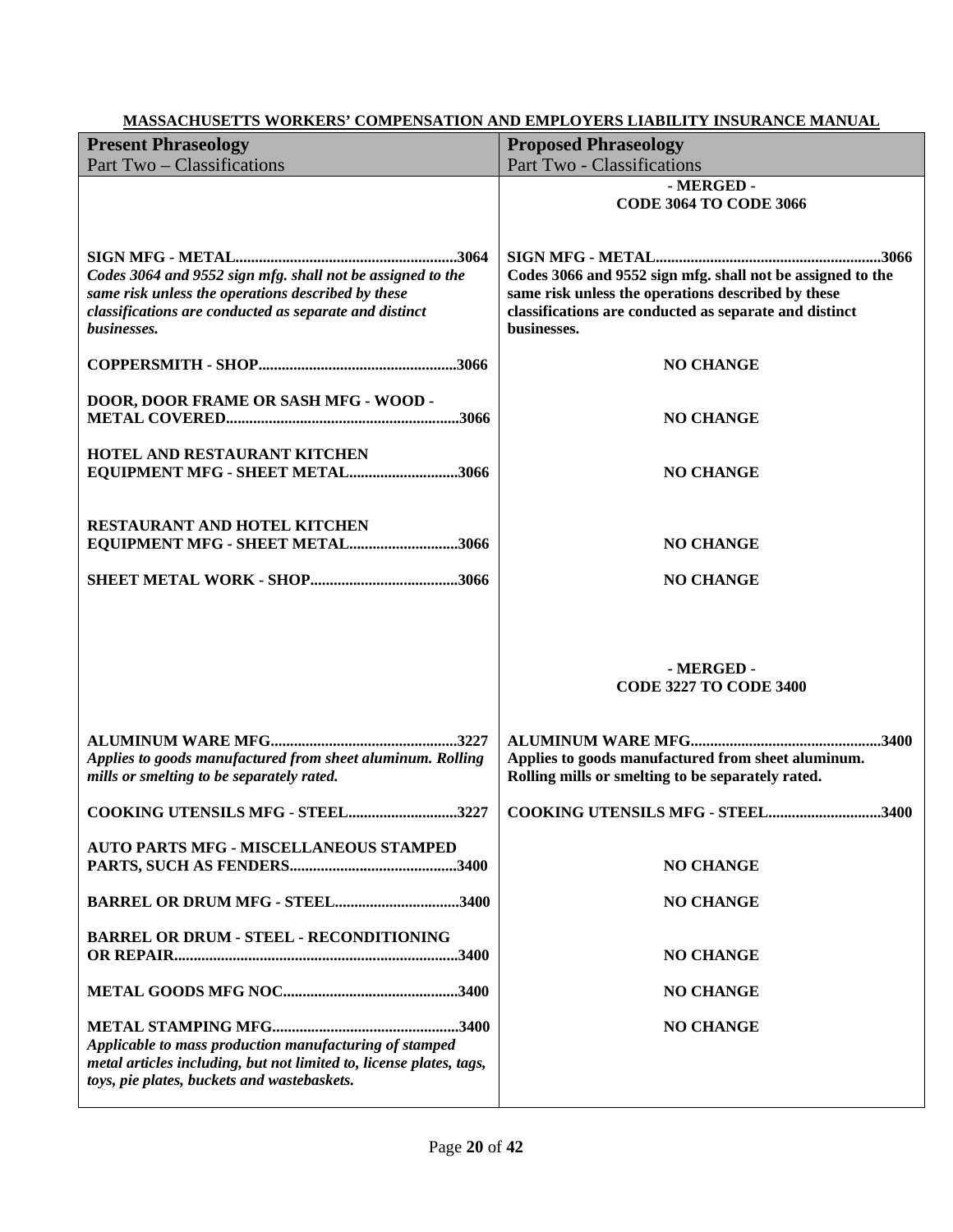| <u>WE ROOM CHUDLE TO WORKERS</u><br><b>Present Phraseology</b><br>Part Two – Classifications                                                                                              | <b>Proposed Phraseology</b><br>Part Two - Classifications                                                                                                                                 |
|-------------------------------------------------------------------------------------------------------------------------------------------------------------------------------------------|-------------------------------------------------------------------------------------------------------------------------------------------------------------------------------------------|
|                                                                                                                                                                                           | - MERGED -<br><b>CODE 3064 TO CODE 3066</b>                                                                                                                                               |
| Codes 3064 and 9552 sign mfg. shall not be assigned to the<br>same risk unless the operations described by these<br>classifications are conducted as separate and distinct<br>businesses. | Codes 3066 and 9552 sign mfg. shall not be assigned to the<br>same risk unless the operations described by these<br>classifications are conducted as separate and distinct<br>businesses. |
|                                                                                                                                                                                           | <b>NO CHANGE</b>                                                                                                                                                                          |
| DOOR, DOOR FRAME OR SASH MFG - WOOD -                                                                                                                                                     | <b>NO CHANGE</b>                                                                                                                                                                          |
| HOTEL AND RESTAURANT KITCHEN<br>EQUIPMENT MFG - SHEET METAL3066                                                                                                                           | <b>NO CHANGE</b>                                                                                                                                                                          |
| <b>RESTAURANT AND HOTEL KITCHEN</b><br>EQUIPMENT MFG - SHEET METAL3066                                                                                                                    | <b>NO CHANGE</b><br><b>NO CHANGE</b>                                                                                                                                                      |
|                                                                                                                                                                                           | - MERGED -<br><b>CODE 3227 TO CODE 3400</b>                                                                                                                                               |
| Applies to goods manufactured from sheet aluminum. Rolling<br>mills or smelting to be separately rated.                                                                                   | Applies to goods manufactured from sheet aluminum.<br>Rolling mills or smelting to be separately rated.                                                                                   |
| COOKING UTENSILS MFG - STEEL3227                                                                                                                                                          | COOKING UTENSILS MFG - STEEL3400                                                                                                                                                          |
| <b>AUTO PARTS MFG - MISCELLANEOUS STAMPED</b>                                                                                                                                             | <b>NO CHANGE</b>                                                                                                                                                                          |
| BARREL OR DRUM MFG - STEEL3400                                                                                                                                                            | <b>NO CHANGE</b>                                                                                                                                                                          |
| <b>BARREL OR DRUM - STEEL - RECONDITIONING</b>                                                                                                                                            | <b>NO CHANGE</b>                                                                                                                                                                          |
|                                                                                                                                                                                           | <b>NO CHANGE</b>                                                                                                                                                                          |
| Applicable to mass production manufacturing of stamped<br>metal articles including, but not limited to, license plates, tags,<br>toys, pie plates, buckets and wastebaskets.              | <b>NO CHANGE</b>                                                                                                                                                                          |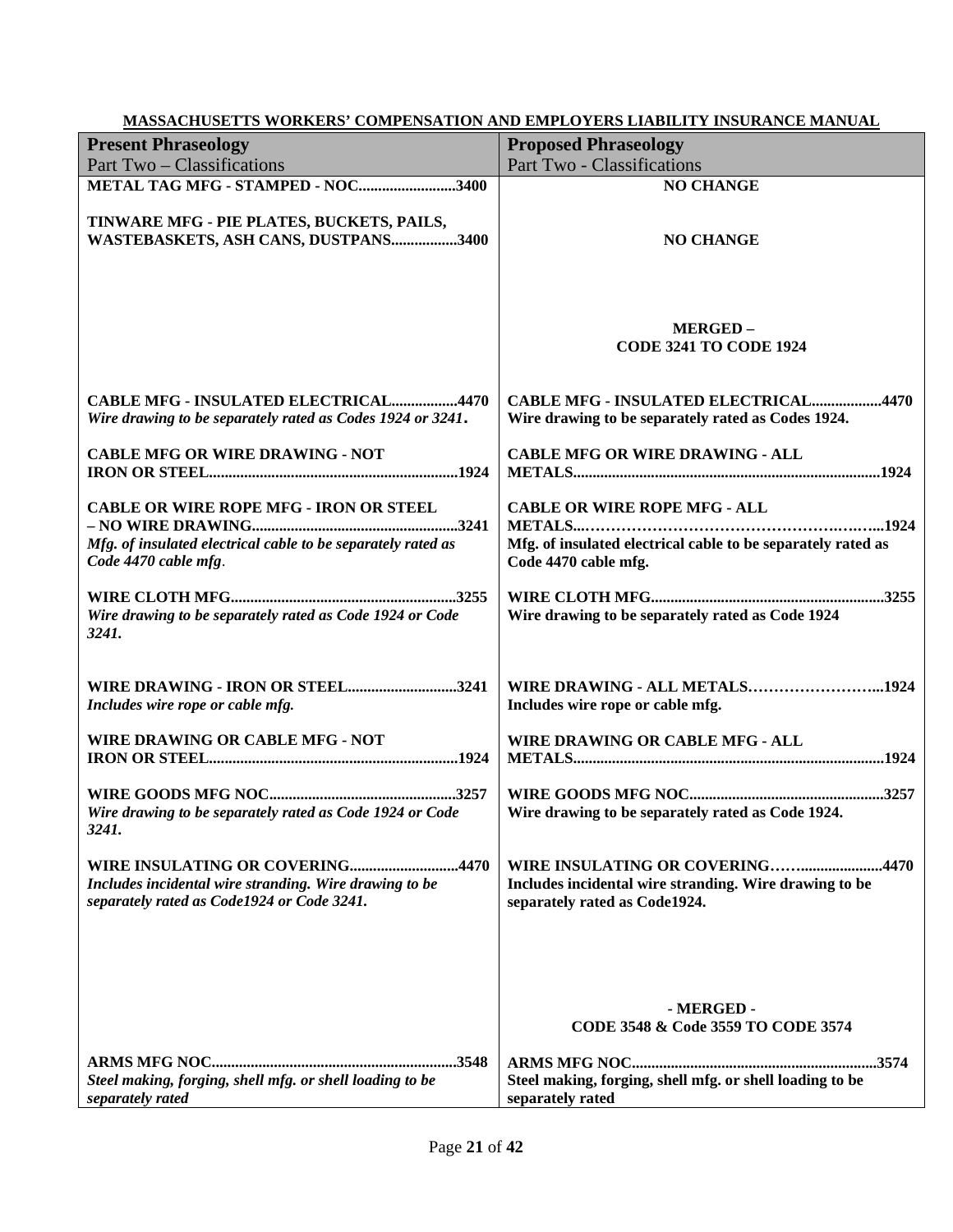| <u>MASSACHUSET IS WORKERS' COMPENSATION AND EMPLOYERS LIABILITY INSURANCE MANUAL</u>                                                    |                                                                                                                            |
|-----------------------------------------------------------------------------------------------------------------------------------------|----------------------------------------------------------------------------------------------------------------------------|
| <b>Present Phraseology</b>                                                                                                              | <b>Proposed Phraseology</b>                                                                                                |
| Part Two - Classifications                                                                                                              | Part Two - Classifications                                                                                                 |
| METAL TAG MFG - STAMPED - NOC3400                                                                                                       | <b>NO CHANGE</b>                                                                                                           |
| TINWARE MFG - PIE PLATES, BUCKETS, PAILS,<br>WASTEBASKETS, ASH CANS, DUSTPANS3400                                                       | <b>NO CHANGE</b>                                                                                                           |
|                                                                                                                                         | <b>MERGED-</b><br><b>CODE 3241 TO CODE 1924</b>                                                                            |
| <b>CABLE MFG - INSULATED ELECTRICAL4470</b><br>Wire drawing to be separately rated as Codes 1924 or 3241.                               | <b>CABLE MFG - INSULATED ELECTRICAL4470</b><br>Wire drawing to be separately rated as Codes 1924.                          |
| <b>CABLE MFG OR WIRE DRAWING - NOT</b>                                                                                                  | <b>CABLE MFG OR WIRE DRAWING - ALL</b>                                                                                     |
| <b>CABLE OR WIRE ROPE MFG - IRON OR STEEL</b>                                                                                           | <b>CABLE OR WIRE ROPE MFG - ALL</b>                                                                                        |
|                                                                                                                                         |                                                                                                                            |
| Mfg. of insulated electrical cable to be separately rated as<br>Code 4470 cable mfg.                                                    | Mfg. of insulated electrical cable to be separately rated as<br>Code 4470 cable mfg.                                       |
| Wire drawing to be separately rated as Code 1924 or Code<br>3241.                                                                       | Wire drawing to be separately rated as Code 1924                                                                           |
|                                                                                                                                         |                                                                                                                            |
| WIRE DRAWING - IRON OR STEEL3241<br>Includes wire rope or cable mfg.                                                                    | WIRE DRAWING - ALL METALS1924<br>Includes wire rope or cable mfg.                                                          |
| WIRE DRAWING OR CABLE MFG - NOT                                                                                                         | <b>WIRE DRAWING OR CABLE MFG - ALL</b>                                                                                     |
| Wire drawing to be separately rated as Code 1924 or Code<br>3241.                                                                       | Wire drawing to be separately rated as Code 1924.                                                                          |
|                                                                                                                                         |                                                                                                                            |
| WIRE INSULATING OR COVERING4470<br>Includes incidental wire stranding. Wire drawing to be<br>separately rated as Code1924 or Code 3241. | WIRE INSULATING OR COVERING4470<br>Includes incidental wire stranding. Wire drawing to be<br>separately rated as Code1924. |
|                                                                                                                                         |                                                                                                                            |
|                                                                                                                                         | - MERGED -<br>CODE 3548 & Code 3559 TO CODE 3574                                                                           |
|                                                                                                                                         |                                                                                                                            |
| Steel making, forging, shell mfg. or shell loading to be                                                                                | Steel making, forging, shell mfg. or shell loading to be                                                                   |
| separately rated                                                                                                                        | separately rated                                                                                                           |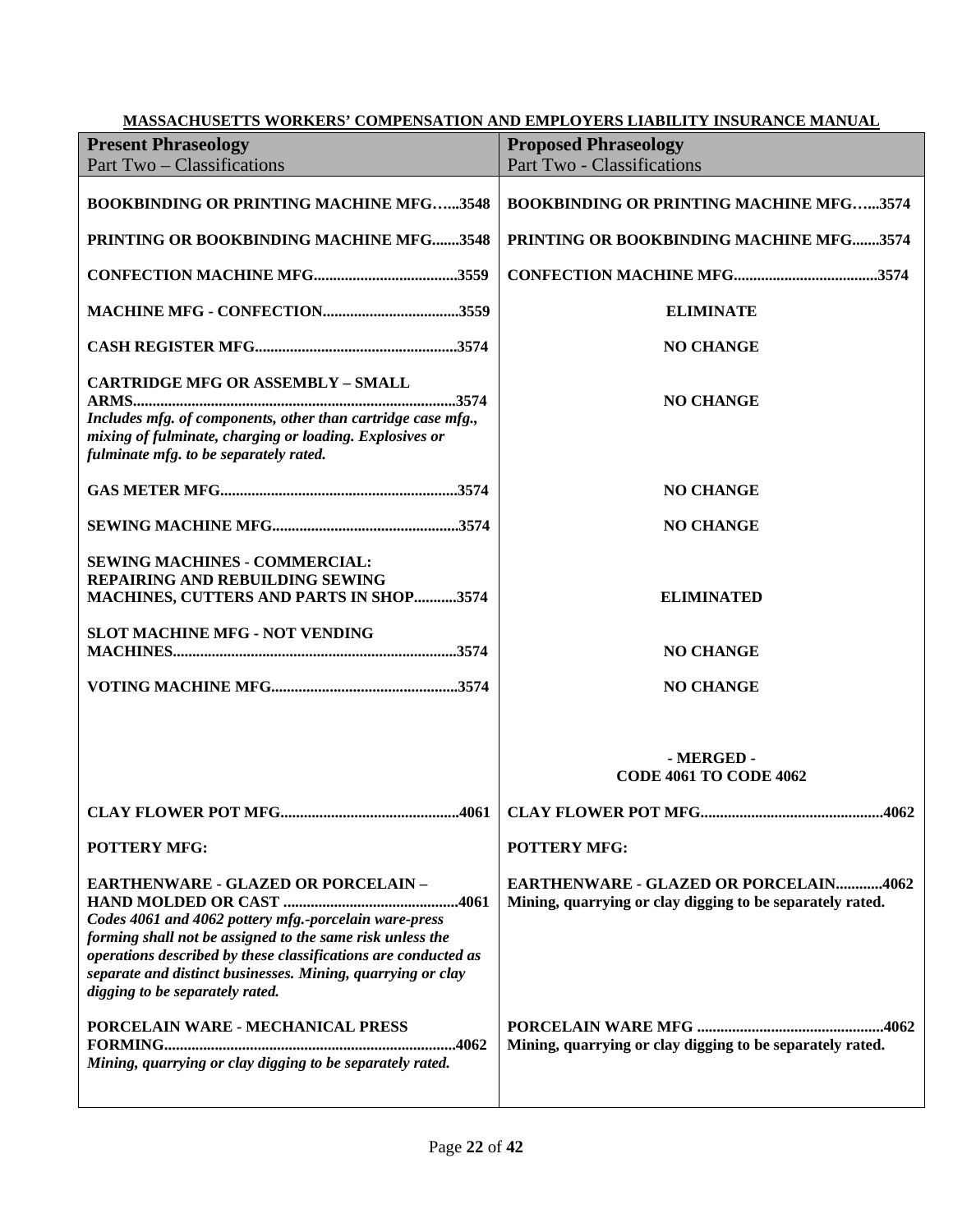| MASSACHUSETTS WORKERS' COMPENSATION AND EMPLOYERS LIABILITY INSURANCE MANUAL                                                                                                                                                                                                                                                         |                                                                                                           |  |
|--------------------------------------------------------------------------------------------------------------------------------------------------------------------------------------------------------------------------------------------------------------------------------------------------------------------------------------|-----------------------------------------------------------------------------------------------------------|--|
| <b>Present Phraseology</b>                                                                                                                                                                                                                                                                                                           | <b>Proposed Phraseology</b>                                                                               |  |
| Part Two – Classifications                                                                                                                                                                                                                                                                                                           | Part Two - Classifications                                                                                |  |
| <b>BOOKBINDING OR PRINTING MACHINE MFG3548</b>                                                                                                                                                                                                                                                                                       | <b>BOOKBINDING OR PRINTING MACHINE MFG3574</b>                                                            |  |
| PRINTING OR BOOKBINDING MACHINE MFG3548                                                                                                                                                                                                                                                                                              | PRINTING OR BOOKBINDING MACHINE MFG3574                                                                   |  |
|                                                                                                                                                                                                                                                                                                                                      |                                                                                                           |  |
|                                                                                                                                                                                                                                                                                                                                      | <b>ELIMINATE</b>                                                                                          |  |
|                                                                                                                                                                                                                                                                                                                                      | <b>NO CHANGE</b>                                                                                          |  |
| <b>CARTRIDGE MFG OR ASSEMBLY - SMALL</b><br>Includes mfg. of components, other than cartridge case mfg.,<br>mixing of fulminate, charging or loading. Explosives or<br>fulminate mfg. to be separately rated.                                                                                                                        | <b>NO CHANGE</b>                                                                                          |  |
|                                                                                                                                                                                                                                                                                                                                      | <b>NO CHANGE</b>                                                                                          |  |
|                                                                                                                                                                                                                                                                                                                                      | <b>NO CHANGE</b>                                                                                          |  |
| <b>SEWING MACHINES - COMMERCIAL:</b><br><b>REPAIRING AND REBUILDING SEWING</b><br>MACHINES, CUTTERS AND PARTS IN SHOP 3574                                                                                                                                                                                                           | <b>ELIMINATED</b>                                                                                         |  |
| SLOT MACHINE MFG - NOT VENDING                                                                                                                                                                                                                                                                                                       | <b>NO CHANGE</b>                                                                                          |  |
|                                                                                                                                                                                                                                                                                                                                      | <b>NO CHANGE</b>                                                                                          |  |
|                                                                                                                                                                                                                                                                                                                                      | - MERGED -<br><b>CODE 4061 TO CODE 4062</b>                                                               |  |
| <b>CLAY FLOWER POT MFG</b>                                                                                                                                                                                                                                                                                                           | .4062                                                                                                     |  |
| <b>POTTERY MFG:</b>                                                                                                                                                                                                                                                                                                                  | <b>POTTERY MFG:</b>                                                                                       |  |
| <b>EARTHENWARE - GLAZED OR PORCELAIN -</b><br>Codes 4061 and 4062 pottery mfg.-porcelain ware-press<br>forming shall not be assigned to the same risk unless the<br>operations described by these classifications are conducted as<br>separate and distinct businesses. Mining, quarrying or clay<br>digging to be separately rated. | <b>EARTHENWARE - GLAZED OR PORCELAIN4062</b><br>Mining, quarrying or clay digging to be separately rated. |  |
| PORCELAIN WARE - MECHANICAL PRESS<br>Mining, quarrying or clay digging to be separately rated.                                                                                                                                                                                                                                       | Mining, quarrying or clay digging to be separately rated.                                                 |  |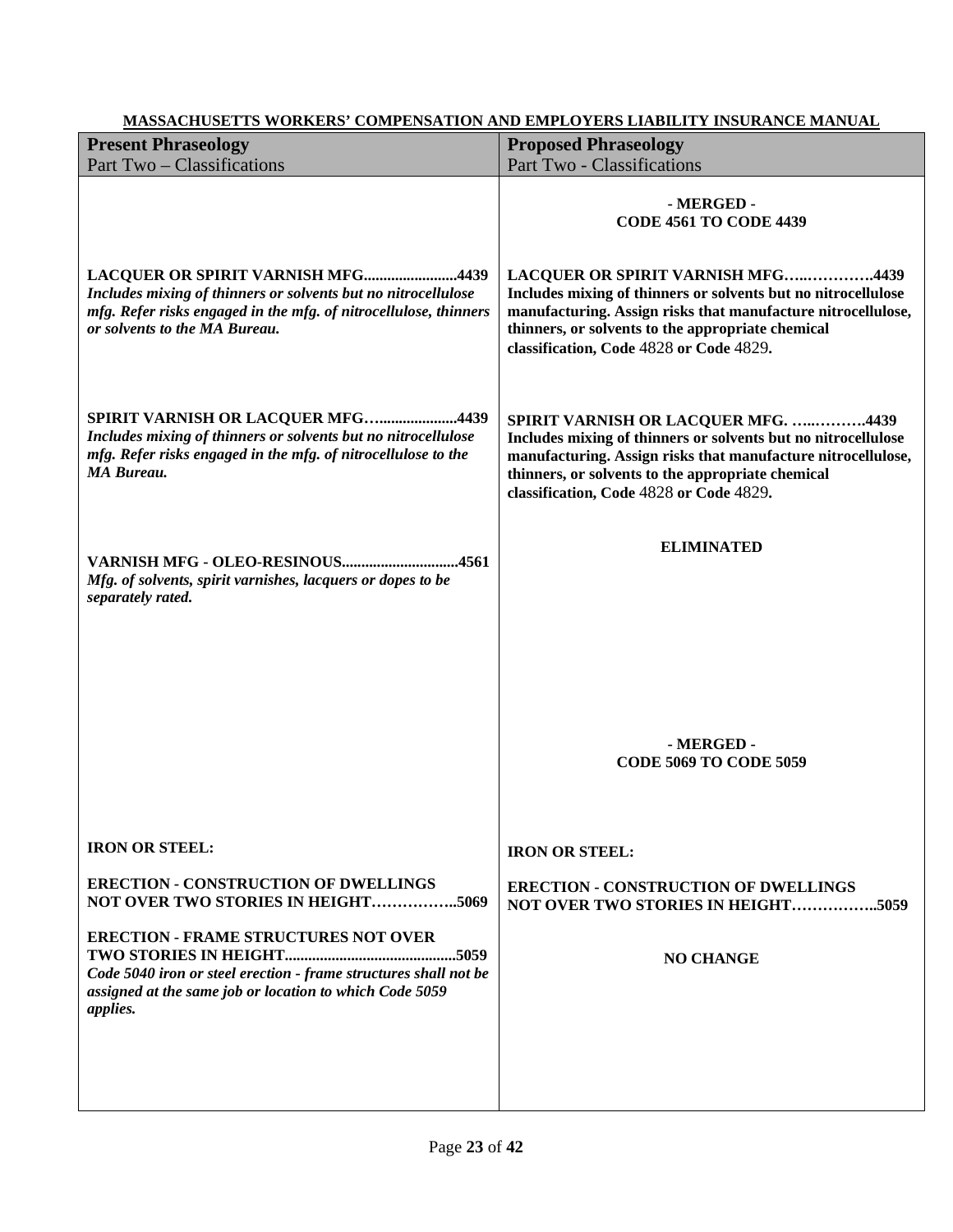| <b>Present Phraseology</b>                                                                                                                                                                              | <b>Proposed Phraseology</b>                                                                                                                                                                                                                                          |
|---------------------------------------------------------------------------------------------------------------------------------------------------------------------------------------------------------|----------------------------------------------------------------------------------------------------------------------------------------------------------------------------------------------------------------------------------------------------------------------|
| Part Two – Classifications                                                                                                                                                                              | Part Two - Classifications<br>- MERGED -<br><b>CODE 4561 TO CODE 4439</b>                                                                                                                                                                                            |
| LACQUER OR SPIRIT VARNISH MFG4439<br>Includes mixing of thinners or solvents but no nitrocellulose<br>mfg. Refer risks engaged in the mfg. of nitrocellulose, thinners<br>or solvents to the MA Bureau. | LACQUER OR SPIRIT VARNISH MFG4439<br>Includes mixing of thinners or solvents but no nitrocellulose<br>manufacturing. Assign risks that manufacture nitrocellulose,<br>thinners, or solvents to the appropriate chemical<br>classification, Code 4828 or Code 4829.   |
| SPIRIT VARNISH OR LACQUER MFG4439<br>Includes mixing of thinners or solvents but no nitrocellulose<br>mfg. Refer risks engaged in the mfg. of nitrocellulose to the<br><b>MA Bureau.</b>                | SPIRIT VARNISH OR LACQUER MFG. 4439<br>Includes mixing of thinners or solvents but no nitrocellulose<br>manufacturing. Assign risks that manufacture nitrocellulose,<br>thinners, or solvents to the appropriate chemical<br>classification, Code 4828 or Code 4829. |
| VARNISH MFG - OLEO-RESINOUS4561<br>Mfg. of solvents, spirit varnishes, lacquers or dopes to be<br>separately rated.                                                                                     | <b>ELIMINATED</b>                                                                                                                                                                                                                                                    |
|                                                                                                                                                                                                         | - MERGED -<br><b>CODE 5069 TO CODE 5059</b>                                                                                                                                                                                                                          |
| <b>IRON OR STEEL:</b>                                                                                                                                                                                   | <b>IRON OR STEEL:</b>                                                                                                                                                                                                                                                |
| <b>ERECTION - CONSTRUCTION OF DWELLINGS</b><br>NOT OVER TWO STORIES IN HEIGHT5069                                                                                                                       | <b>ERECTION - CONSTRUCTION OF DWELLINGS</b><br>NOT OVER TWO STORIES IN HEIGHT5059                                                                                                                                                                                    |
| <b>ERECTION - FRAME STRUCTURES NOT OVER</b><br>Code 5040 iron or steel erection - frame structures shall not be<br>assigned at the same job or location to which Code 5059<br>applies.                  | <b>NO CHANGE</b>                                                                                                                                                                                                                                                     |
|                                                                                                                                                                                                         |                                                                                                                                                                                                                                                                      |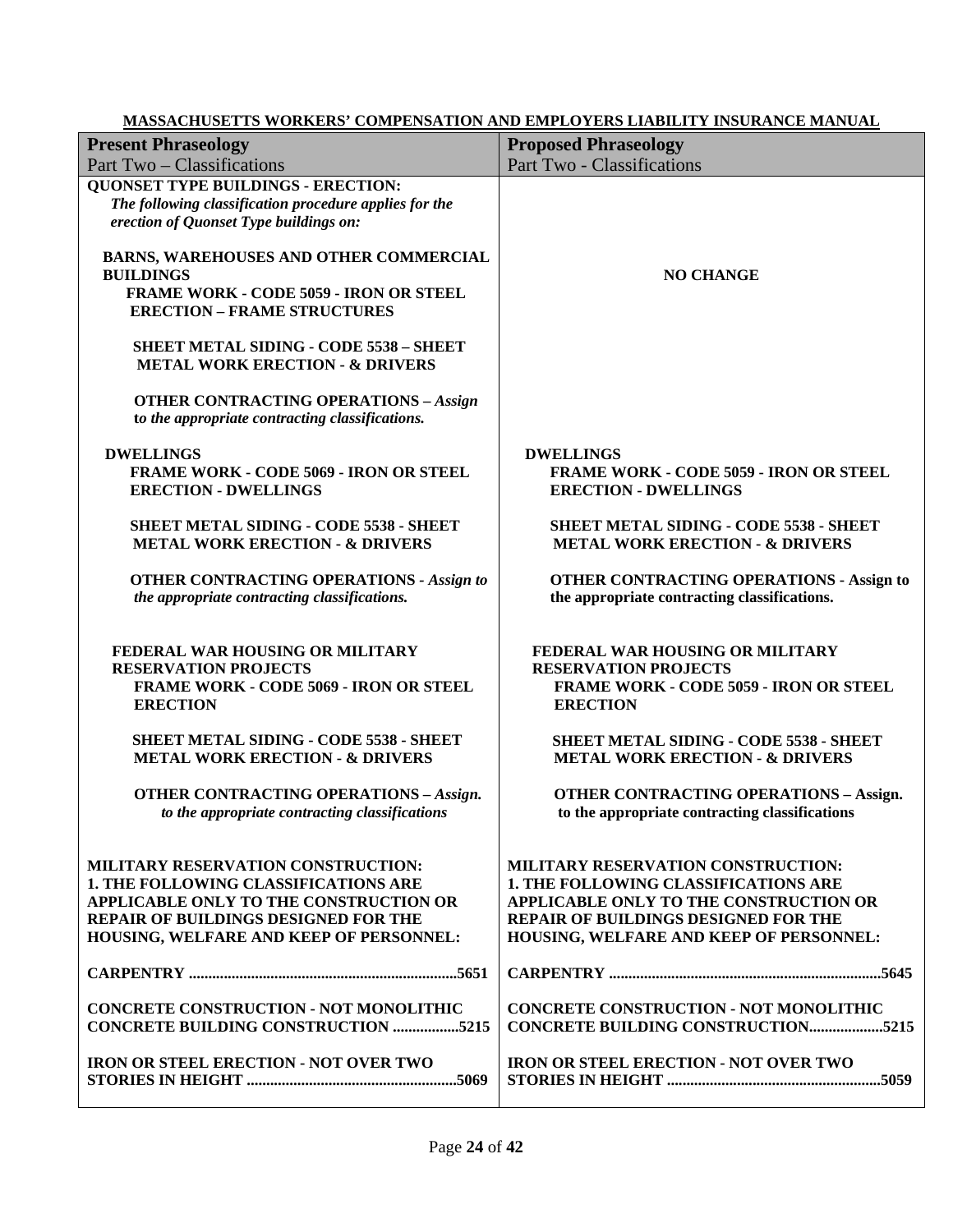| <b>Present Phraseology</b>                                                                                                                                                                                            | <b>Proposed Phraseology</b>                                                                                                                                                                                    |
|-----------------------------------------------------------------------------------------------------------------------------------------------------------------------------------------------------------------------|----------------------------------------------------------------------------------------------------------------------------------------------------------------------------------------------------------------|
| Part Two – Classifications                                                                                                                                                                                            | Part Two - Classifications                                                                                                                                                                                     |
| <b>QUONSET TYPE BUILDINGS - ERECTION:</b>                                                                                                                                                                             |                                                                                                                                                                                                                |
| The following classification procedure applies for the                                                                                                                                                                |                                                                                                                                                                                                                |
| erection of Quonset Type buildings on:                                                                                                                                                                                |                                                                                                                                                                                                                |
| BARNS, WAREHOUSES AND OTHER COMMERCIAL<br><b>BUILDINGS</b>                                                                                                                                                            | <b>NO CHANGE</b>                                                                                                                                                                                               |
| <b>FRAME WORK - CODE 5059 - IRON OR STEEL</b><br><b>ERECTION - FRAME STRUCTURES</b>                                                                                                                                   |                                                                                                                                                                                                                |
| <b>SHEET METAL SIDING - CODE 5538 - SHEET</b><br><b>METAL WORK ERECTION - &amp; DRIVERS</b>                                                                                                                           |                                                                                                                                                                                                                |
| <b>OTHER CONTRACTING OPERATIONS - Assign</b><br>to the appropriate contracting classifications.                                                                                                                       |                                                                                                                                                                                                                |
| <b>DWELLINGS</b>                                                                                                                                                                                                      | <b>DWELLINGS</b>                                                                                                                                                                                               |
| <b>FRAME WORK - CODE 5069 - IRON OR STEEL</b><br><b>ERECTION - DWELLINGS</b>                                                                                                                                          | <b>FRAME WORK - CODE 5059 - IRON OR STEEL</b><br><b>ERECTION - DWELLINGS</b>                                                                                                                                   |
| <b>SHEET METAL SIDING - CODE 5538 - SHEET</b><br><b>METAL WORK ERECTION - &amp; DRIVERS</b>                                                                                                                           | <b>SHEET METAL SIDING - CODE 5538 - SHEET</b><br><b>METAL WORK ERECTION - &amp; DRIVERS</b>                                                                                                                    |
|                                                                                                                                                                                                                       |                                                                                                                                                                                                                |
| <b>OTHER CONTRACTING OPERATIONS - Assign to</b><br>the appropriate contracting classifications.                                                                                                                       | <b>OTHER CONTRACTING OPERATIONS - Assign to</b><br>the appropriate contracting classifications.                                                                                                                |
| FEDERAL WAR HOUSING OR MILITARY<br><b>RESERVATION PROJECTS</b><br><b>FRAME WORK - CODE 5069 - IRON OR STEEL</b><br><b>ERECTION</b>                                                                                    | FEDERAL WAR HOUSING OR MILITARY<br><b>RESERVATION PROJECTS</b><br><b>FRAME WORK - CODE 5059 - IRON OR STEEL</b><br><b>ERECTION</b>                                                                             |
| <b>SHEET METAL SIDING - CODE 5538 - SHEET</b><br><b>METAL WORK ERECTION - &amp; DRIVERS</b>                                                                                                                           | <b>SHEET METAL SIDING - CODE 5538 - SHEET</b><br><b>METAL WORK ERECTION - &amp; DRIVERS</b>                                                                                                                    |
| <b>OTHER CONTRACTING OPERATIONS - Assign.</b><br>to the appropriate contracting classifications                                                                                                                       | <b>OTHER CONTRACTING OPERATIONS - Assign.</b><br>to the appropriate contracting classifications                                                                                                                |
| MILITARY RESERVATION CONSTRUCTION:<br><b>1. THE FOLLOWING CLASSIFICATIONS ARE</b><br>APPLICABLE ONLY TO THE CONSTRUCTION OR<br><b>REPAIR OF BUILDINGS DESIGNED FOR THE</b><br>HOUSING, WELFARE AND KEEP OF PERSONNEL: | MILITARY RESERVATION CONSTRUCTION:<br><b>1. THE FOLLOWING CLASSIFICATIONS ARE</b><br>APPLICABLE ONLY TO THE CONSTRUCTION OR<br>REPAIR OF BUILDINGS DESIGNED FOR THE<br>HOUSING, WELFARE AND KEEP OF PERSONNEL: |
|                                                                                                                                                                                                                       |                                                                                                                                                                                                                |
| <b>CONCRETE CONSTRUCTION - NOT MONOLITHIC</b><br><b>CONCRETE BUILDING CONSTRUCTION 5215</b>                                                                                                                           | <b>CONCRETE CONSTRUCTION - NOT MONOLITHIC</b><br><b>CONCRETE BUILDING CONSTRUCTION5215</b>                                                                                                                     |
| <b>IRON OR STEEL ERECTION - NOT OVER TWO</b>                                                                                                                                                                          | <b>IRON OR STEEL ERECTION - NOT OVER TWO</b>                                                                                                                                                                   |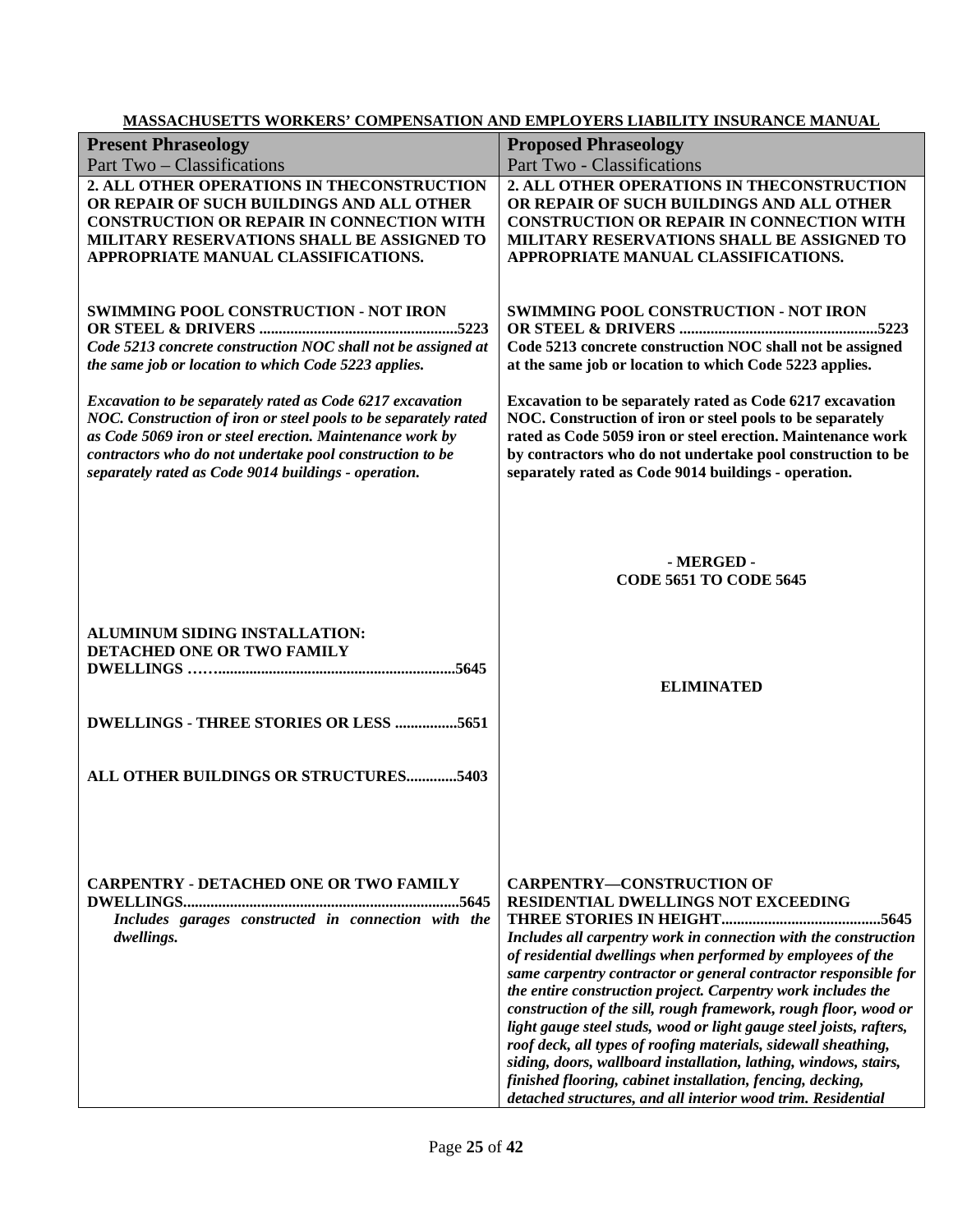|                                                                 | <u>MASSACHUSET IS WONNERS COMI ENSATION AND EMI EOTERS LIABILITT INSURANCE MANOAL</u> |
|-----------------------------------------------------------------|---------------------------------------------------------------------------------------|
| <b>Present Phraseology</b>                                      | <b>Proposed Phraseology</b>                                                           |
| Part Two – Classifications                                      | Part Two - Classifications                                                            |
| 2. ALL OTHER OPERATIONS IN THECONSTRUCTION                      | 2. ALL OTHER OPERATIONS IN THECONSTRUCTION                                            |
| OR REPAIR OF SUCH BUILDINGS AND ALL OTHER                       | OR REPAIR OF SUCH BUILDINGS AND ALL OTHER                                             |
|                                                                 |                                                                                       |
| <b>CONSTRUCTION OR REPAIR IN CONNECTION WITH</b>                | <b>CONSTRUCTION OR REPAIR IN CONNECTION WITH</b>                                      |
| MILITARY RESERVATIONS SHALL BE ASSIGNED TO                      | MILITARY RESERVATIONS SHALL BE ASSIGNED TO                                            |
| APPROPRIATE MANUAL CLASSIFICATIONS.                             | APPROPRIATE MANUAL CLASSIFICATIONS.                                                   |
|                                                                 |                                                                                       |
|                                                                 |                                                                                       |
| <b>SWIMMING POOL CONSTRUCTION - NOT IRON</b>                    | <b>SWIMMING POOL CONSTRUCTION - NOT IRON</b>                                          |
|                                                                 |                                                                                       |
| Code 5213 concrete construction NOC shall not be assigned at    | Code 5213 concrete construction NOC shall not be assigned                             |
| the same job or location to which Code 5223 applies.            | at the same job or location to which Code 5223 applies.                               |
|                                                                 |                                                                                       |
|                                                                 |                                                                                       |
| Excavation to be separately rated as Code 6217 excavation       | Excavation to be separately rated as Code 6217 excavation                             |
| NOC. Construction of iron or steel pools to be separately rated | NOC. Construction of iron or steel pools to be separately                             |
| as Code 5069 iron or steel erection. Maintenance work by        | rated as Code 5059 iron or steel erection. Maintenance work                           |
| contractors who do not undertake pool construction to be        | by contractors who do not undertake pool construction to be                           |
| separately rated as Code 9014 buildings - operation.            | separately rated as Code 9014 buildings - operation.                                  |
|                                                                 |                                                                                       |
|                                                                 |                                                                                       |
|                                                                 |                                                                                       |
|                                                                 |                                                                                       |
|                                                                 | - MERGED -                                                                            |
|                                                                 |                                                                                       |
|                                                                 | <b>CODE 5651 TO CODE 5645</b>                                                         |
|                                                                 |                                                                                       |
|                                                                 |                                                                                       |
| ALUMINUM SIDING INSTALLATION:                                   |                                                                                       |
| DETACHED ONE OR TWO FAMILY                                      |                                                                                       |
|                                                                 |                                                                                       |
|                                                                 | <b>ELIMINATED</b>                                                                     |
|                                                                 |                                                                                       |
| <b>DWELLINGS - THREE STORIES OR LESS 5651</b>                   |                                                                                       |
|                                                                 |                                                                                       |
|                                                                 |                                                                                       |
|                                                                 |                                                                                       |
| ALL OTHER BUILDINGS OR STRUCTURES5403                           |                                                                                       |
|                                                                 |                                                                                       |
|                                                                 |                                                                                       |
|                                                                 |                                                                                       |
|                                                                 |                                                                                       |
|                                                                 |                                                                                       |
| <b>CARPENTRY - DETACHED ONE OR TWO FAMILY</b>                   | <b>CARPENTRY-CONSTRUCTION OF</b>                                                      |
|                                                                 | RESIDENTIAL DWELLINGS NOT EXCEEDING                                                   |
|                                                                 |                                                                                       |
| Includes garages constructed in connection with the             |                                                                                       |
| dwellings.                                                      | Includes all carpentry work in connection with the construction                       |
|                                                                 | of residential dwellings when performed by employees of the                           |
|                                                                 | same carpentry contractor or general contractor responsible for                       |
|                                                                 |                                                                                       |
|                                                                 |                                                                                       |
|                                                                 | the entire construction project. Carpentry work includes the                          |
|                                                                 | construction of the sill, rough framework, rough floor, wood or                       |
|                                                                 | light gauge steel studs, wood or light gauge steel joists, rafters,                   |
|                                                                 | roof deck, all types of roofing materials, sidewall sheathing,                        |
|                                                                 | siding, doors, wallboard installation, lathing, windows, stairs,                      |
|                                                                 | finished flooring, cabinet installation, fencing, decking,                            |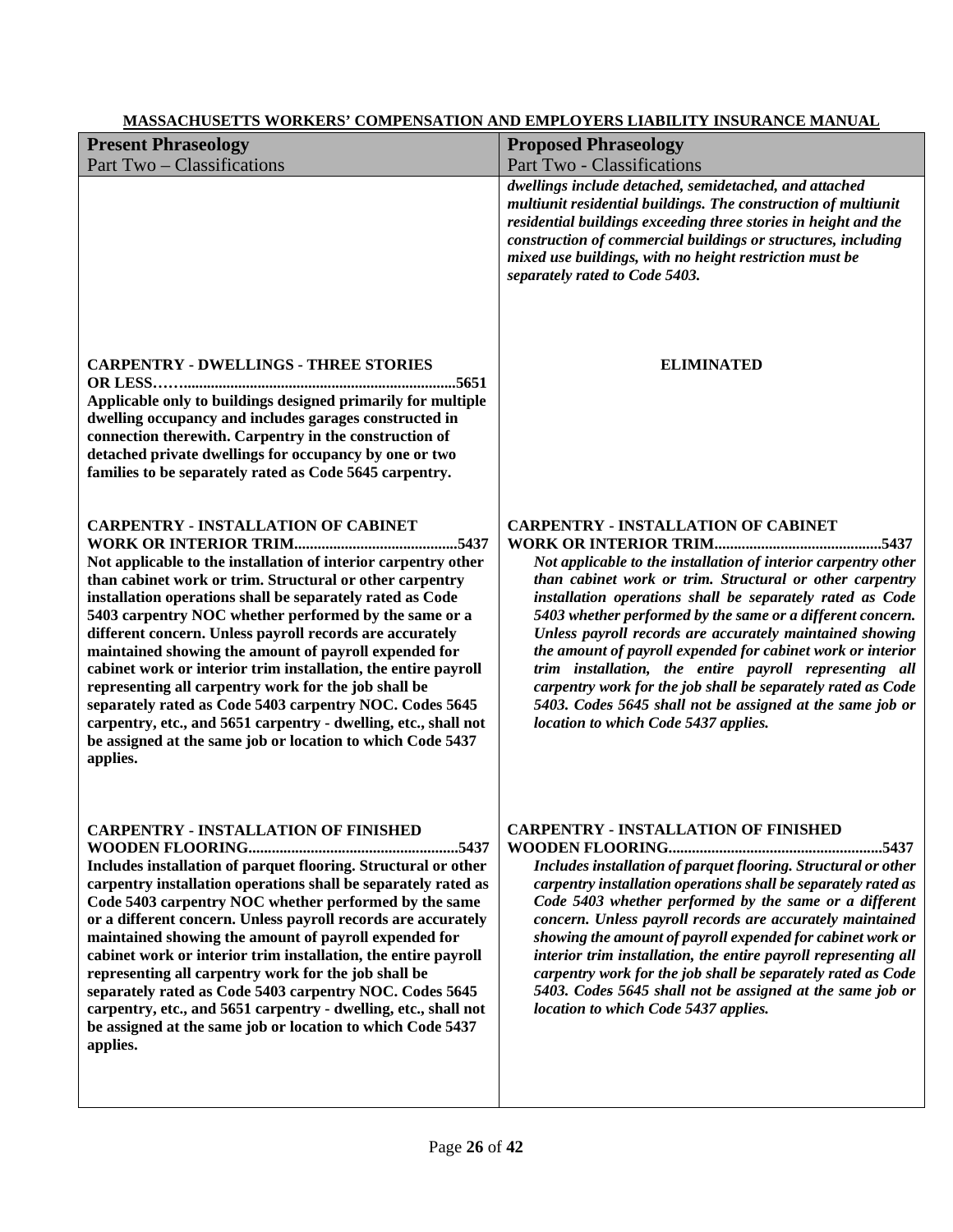| <b>MASSACHUSETTS WORKERS' COMPENSATION AND EMPLOYERS LIABILITY INSURANCE MANUAL</b>                                                                                                                                                                                                                                                                                                                                                                                                                                                                                                                                                                                                                                                                   |                                                                                                                                                                                                                                                                                                                                                                                                                                                                                                                                                                                                                                                               |  |
|-------------------------------------------------------------------------------------------------------------------------------------------------------------------------------------------------------------------------------------------------------------------------------------------------------------------------------------------------------------------------------------------------------------------------------------------------------------------------------------------------------------------------------------------------------------------------------------------------------------------------------------------------------------------------------------------------------------------------------------------------------|---------------------------------------------------------------------------------------------------------------------------------------------------------------------------------------------------------------------------------------------------------------------------------------------------------------------------------------------------------------------------------------------------------------------------------------------------------------------------------------------------------------------------------------------------------------------------------------------------------------------------------------------------------------|--|
| <b>Present Phraseology</b>                                                                                                                                                                                                                                                                                                                                                                                                                                                                                                                                                                                                                                                                                                                            | <b>Proposed Phraseology</b>                                                                                                                                                                                                                                                                                                                                                                                                                                                                                                                                                                                                                                   |  |
| Part Two - Classifications                                                                                                                                                                                                                                                                                                                                                                                                                                                                                                                                                                                                                                                                                                                            | Part Two - Classifications                                                                                                                                                                                                                                                                                                                                                                                                                                                                                                                                                                                                                                    |  |
|                                                                                                                                                                                                                                                                                                                                                                                                                                                                                                                                                                                                                                                                                                                                                       | dwellings include detached, semidetached, and attached<br>multiunit residential buildings. The construction of multiunit<br>residential buildings exceeding three stories in height and the<br>construction of commercial buildings or structures, including<br>mixed use buildings, with no height restriction must be<br>separately rated to Code 5403.                                                                                                                                                                                                                                                                                                     |  |
| <b>CARPENTRY - DWELLINGS - THREE STORIES</b><br>Applicable only to buildings designed primarily for multiple<br>dwelling occupancy and includes garages constructed in<br>connection therewith. Carpentry in the construction of<br>detached private dwellings for occupancy by one or two<br>families to be separately rated as Code 5645 carpentry.                                                                                                                                                                                                                                                                                                                                                                                                 | <b>ELIMINATED</b>                                                                                                                                                                                                                                                                                                                                                                                                                                                                                                                                                                                                                                             |  |
| <b>CARPENTRY - INSTALLATION OF CABINET</b><br>Not applicable to the installation of interior carpentry other<br>than cabinet work or trim. Structural or other carpentry<br>installation operations shall be separately rated as Code<br>5403 carpentry NOC whether performed by the same or a<br>different concern. Unless payroll records are accurately<br>maintained showing the amount of payroll expended for<br>cabinet work or interior trim installation, the entire payroll<br>representing all carpentry work for the job shall be<br>separately rated as Code 5403 carpentry NOC. Codes 5645<br>carpentry, etc., and 5651 carpentry - dwelling, etc., shall not<br>be assigned at the same job or location to which Code 5437<br>applies. | <b>CARPENTRY - INSTALLATION OF CABINET</b><br>Not applicable to the installation of interior carpentry other<br>than cabinet work or trim. Structural or other carpentry<br>installation operations shall be separately rated as Code<br>5403 whether performed by the same or a different concern.<br>Unless payroll records are accurately maintained showing<br>the amount of payroll expended for cabinet work or interior<br>trim installation, the entire payroll representing all<br>carpentry work for the job shall be separately rated as Code<br>5403. Codes 5645 shall not be assigned at the same job or<br>location to which Code 5437 applies. |  |
| <b>CARPENTRY - INSTALLATION OF FINISHED</b><br>Includes installation of parquet flooring. Structural or other<br>carpentry installation operations shall be separately rated as<br>Code 5403 carpentry NOC whether performed by the same<br>or a different concern. Unless payroll records are accurately<br>maintained showing the amount of payroll expended for<br>cabinet work or interior trim installation, the entire payroll<br>representing all carpentry work for the job shall be<br>separately rated as Code 5403 carpentry NOC. Codes 5645<br>carpentry, etc., and 5651 carpentry - dwelling, etc., shall not<br>be assigned at the same job or location to which Code 5437<br>applies.                                                  | <b>CARPENTRY - INSTALLATION OF FINISHED</b><br>Includes installation of parquet flooring. Structural or other<br>carpentry installation operations shall be separately rated as<br>Code 5403 whether performed by the same or a different<br>concern. Unless payroll records are accurately maintained<br>showing the amount of payroll expended for cabinet work or<br>interior trim installation, the entire payroll representing all<br>carpentry work for the job shall be separately rated as Code<br>5403. Codes 5645 shall not be assigned at the same job or<br>location to which Code 5437 applies.                                                  |  |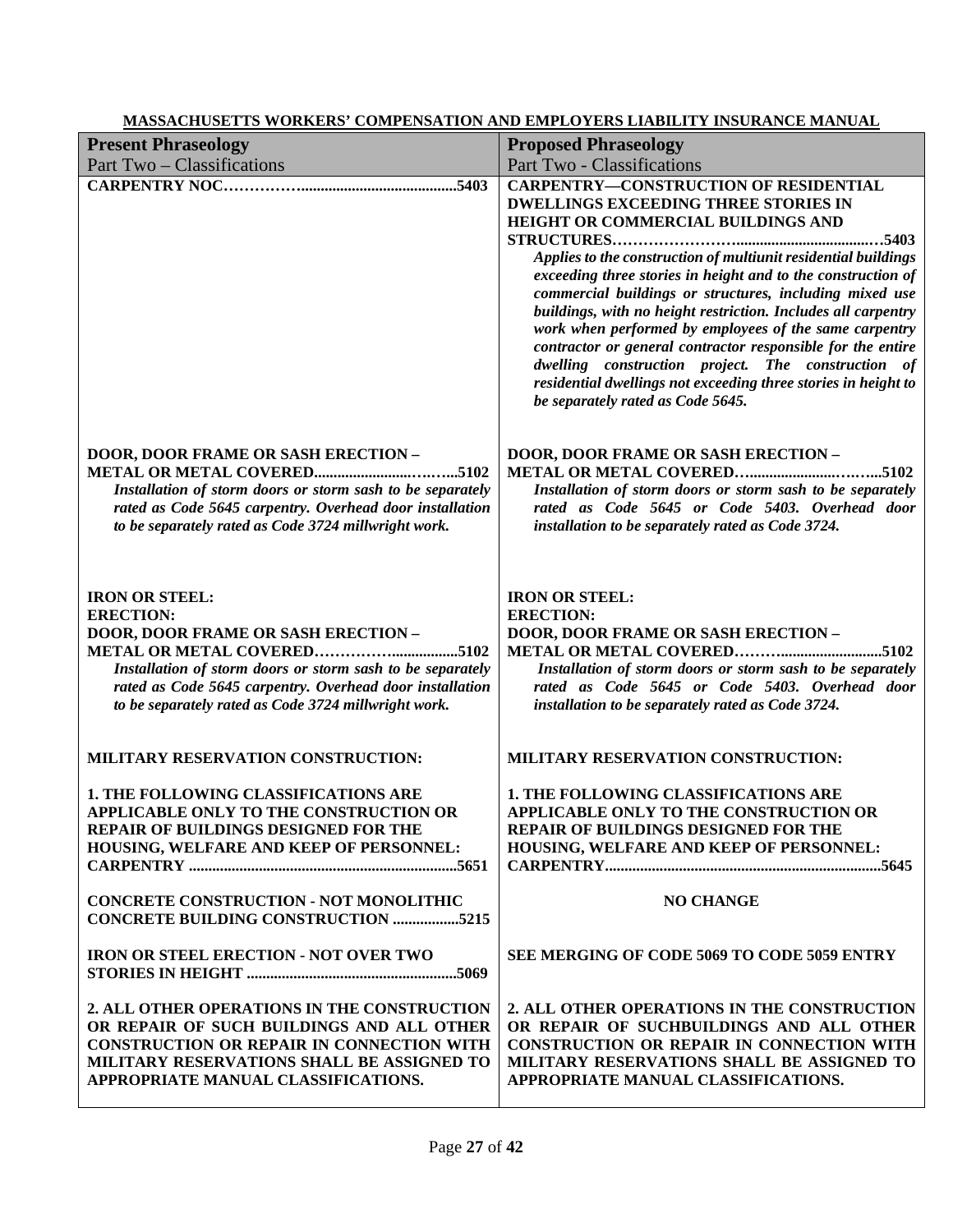|                                                                                                                                                                                                                                                                           | <u>MASSACHUSET IS WORKERS' COMPENSATION AND EMPLOYERS LIABILITY INSURANCE MANUAL</u>                                                                                                                                                                                                                                                                                                                                                                                                                                                                                                                                                                                                  |
|---------------------------------------------------------------------------------------------------------------------------------------------------------------------------------------------------------------------------------------------------------------------------|---------------------------------------------------------------------------------------------------------------------------------------------------------------------------------------------------------------------------------------------------------------------------------------------------------------------------------------------------------------------------------------------------------------------------------------------------------------------------------------------------------------------------------------------------------------------------------------------------------------------------------------------------------------------------------------|
| <b>Present Phraseology</b>                                                                                                                                                                                                                                                | <b>Proposed Phraseology</b>                                                                                                                                                                                                                                                                                                                                                                                                                                                                                                                                                                                                                                                           |
| <b>Part Two - Classifications</b>                                                                                                                                                                                                                                         | Part Two - Classifications                                                                                                                                                                                                                                                                                                                                                                                                                                                                                                                                                                                                                                                            |
|                                                                                                                                                                                                                                                                           | <b>CARPENTRY-CONSTRUCTION OF RESIDENTIAL</b><br><b>DWELLINGS EXCEEDING THREE STORIES IN</b><br>HEIGHT OR COMMERCIAL BUILDINGS AND<br>Applies to the construction of multiunit residential buildings<br>exceeding three stories in height and to the construction of<br>commercial buildings or structures, including mixed use<br>buildings, with no height restriction. Includes all carpentry<br>work when performed by employees of the same carpentry<br>contractor or general contractor responsible for the entire<br>dwelling construction project. The construction of<br>residential dwellings not exceeding three stories in height to<br>be separately rated as Code 5645. |
| DOOR, DOOR FRAME OR SASH ERECTION -<br>Installation of storm doors or storm sash to be separately<br>rated as Code 5645 carpentry. Overhead door installation<br>to be separately rated as Code 3724 millwright work.                                                     | <b>DOOR, DOOR FRAME OR SASH ERECTION -</b><br>Installation of storm doors or storm sash to be separately<br>rated as Code 5645 or Code 5403. Overhead door<br>installation to be separately rated as Code 3724.                                                                                                                                                                                                                                                                                                                                                                                                                                                                       |
| <b>IRON OR STEEL:</b><br><b>ERECTION:</b><br><b>DOOR, DOOR FRAME OR SASH ERECTION -</b><br>Installation of storm doors or storm sash to be separately<br>rated as Code 5645 carpentry. Overhead door installation<br>to be separately rated as Code 3724 millwright work. | <b>IRON OR STEEL:</b><br><b>ERECTION:</b><br><b>DOOR, DOOR FRAME OR SASH ERECTION -</b><br>Installation of storm doors or storm sash to be separately<br>rated as Code 5645 or Code 5403. Overhead door<br>installation to be separately rated as Code 3724.                                                                                                                                                                                                                                                                                                                                                                                                                          |
| MILITARY RESERVATION CONSTRUCTION:                                                                                                                                                                                                                                        | MILITARY RESERVATION CONSTRUCTION:                                                                                                                                                                                                                                                                                                                                                                                                                                                                                                                                                                                                                                                    |
| 1. THE FOLLOWING CLASSIFICATIONS ARE<br>APPLICABLE ONLY TO THE CONSTRUCTION OR<br>REPAIR OF BUILDINGS DESIGNED FOR THE<br>HOUSING, WELFARE AND KEEP OF PERSONNEL:                                                                                                         | 1. THE FOLLOWING CLASSIFICATIONS ARE<br>APPLICABLE ONLY TO THE CONSTRUCTION OR<br>REPAIR OF BUILDINGS DESIGNED FOR THE<br>HOUSING, WELFARE AND KEEP OF PERSONNEL:                                                                                                                                                                                                                                                                                                                                                                                                                                                                                                                     |
| <b>CONCRETE CONSTRUCTION - NOT MONOLITHIC</b><br><b>CONCRETE BUILDING CONSTRUCTION 5215</b>                                                                                                                                                                               | <b>NO CHANGE</b>                                                                                                                                                                                                                                                                                                                                                                                                                                                                                                                                                                                                                                                                      |
| <b>IRON OR STEEL ERECTION - NOT OVER TWO</b>                                                                                                                                                                                                                              | SEE MERGING OF CODE 5069 TO CODE 5059 ENTRY                                                                                                                                                                                                                                                                                                                                                                                                                                                                                                                                                                                                                                           |
| 2. ALL OTHER OPERATIONS IN THE CONSTRUCTION<br>OR REPAIR OF SUCH BUILDINGS AND ALL OTHER<br><b>CONSTRUCTION OR REPAIR IN CONNECTION WITH</b><br>MILITARY RESERVATIONS SHALL BE ASSIGNED TO<br>APPROPRIATE MANUAL CLASSIFICATIONS.                                         | 2. ALL OTHER OPERATIONS IN THE CONSTRUCTION<br>OR REPAIR OF SUCHBUILDINGS AND ALL OTHER<br><b>CONSTRUCTION OR REPAIR IN CONNECTION WITH</b><br>MILITARY RESERVATIONS SHALL BE ASSIGNED TO<br>APPROPRIATE MANUAL CLASSIFICATIONS.                                                                                                                                                                                                                                                                                                                                                                                                                                                      |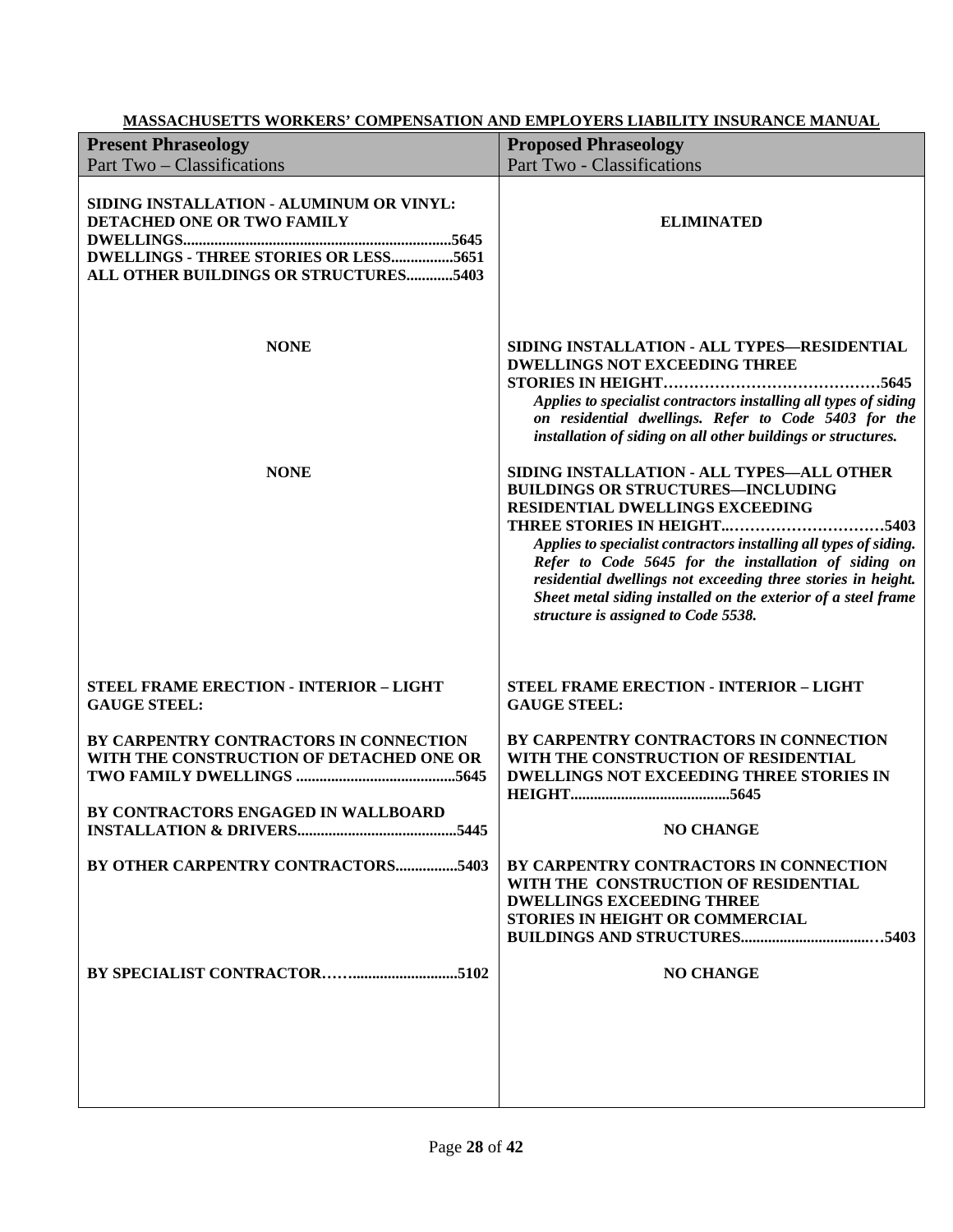| <b>Present Phraseology</b><br>Part Two – Classifications                                                                                                 | <b>Proposed Phraseology</b><br>Part Two - Classifications                                                                                                                                                                                                                                                                                                                                                                                                        |
|----------------------------------------------------------------------------------------------------------------------------------------------------------|------------------------------------------------------------------------------------------------------------------------------------------------------------------------------------------------------------------------------------------------------------------------------------------------------------------------------------------------------------------------------------------------------------------------------------------------------------------|
| SIDING INSTALLATION - ALUMINUM OR VINYL:<br>DETACHED ONE OR TWO FAMILY<br>DWELLINGS - THREE STORIES OR LESS5651<br>ALL OTHER BUILDINGS OR STRUCTURES5403 | <b>ELIMINATED</b>                                                                                                                                                                                                                                                                                                                                                                                                                                                |
| <b>NONE</b>                                                                                                                                              | SIDING INSTALLATION - ALL TYPES-RESIDENTIAL<br><b>DWELLINGS NOT EXCEEDING THREE</b><br>Applies to specialist contractors installing all types of siding<br>on residential dwellings. Refer to Code 5403 for the<br>installation of siding on all other buildings or structures.                                                                                                                                                                                  |
| <b>NONE</b>                                                                                                                                              | SIDING INSTALLATION - ALL TYPES-ALL OTHER<br><b>BUILDINGS OR STRUCTURES-INCLUDING</b><br>RESIDENTIAL DWELLINGS EXCEEDING<br>THREE STORIES IN HEIGHT<br>5403<br>Applies to specialist contractors installing all types of siding.<br>Refer to Code 5645 for the installation of siding on<br>residential dwellings not exceeding three stories in height.<br>Sheet metal siding installed on the exterior of a steel frame<br>structure is assigned to Code 5538. |
| STEEL FRAME ERECTION - INTERIOR - LIGHT<br><b>GAUGE STEEL:</b>                                                                                           | <b>STEEL FRAME ERECTION - INTERIOR - LIGHT</b><br><b>GAUGE STEEL:</b>                                                                                                                                                                                                                                                                                                                                                                                            |
| BY CARPENTRY CONTRACTORS IN CONNECTION<br>WITH THE CONSTRUCTION OF DETACHED ONE OR<br>BY CONTRACTORS ENGAGED IN WALLBOARD                                | BY CARPENTRY CONTRACTORS IN CONNECTION<br>WITH THE CONSTRUCTION OF RESIDENTIAL<br><b>DWELLINGS NOT EXCEEDING THREE STORIES IN</b>                                                                                                                                                                                                                                                                                                                                |
|                                                                                                                                                          | <b>NO CHANGE</b>                                                                                                                                                                                                                                                                                                                                                                                                                                                 |
| BY OTHER CARPENTRY CONTRACTORS5403                                                                                                                       | BY CARPENTRY CONTRACTORS IN CONNECTION<br>WITH THE CONSTRUCTION OF RESIDENTIAL<br><b>DWELLINGS EXCEEDING THREE</b><br>STORIES IN HEIGHT OR COMMERCIAL                                                                                                                                                                                                                                                                                                            |
|                                                                                                                                                          | <b>NO CHANGE</b>                                                                                                                                                                                                                                                                                                                                                                                                                                                 |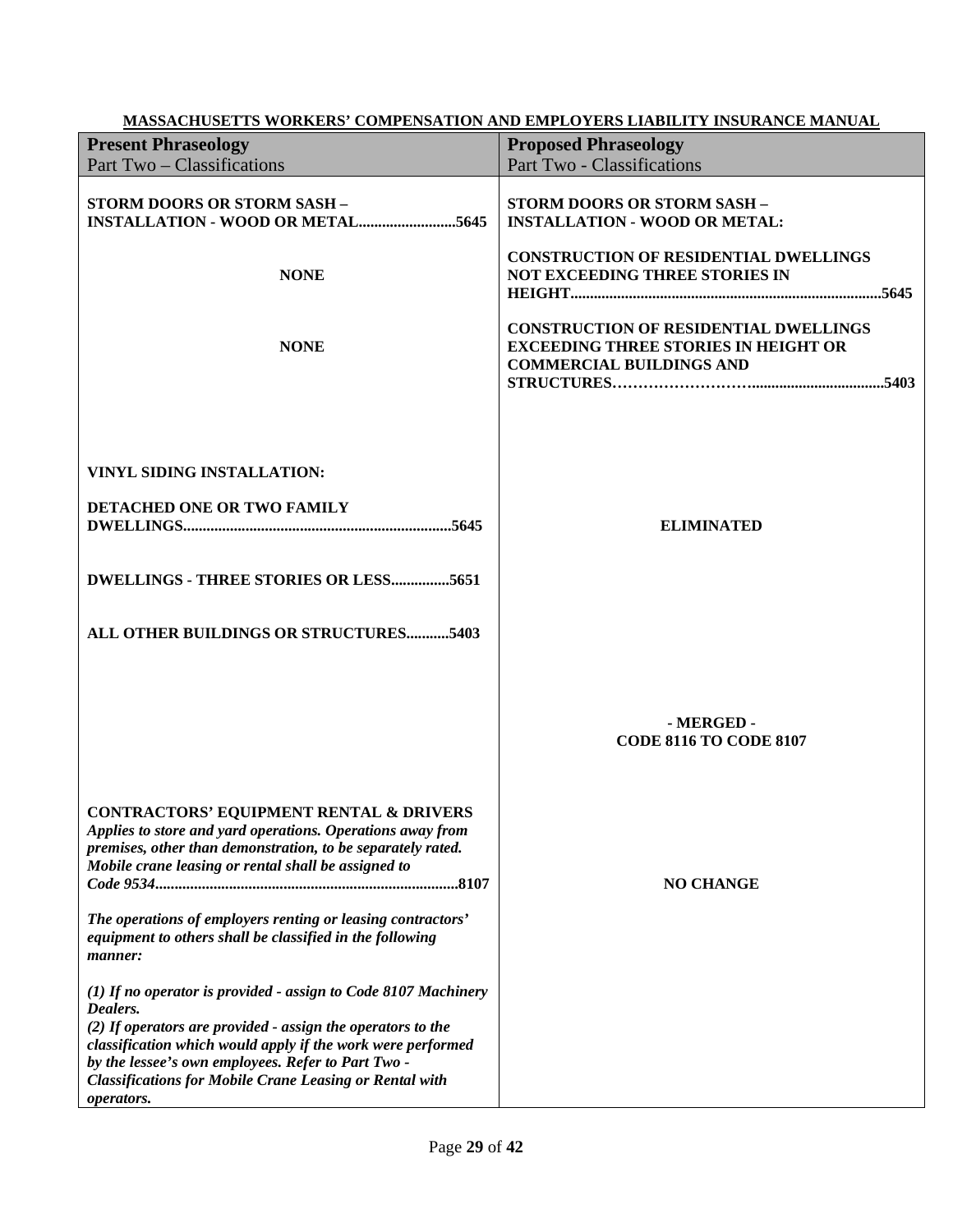|                                                                                                                                                                                                                                                                                                                                                                   | <b>MASSACHUSETTS WORKERS' COMPENSATION AND EMPLOYERS LIABILITY INSURANCE MANUAL</b>                                            |
|-------------------------------------------------------------------------------------------------------------------------------------------------------------------------------------------------------------------------------------------------------------------------------------------------------------------------------------------------------------------|--------------------------------------------------------------------------------------------------------------------------------|
| <b>Present Phraseology</b>                                                                                                                                                                                                                                                                                                                                        | <b>Proposed Phraseology</b>                                                                                                    |
| Part Two – Classifications                                                                                                                                                                                                                                                                                                                                        | Part Two - Classifications                                                                                                     |
| STORM DOORS OR STORM SASH -                                                                                                                                                                                                                                                                                                                                       | STORM DOORS OR STORM SASH -<br><b>INSTALLATION - WOOD OR METAL:</b><br><b>CONSTRUCTION OF RESIDENTIAL DWELLINGS</b>            |
| <b>NONE</b>                                                                                                                                                                                                                                                                                                                                                       | NOT EXCEEDING THREE STORIES IN                                                                                                 |
| <b>NONE</b>                                                                                                                                                                                                                                                                                                                                                       | <b>CONSTRUCTION OF RESIDENTIAL DWELLINGS</b><br><b>EXCEEDING THREE STORIES IN HEIGHT OR</b><br><b>COMMERCIAL BUILDINGS AND</b> |
| <b>VINYL SIDING INSTALLATION:</b><br>DETACHED ONE OR TWO FAMILY                                                                                                                                                                                                                                                                                                   | <b>ELIMINATED</b>                                                                                                              |
| <b>DWELLINGS - THREE STORIES OR LESS5651</b><br>ALL OTHER BUILDINGS OR STRUCTURES5403                                                                                                                                                                                                                                                                             |                                                                                                                                |
|                                                                                                                                                                                                                                                                                                                                                                   | - MERGED -<br><b>CODE 8116 TO CODE 8107</b>                                                                                    |
| <b>CONTRACTORS' EQUIPMENT RENTAL &amp; DRIVERS</b><br>Applies to store and yard operations. Operations away from<br>premises, other than demonstration, to be separately rated.<br>Mobile crane leasing or rental shall be assigned to<br>The operations of employers renting or leasing contractors'<br>equipment to others shall be classified in the following | <b>NO CHANGE</b>                                                                                                               |
| manner:<br>(1) If no operator is provided - assign to Code 8107 Machinery<br>Dealers.<br>$(2)$ If operators are provided - assign the operators to the<br>classification which would apply if the work were performed<br>by the lessee's own employees. Refer to Part Two -<br><b>Classifications for Mobile Crane Leasing or Rental with</b><br>operators.       |                                                                                                                                |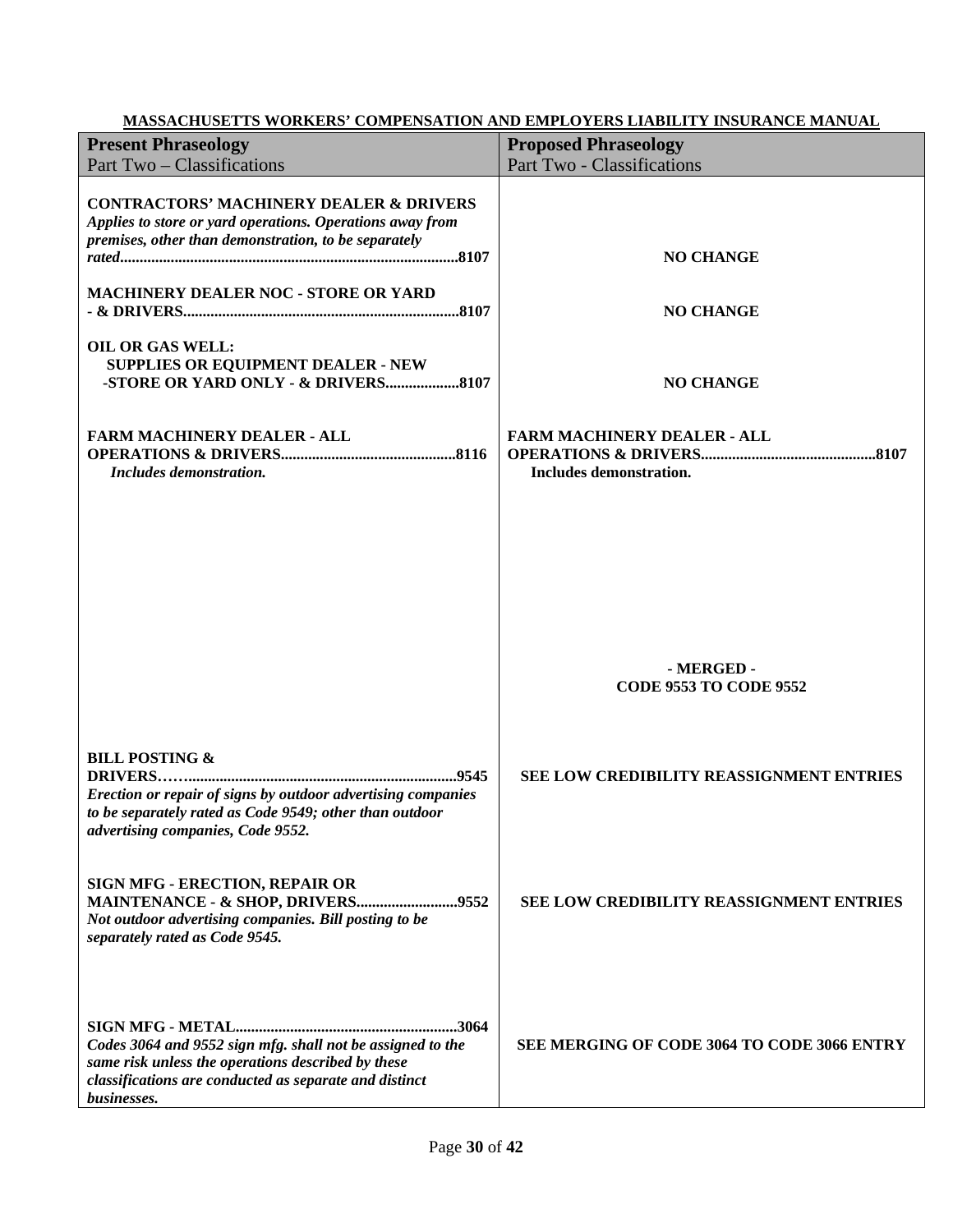| <b>Present Phraseology</b>                                                                                                                                                                | <b>Proposed Phraseology</b>                                   |
|-------------------------------------------------------------------------------------------------------------------------------------------------------------------------------------------|---------------------------------------------------------------|
| Part Two – Classifications                                                                                                                                                                | Part Two - Classifications                                    |
| <b>CONTRACTORS' MACHINERY DEALER &amp; DRIVERS</b><br>Applies to store or yard operations. Operations away from<br>premises, other than demonstration, to be separately                   | <b>NO CHANGE</b>                                              |
| <b>MACHINERY DEALER NOC - STORE OR YARD</b>                                                                                                                                               | <b>NO CHANGE</b>                                              |
| <b>OIL OR GAS WELL:</b><br><b>SUPPLIES OR EQUIPMENT DEALER - NEW</b>                                                                                                                      | <b>NO CHANGE</b>                                              |
| <b>FARM MACHINERY DEALER - ALL</b><br>Includes demonstration.                                                                                                                             | <b>FARM MACHINERY DEALER - ALL</b><br>Includes demonstration. |
|                                                                                                                                                                                           | - MERGED -<br><b>CODE 9553 TO CODE 9552</b>                   |
| <b>BILL POSTING &amp;</b><br>Erection or repair of signs by outdoor advertising companies<br>to be separately rated as Code 9549; other than outdoor<br>advertising companies, Code 9552. | SEE LOW CREDIBILITY REASSIGNMENT ENTRIES                      |
| SIGN MFG - ERECTION, REPAIR OR<br>Not outdoor advertising companies. Bill posting to be<br>separately rated as Code 9545.                                                                 | <b>SEE LOW CREDIBILITY REASSIGNMENT ENTRIES</b>               |
| Codes 3064 and 9552 sign mfg. shall not be assigned to the<br>same risk unless the operations described by these<br>classifications are conducted as separate and distinct<br>businesses. | SEE MERGING OF CODE 3064 TO CODE 3066 ENTRY                   |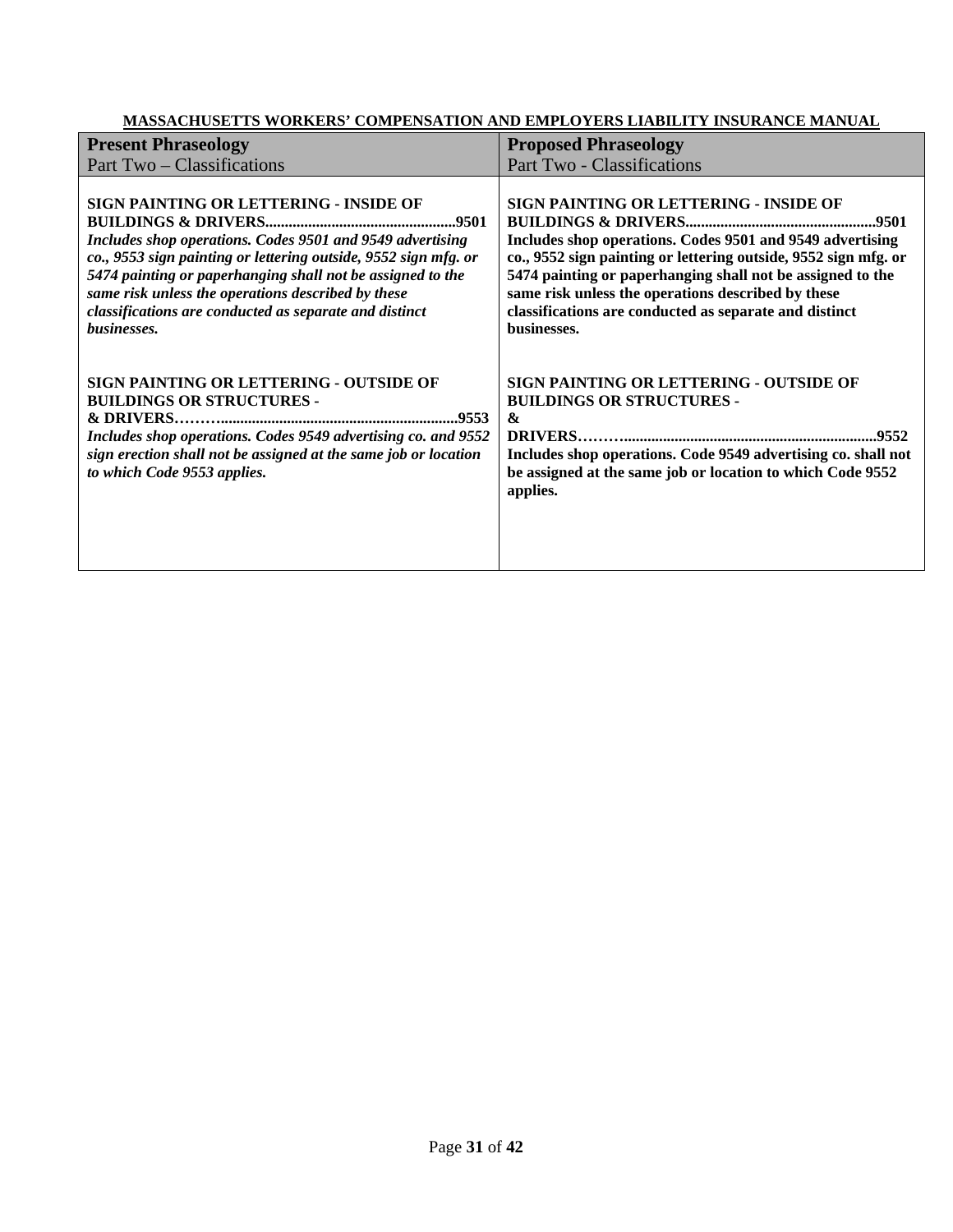| <b>Present Phraseology</b>                                                                                                                                                                                                                                                                                                                                          | <b>Proposed Phraseology</b>                                                                                                                                                                                                                                                                                                                                         |
|---------------------------------------------------------------------------------------------------------------------------------------------------------------------------------------------------------------------------------------------------------------------------------------------------------------------------------------------------------------------|---------------------------------------------------------------------------------------------------------------------------------------------------------------------------------------------------------------------------------------------------------------------------------------------------------------------------------------------------------------------|
| Part Two – Classifications                                                                                                                                                                                                                                                                                                                                          | Part Two - Classifications                                                                                                                                                                                                                                                                                                                                          |
| SIGN PAINTING OR LETTERING - INSIDE OF<br>Includes shop operations. Codes 9501 and 9549 advertising<br>co., 9553 sign painting or lettering outside, 9552 sign mfg. or<br>5474 painting or paperhanging shall not be assigned to the<br>same risk unless the operations described by these<br>classifications are conducted as separate and distinct<br>businesses. | SIGN PAINTING OR LETTERING - INSIDE OF<br>Includes shop operations. Codes 9501 and 9549 advertising<br>co., 9552 sign painting or lettering outside, 9552 sign mfg. or<br>5474 painting or paperhanging shall not be assigned to the<br>same risk unless the operations described by these<br>classifications are conducted as separate and distinct<br>businesses. |
| <b>SIGN PAINTING OR LETTERING - OUTSIDE OF</b><br><b>BUILDINGS OR STRUCTURES -</b><br>Includes shop operations. Codes 9549 advertising co. and 9552<br>sign erection shall not be assigned at the same job or location<br>to which Code 9553 applies.                                                                                                               | <b>SIGN PAINTING OR LETTERING - OUTSIDE OF</b><br><b>BUILDINGS OR STRUCTURES -</b><br>$\boldsymbol{\alpha}$<br>Includes shop operations. Code 9549 advertising co. shall not<br>be assigned at the same job or location to which Code 9552<br>applies.                                                                                                              |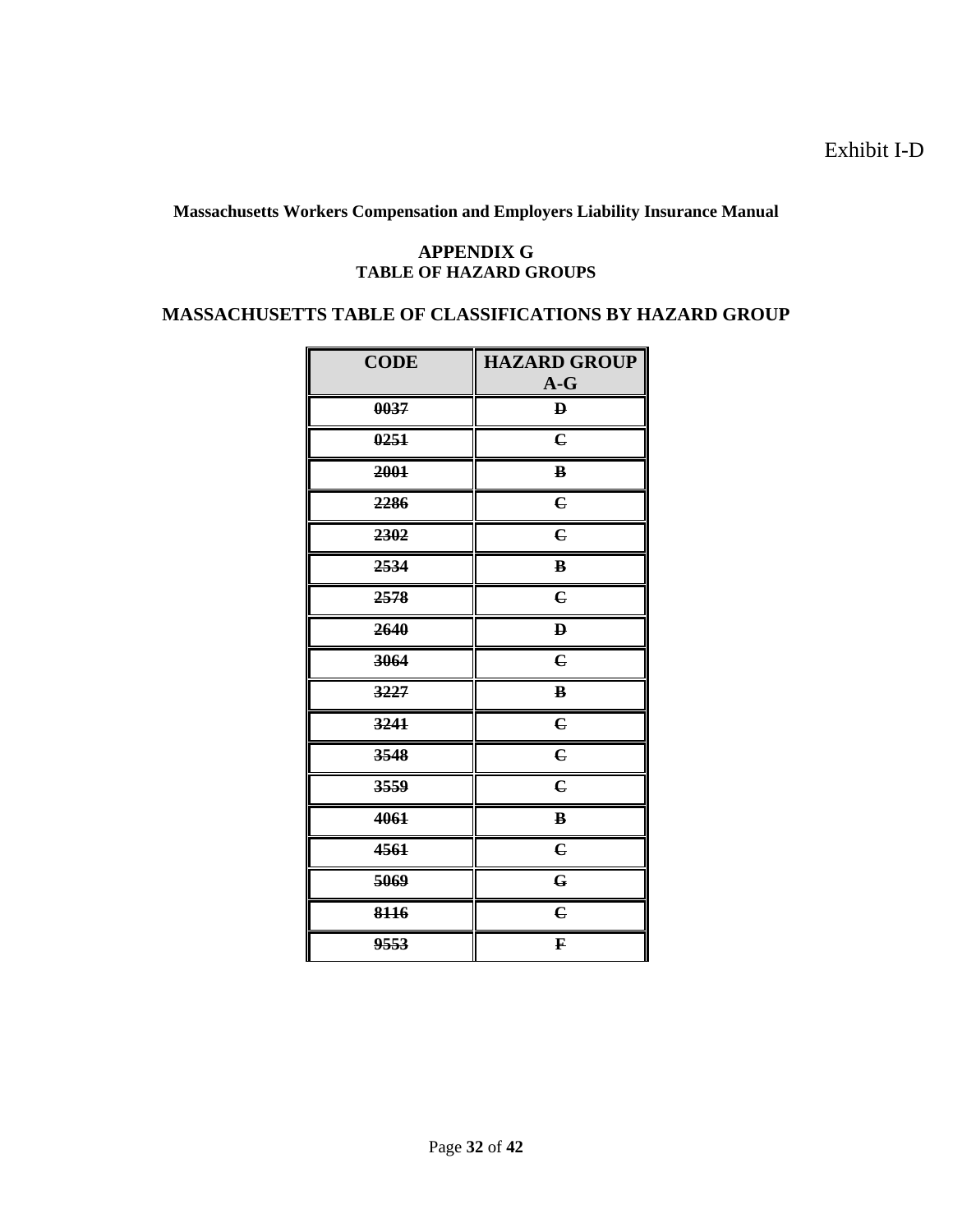Exhibit I-D

**Massachusetts Workers Compensation and Employers Liability Insurance Manual**

#### **APPENDIX G TABLE OF HAZARD GROUPS**

# **MASSACHUSETTS TABLE OF CLASSIFICATIONS BY HAZARD GROUP**

| <b>CODE</b> | <b>HAZARD GROUP</b><br>$A-G$ |
|-------------|------------------------------|
| 0037        | $\bf{p}$                     |
| 0251        | $\mathbf{C}$                 |
| 2001        | $\, {\bf B}$                 |
| 2286        | $\mathbf{C}$                 |
| 2302        | $\mathbf{c}$                 |
| 2534        | $\, {\bf B}$                 |
| 2578        | $\epsilon$                   |
| 2640        | $\mathbf{D}$                 |
| 3064        | $\mathbf C$                  |
| 3227        | $\bf{B}$                     |
| 3241        | $\overline{\mathbf{c}}$      |
| 3548        | $\mathbf C$                  |
| 3559        | $\overline{\mathbf{c}}$      |
| 4061        | B                            |
| 4561        | $\epsilon$                   |
| 5069        | $\mathbf G$                  |
| 8116        | $\epsilon$                   |
| 9553        | F                            |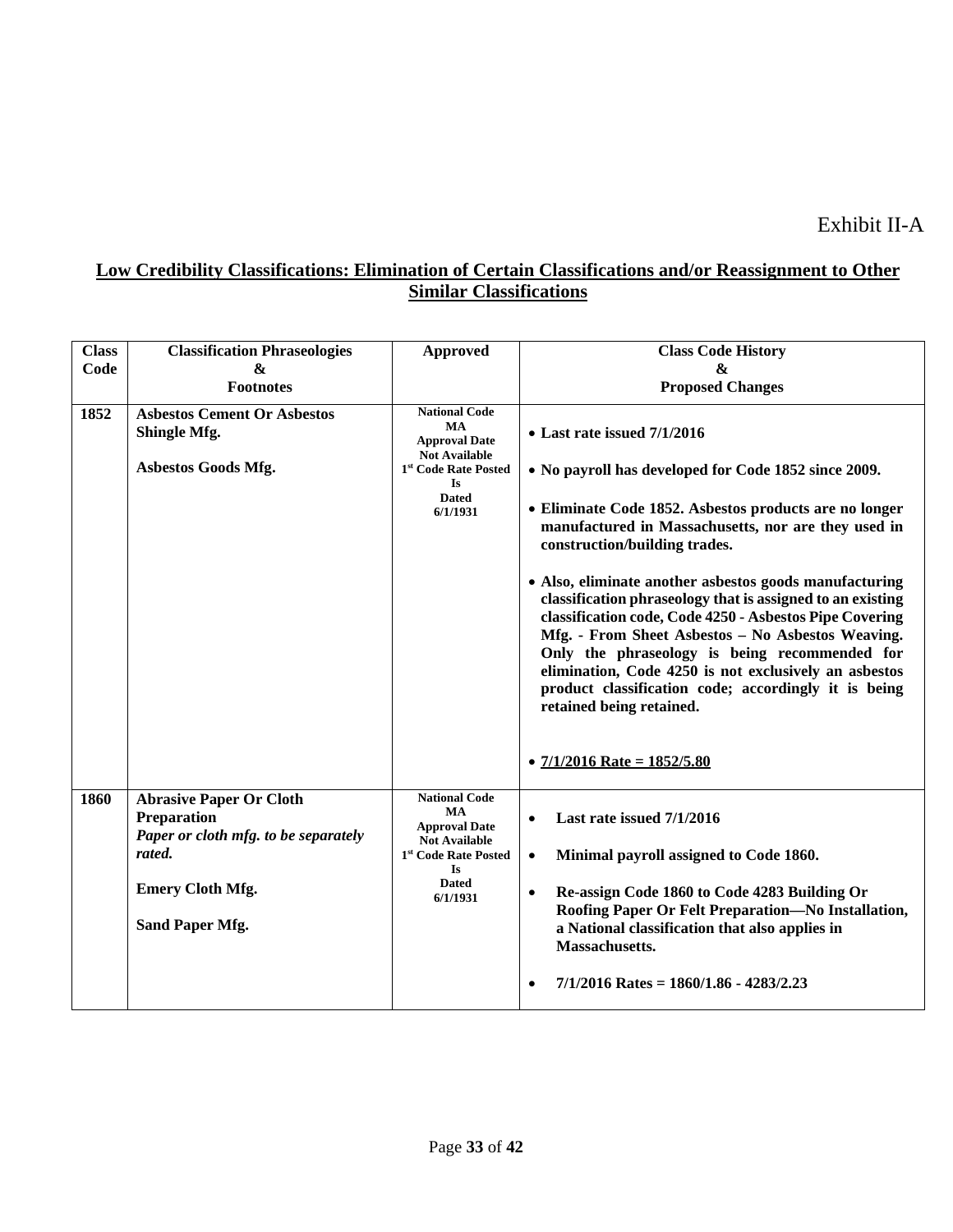| <b>Class</b> | <b>Classification Phraseologies</b>                                                                    | <b>Approved</b>                                                                                                | <b>Class Code History</b>                                                                                                                                                                                                                                                                                                                                                                                                          |
|--------------|--------------------------------------------------------------------------------------------------------|----------------------------------------------------------------------------------------------------------------|------------------------------------------------------------------------------------------------------------------------------------------------------------------------------------------------------------------------------------------------------------------------------------------------------------------------------------------------------------------------------------------------------------------------------------|
| Code         | &                                                                                                      |                                                                                                                | &                                                                                                                                                                                                                                                                                                                                                                                                                                  |
|              | <b>Footnotes</b>                                                                                       |                                                                                                                | <b>Proposed Changes</b>                                                                                                                                                                                                                                                                                                                                                                                                            |
| 1852         | <b>Asbestos Cement Or Asbestos</b><br>Shingle Mfg.                                                     | <b>National Code</b><br><b>MA</b><br><b>Approval Date</b><br><b>Not Available</b>                              | $\bullet$ Last rate issued $7/1/2016$                                                                                                                                                                                                                                                                                                                                                                                              |
|              | Asbestos Goods Mfg.                                                                                    | 1 <sup>st</sup> Code Rate Posted<br><b>Is</b>                                                                  | • No payroll has developed for Code 1852 since 2009.                                                                                                                                                                                                                                                                                                                                                                               |
|              |                                                                                                        | <b>Dated</b><br>6/1/1931                                                                                       | • Eliminate Code 1852. Asbestos products are no longer<br>manufactured in Massachusetts, nor are they used in<br>construction/building trades.                                                                                                                                                                                                                                                                                     |
|              |                                                                                                        |                                                                                                                | • Also, eliminate another asbestos goods manufacturing<br>classification phraseology that is assigned to an existing<br>classification code, Code 4250 - Asbestos Pipe Covering<br>Mfg. - From Sheet Asbestos - No Asbestos Weaving.<br>Only the phraseology is being recommended for<br>elimination, Code 4250 is not exclusively an asbestos<br>product classification code; accordingly it is being<br>retained being retained. |
|              |                                                                                                        |                                                                                                                | • $7/1/2016$ Rate = $1852/5.80$                                                                                                                                                                                                                                                                                                                                                                                                    |
| 1860         | <b>Abrasive Paper Or Cloth</b><br><b>Preparation</b><br>Paper or cloth mfg. to be separately<br>rated. | <b>National Code</b><br>MA<br><b>Approval Date</b><br><b>Not Available</b><br>1 <sup>st</sup> Code Rate Posted | Last rate issued 7/1/2016<br>$\bullet$<br>Minimal payroll assigned to Code 1860.<br>$\bullet$                                                                                                                                                                                                                                                                                                                                      |
|              | <b>Emery Cloth Mfg.</b><br><b>Sand Paper Mfg.</b>                                                      | <b>Is</b><br><b>Dated</b><br>6/1/1931                                                                          | Re-assign Code 1860 to Code 4283 Building Or<br>$\bullet$<br>Roofing Paper Or Felt Preparation-No Installation,<br>a National classification that also applies in<br>Massachusetts.                                                                                                                                                                                                                                                |
|              |                                                                                                        |                                                                                                                | $7/1/2016$ Rates = 1860/1.86 - 4283/2.23                                                                                                                                                                                                                                                                                                                                                                                           |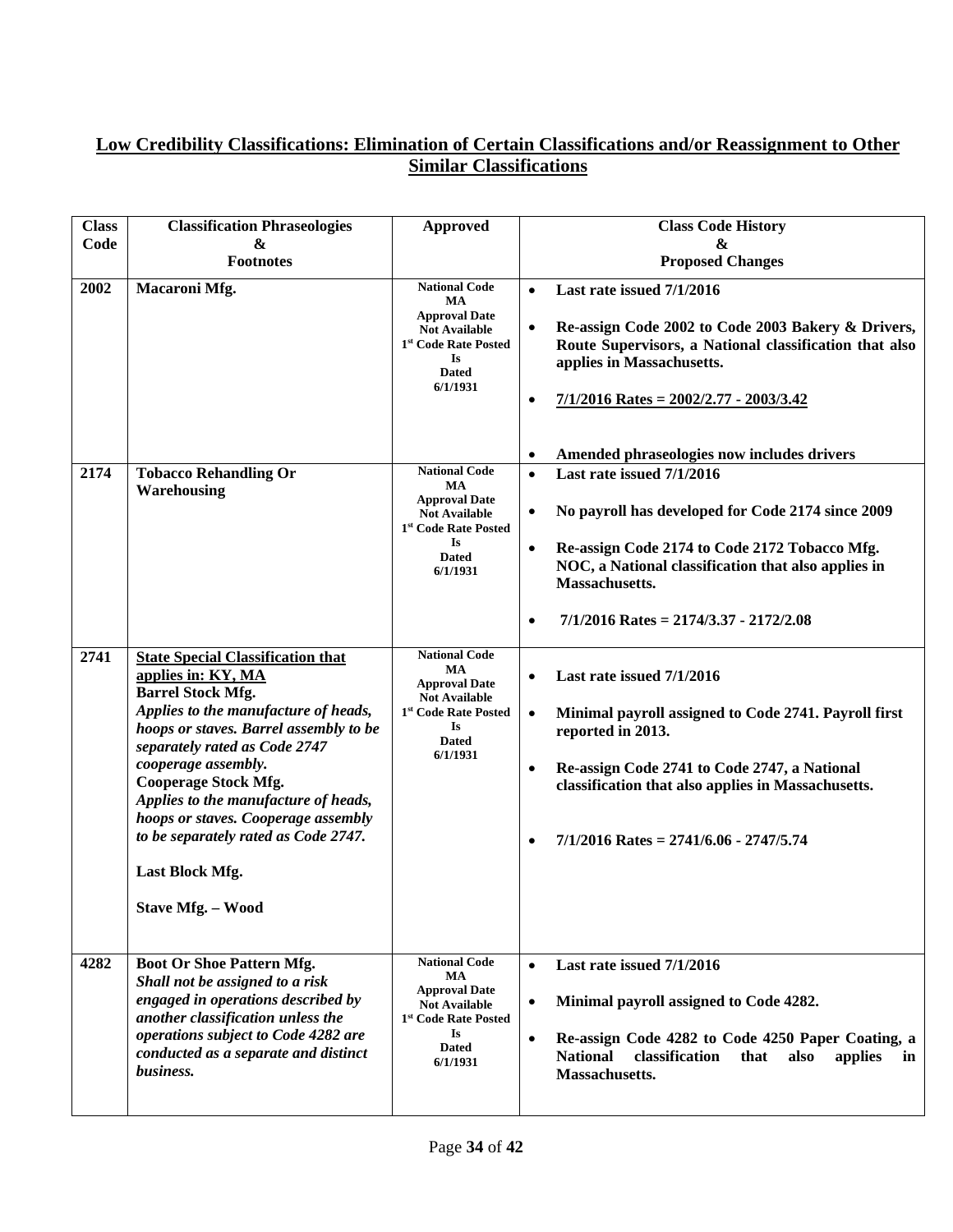| <b>Class</b> | <b>Classification Phraseologies</b>                                                                                                                                                                                                                                                                                                                                                                                                       | <b>Approved</b>                                                                                                                                                | <b>Class Code History</b>                                                                                                                                                                                                                                                                                              |
|--------------|-------------------------------------------------------------------------------------------------------------------------------------------------------------------------------------------------------------------------------------------------------------------------------------------------------------------------------------------------------------------------------------------------------------------------------------------|----------------------------------------------------------------------------------------------------------------------------------------------------------------|------------------------------------------------------------------------------------------------------------------------------------------------------------------------------------------------------------------------------------------------------------------------------------------------------------------------|
| Code         | &<br><b>Footnotes</b>                                                                                                                                                                                                                                                                                                                                                                                                                     |                                                                                                                                                                | &<br><b>Proposed Changes</b>                                                                                                                                                                                                                                                                                           |
| 2002         | Macaroni Mfg.                                                                                                                                                                                                                                                                                                                                                                                                                             | <b>National Code</b><br>MA<br><b>Approval Date</b><br><b>Not Available</b><br>1st Code Rate Posted<br>Is<br><b>Dated</b><br>6/1/1931                           | Last rate issued 7/1/2016<br>$\bullet$<br>Re-assign Code 2002 to Code 2003 Bakery & Drivers,<br>$\bullet$<br>Route Supervisors, a National classification that also<br>applies in Massachusetts.<br>$7/1/2016$ Rates = $2002/2.77 - 2003/3.42$<br>$\bullet$<br>Amended phraseologies now includes drivers<br>$\bullet$ |
| 2174         | <b>Tobacco Rehandling Or</b><br>Warehousing                                                                                                                                                                                                                                                                                                                                                                                               | <b>National Code</b><br><b>MA</b><br><b>Approval Date</b><br><b>Not Available</b><br>1 <sup>st</sup> Code Rate Posted<br><b>Is</b><br><b>Dated</b><br>6/1/1931 | Last rate issued 7/1/2016<br>$\bullet$<br>No payroll has developed for Code 2174 since 2009<br>$\bullet$<br>Re-assign Code 2174 to Code 2172 Tobacco Mfg.<br>$\bullet$<br>NOC, a National classification that also applies in<br>Massachusetts.<br>$7/1/2016$ Rates = 2174/3.37 - 2172/2.08<br>$\bullet$               |
| 2741         | <b>State Special Classification that</b><br>applies in: KY, MA<br><b>Barrel Stock Mfg.</b><br>Applies to the manufacture of heads,<br>hoops or staves. Barrel assembly to be<br>separately rated as Code 2747<br>cooperage assembly.<br><b>Cooperage Stock Mfg.</b><br>Applies to the manufacture of heads,<br>hoops or staves. Cooperage assembly<br>to be separately rated as Code 2747.<br><b>Last Block Mfg.</b><br>Stave Mfg. - Wood | <b>National Code</b><br>MA<br><b>Approval Date</b><br><b>Not Available</b><br>1 <sup>st</sup> Code Rate Posted<br><b>Is</b><br><b>Dated</b><br>6/1/1931        | Last rate issued 7/1/2016<br>$\bullet$<br>Minimal payroll assigned to Code 2741. Payroll first<br>$\bullet$<br>reported in 2013.<br>$\bullet$<br>Re-assign Code 2741 to Code 2747, a National<br>classification that also applies in Massachusetts.<br>$7/1/2016$ Rates = 2741/6.06 - 2747/5.74<br>$\bullet$           |
| 4282         | Boot Or Shoe Pattern Mfg.<br>Shall not be assigned to a risk<br>engaged in operations described by<br>another classification unless the<br>operations subject to Code 4282 are<br>conducted as a separate and distinct<br>business.                                                                                                                                                                                                       | <b>National Code</b><br>MA<br><b>Approval Date</b><br><b>Not Available</b><br>1 <sup>st</sup> Code Rate Posted<br><b>Is</b><br><b>Dated</b><br>6/1/1931        | Last rate issued 7/1/2016<br>$\bullet$<br>Minimal payroll assigned to Code 4282.<br>$\bullet$<br>Re-assign Code 4282 to Code 4250 Paper Coating, a<br>$\bullet$<br><b>National</b><br>classification<br>that<br>also<br>applies<br>in<br>Massachusetts.                                                                |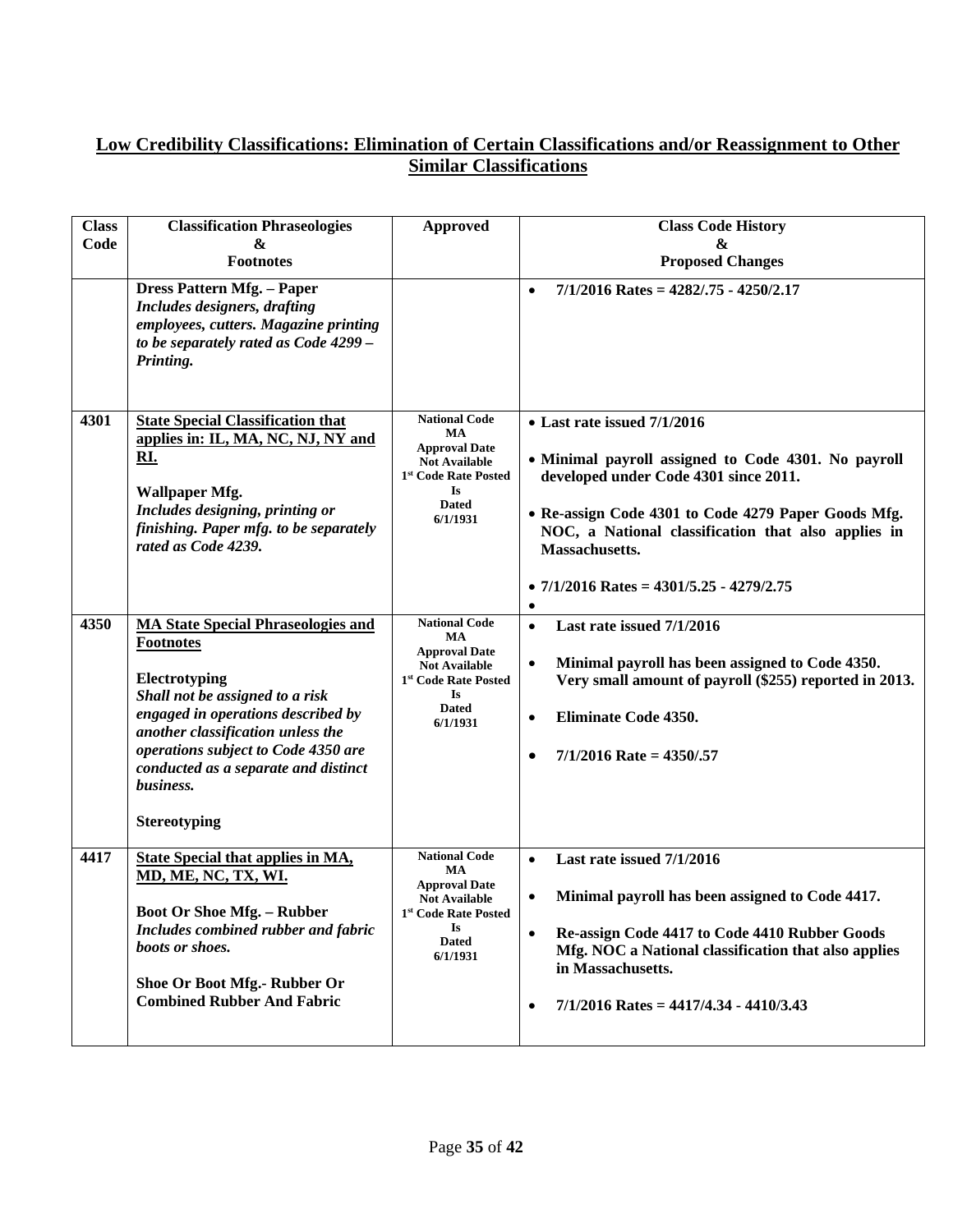| <b>Class</b><br>Code | <b>Classification Phraseologies</b><br>&                                                                                                                                                                                                                                                                        | <b>Approved</b>                                                                                                                                         | <b>Class Code History</b><br>&                                                                                                                                                                                                                                                                                                       |
|----------------------|-----------------------------------------------------------------------------------------------------------------------------------------------------------------------------------------------------------------------------------------------------------------------------------------------------------------|---------------------------------------------------------------------------------------------------------------------------------------------------------|--------------------------------------------------------------------------------------------------------------------------------------------------------------------------------------------------------------------------------------------------------------------------------------------------------------------------------------|
|                      | <b>Footnotes</b>                                                                                                                                                                                                                                                                                                |                                                                                                                                                         | <b>Proposed Changes</b>                                                                                                                                                                                                                                                                                                              |
|                      | Dress Pattern Mfg. - Paper<br>Includes designers, drafting<br>employees, cutters. Magazine printing<br>to be separately rated as Code 4299 -<br>Printing.                                                                                                                                                       |                                                                                                                                                         | $7/1/2016$ Rates = 4282/.75 - 4250/2.17<br>$\bullet$                                                                                                                                                                                                                                                                                 |
| 4301                 | <b>State Special Classification that</b><br>applies in: IL, MA, NC, NJ, NY and<br>RI.<br><b>Wallpaper Mfg.</b><br>Includes designing, printing or<br>finishing. Paper mfg. to be separately<br>rated as Code 4239.                                                                                              | <b>National Code</b><br>MA<br><b>Approval Date</b><br><b>Not Available</b><br>1 <sup>st</sup> Code Rate Posted<br>Is<br><b>Dated</b><br>6/1/1931        | $\bullet$ Last rate issued $7/1/2016$<br>• Minimal payroll assigned to Code 4301. No payroll<br>developed under Code 4301 since 2011.<br>• Re-assign Code 4301 to Code 4279 Paper Goods Mfg.<br>NOC, a National classification that also applies in<br>Massachusetts.<br>• $7/1/2016$ Rates = $4301/5.25$ - $4279/2.75$<br>$\bullet$ |
| 4350                 | <b>MA State Special Phraseologies and</b><br><b>Footnotes</b><br>Electrotyping<br>Shall not be assigned to a risk<br>engaged in operations described by<br>another classification unless the<br>operations subject to Code 4350 are<br>conducted as a separate and distinct<br>business.<br><b>Stereotyping</b> | <b>National Code</b><br>MA<br><b>Approval Date</b><br><b>Not Available</b><br>1 <sup>st</sup> Code Rate Posted<br><b>Is</b><br><b>Dated</b><br>6/1/1931 | Last rate issued 7/1/2016<br>$\bullet$<br>Minimal payroll has been assigned to Code 4350.<br>$\bullet$<br>Very small amount of payroll (\$255) reported in 2013.<br>Eliminate Code 4350.<br>$\bullet$<br>$7/1/2016$ Rate = 4350/.57<br>$\bullet$                                                                                     |
| 4417                 | <b>State Special that applies in MA,</b><br>MD, ME, NC, TX, WI.<br><b>Boot Or Shoe Mfg. - Rubber</b><br>Includes combined rubber and fabric<br>boots or shoes.<br>Shoe Or Boot Mfg.- Rubber Or<br><b>Combined Rubber And Fabric</b>                                                                             | <b>National Code</b><br>MA<br><b>Approval Date</b><br><b>Not Available</b><br>1 <sup>st</sup> Code Rate Posted<br><b>Is</b><br><b>Dated</b><br>6/1/1931 | Last rate issued 7/1/2016<br>$\bullet$<br>Minimal payroll has been assigned to Code 4417.<br>$\bullet$<br>Re-assign Code 4417 to Code 4410 Rubber Goods<br>$\bullet$<br>Mfg. NOC a National classification that also applies<br>in Massachusetts.<br>$7/1/2016$ Rates = 4417/4.34 - 4410/3.43<br>$\bullet$                           |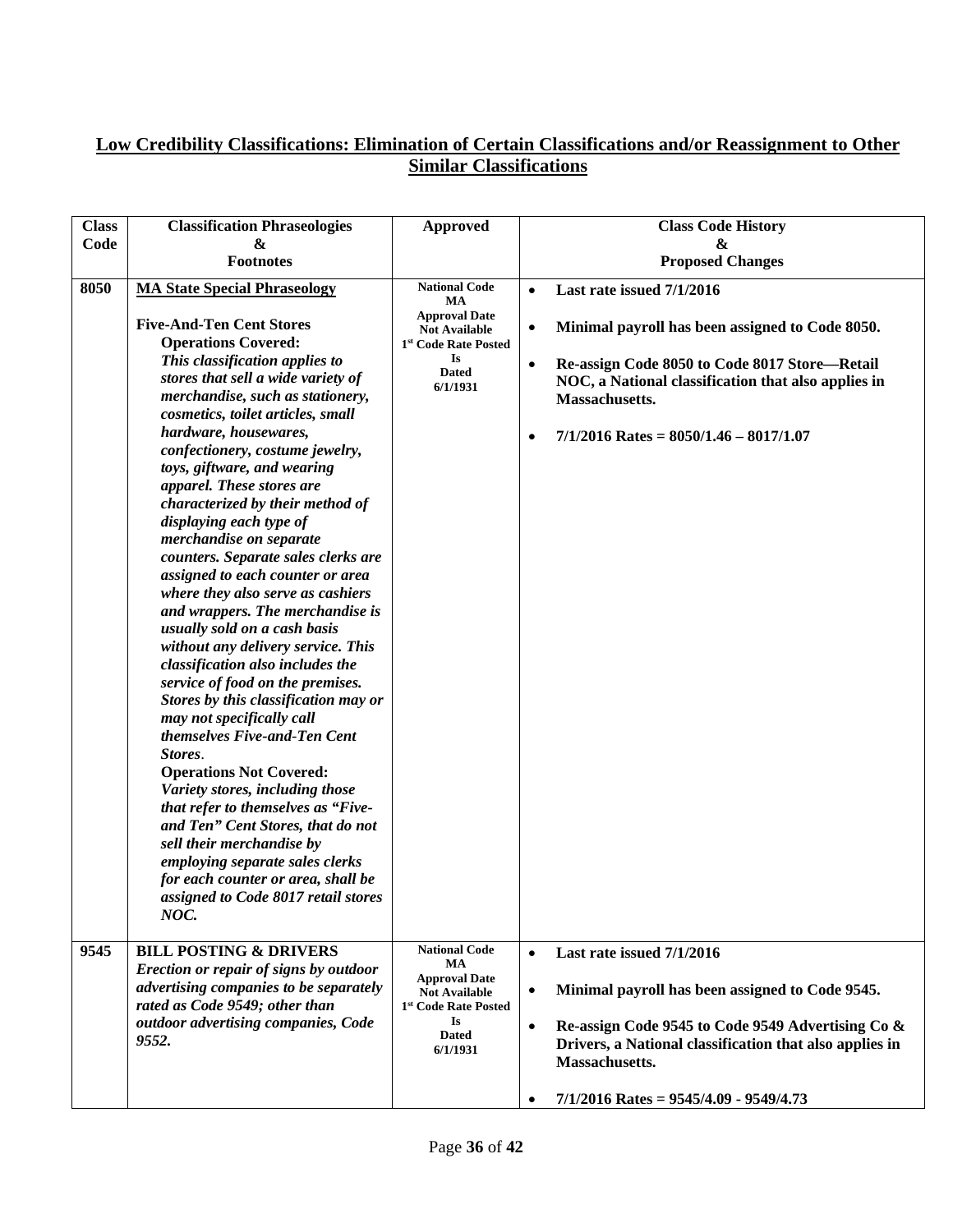| <b>Class</b> | <b>Classification Phraseologies</b>                                                                                                                                                                                                                                                                                                                                                                                                                                                                                                                                                                                                                                                                                                                                                                                                                                                                                                                                                                                                                                                                                                                                                    | <b>Approved</b>                                                                                                                                         | <b>Class Code History</b>                                                                                                                                                                                                                                                                              |
|--------------|----------------------------------------------------------------------------------------------------------------------------------------------------------------------------------------------------------------------------------------------------------------------------------------------------------------------------------------------------------------------------------------------------------------------------------------------------------------------------------------------------------------------------------------------------------------------------------------------------------------------------------------------------------------------------------------------------------------------------------------------------------------------------------------------------------------------------------------------------------------------------------------------------------------------------------------------------------------------------------------------------------------------------------------------------------------------------------------------------------------------------------------------------------------------------------------|---------------------------------------------------------------------------------------------------------------------------------------------------------|--------------------------------------------------------------------------------------------------------------------------------------------------------------------------------------------------------------------------------------------------------------------------------------------------------|
| Code         | &                                                                                                                                                                                                                                                                                                                                                                                                                                                                                                                                                                                                                                                                                                                                                                                                                                                                                                                                                                                                                                                                                                                                                                                      |                                                                                                                                                         | &                                                                                                                                                                                                                                                                                                      |
|              | <b>Footnotes</b>                                                                                                                                                                                                                                                                                                                                                                                                                                                                                                                                                                                                                                                                                                                                                                                                                                                                                                                                                                                                                                                                                                                                                                       |                                                                                                                                                         | <b>Proposed Changes</b>                                                                                                                                                                                                                                                                                |
| 8050         | <b>MA State Special Phraseology</b><br><b>Five-And-Ten Cent Stores</b><br><b>Operations Covered:</b><br>This classification applies to<br>stores that sell a wide variety of<br>merchandise, such as stationery,<br>cosmetics, toilet articles, small<br>hardware, housewares,<br>confectionery, costume jewelry,<br>toys, giftware, and wearing<br>apparel. These stores are<br>characterized by their method of<br>displaying each type of<br>merchandise on separate<br>counters. Separate sales clerks are<br>assigned to each counter or area<br>where they also serve as cashiers<br>and wrappers. The merchandise is<br>usually sold on a cash basis<br>without any delivery service. This<br>classification also includes the<br>service of food on the premises.<br>Stores by this classification may or<br>may not specifically call<br>themselves Five-and-Ten Cent<br>Stores.<br><b>Operations Not Covered:</b><br>Variety stores, including those<br>that refer to themselves as "Five-<br>and Ten" Cent Stores, that do not<br>sell their merchandise by<br>employing separate sales clerks<br>for each counter or area, shall be<br>assigned to Code 8017 retail stores | <b>National Code</b><br>MA<br><b>Approval Date</b><br><b>Not Available</b><br>1 <sup>st</sup> Code Rate Posted<br><b>Is</b><br><b>Dated</b><br>6/1/1931 | Last rate issued 7/1/2016<br>$\bullet$<br>Minimal payroll has been assigned to Code 8050.<br>$\bullet$<br>Re-assign Code 8050 to Code 8017 Store-Retail<br>$\bullet$<br>NOC, a National classification that also applies in<br>Massachusetts.<br>$7/1/2016$ Rates = 8050/1.46 - 8017/1.07<br>$\bullet$ |
|              | NOC.                                                                                                                                                                                                                                                                                                                                                                                                                                                                                                                                                                                                                                                                                                                                                                                                                                                                                                                                                                                                                                                                                                                                                                                   |                                                                                                                                                         |                                                                                                                                                                                                                                                                                                        |
| 9545         | <b>BILL POSTING &amp; DRIVERS</b>                                                                                                                                                                                                                                                                                                                                                                                                                                                                                                                                                                                                                                                                                                                                                                                                                                                                                                                                                                                                                                                                                                                                                      | <b>National Code</b><br>MA                                                                                                                              | Last rate issued 7/1/2016<br>$\bullet$                                                                                                                                                                                                                                                                 |
|              | Erection or repair of signs by outdoor<br>advertising companies to be separately<br>rated as Code 9549; other than                                                                                                                                                                                                                                                                                                                                                                                                                                                                                                                                                                                                                                                                                                                                                                                                                                                                                                                                                                                                                                                                     | <b>Approval Date</b><br><b>Not Available</b><br>1 <sup>st</sup> Code Rate Posted                                                                        | Minimal payroll has been assigned to Code 9545.<br>$\bullet$                                                                                                                                                                                                                                           |
|              | outdoor advertising companies, Code                                                                                                                                                                                                                                                                                                                                                                                                                                                                                                                                                                                                                                                                                                                                                                                                                                                                                                                                                                                                                                                                                                                                                    | <b>Is</b>                                                                                                                                               | Re-assign Code 9545 to Code 9549 Advertising Co &<br>$\bullet$                                                                                                                                                                                                                                         |
|              | 9552.                                                                                                                                                                                                                                                                                                                                                                                                                                                                                                                                                                                                                                                                                                                                                                                                                                                                                                                                                                                                                                                                                                                                                                                  | <b>Dated</b><br>6/1/1931                                                                                                                                | Drivers, a National classification that also applies in<br>Massachusetts.                                                                                                                                                                                                                              |
|              |                                                                                                                                                                                                                                                                                                                                                                                                                                                                                                                                                                                                                                                                                                                                                                                                                                                                                                                                                                                                                                                                                                                                                                                        |                                                                                                                                                         | $7/1/2016$ Rates = 9545/4.09 - 9549/4.73<br>$\bullet$                                                                                                                                                                                                                                                  |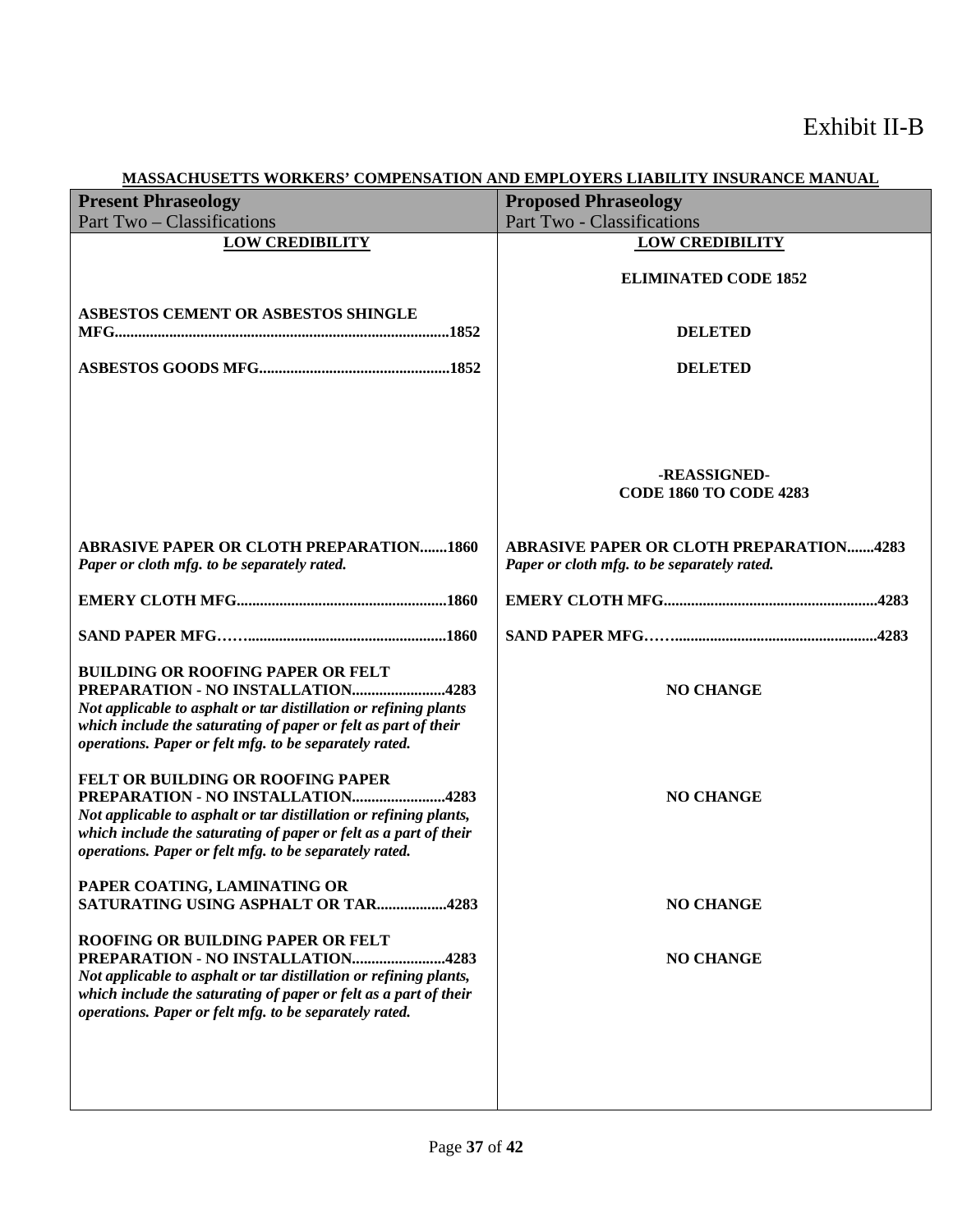| <u>MINDDITCHCOLLID MONITHMOTIC</u><br><b>Present Phraseology</b>                                       | <b>Proposed Phraseology</b>                    |
|--------------------------------------------------------------------------------------------------------|------------------------------------------------|
| Part Two – Classifications                                                                             | Part Two - Classifications                     |
| <b>LOW CREDIBILITY</b>                                                                                 | <b>LOW CREDIBILITY</b>                         |
|                                                                                                        |                                                |
|                                                                                                        | <b>ELIMINATED CODE 1852</b>                    |
|                                                                                                        |                                                |
| ASBESTOS CEMENT OR ASBESTOS SHINGLE                                                                    |                                                |
|                                                                                                        | <b>DELETED</b>                                 |
|                                                                                                        |                                                |
|                                                                                                        | <b>DELETED</b>                                 |
|                                                                                                        |                                                |
|                                                                                                        |                                                |
|                                                                                                        |                                                |
|                                                                                                        |                                                |
|                                                                                                        | -REASSIGNED-                                   |
|                                                                                                        | <b>CODE 1860 TO CODE 4283</b>                  |
|                                                                                                        |                                                |
|                                                                                                        |                                                |
| <b>ABRASIVE PAPER OR CLOTH PREPARATION1860</b>                                                         | <b>ABRASIVE PAPER OR CLOTH PREPARATION4283</b> |
| Paper or cloth mfg. to be separately rated.                                                            | Paper or cloth mfg. to be separately rated.    |
|                                                                                                        |                                                |
|                                                                                                        |                                                |
|                                                                                                        |                                                |
|                                                                                                        |                                                |
| <b>BUILDING OR ROOFING PAPER OR FELT</b>                                                               |                                                |
| PREPARATION - NO INSTALLATION4283                                                                      | <b>NO CHANGE</b>                               |
| Not applicable to asphalt or tar distillation or refining plants                                       |                                                |
| which include the saturating of paper or felt as part of their                                         |                                                |
| operations. Paper or felt mfg. to be separately rated.                                                 |                                                |
|                                                                                                        |                                                |
| FELT OR BUILDING OR ROOFING PAPER                                                                      |                                                |
| PREPARATION - NO INSTALLATION4283<br>Not applicable to asphalt or tar distillation or refining plants, | <b>NO CHANGE</b>                               |
| which include the saturating of paper or felt as a part of their                                       |                                                |
| operations. Paper or felt mfg. to be separately rated.                                                 |                                                |
|                                                                                                        |                                                |
| PAPER COATING, LAMINATING OR                                                                           |                                                |
| <b>SATURATING USING ASPHALT OR TAR4283</b>                                                             | <b>NO CHANGE</b>                               |
|                                                                                                        |                                                |
| ROOFING OR BUILDING PAPER OR FELT                                                                      |                                                |
| PREPARATION - NO INSTALLATION4283                                                                      | <b>NO CHANGE</b>                               |
| Not applicable to asphalt or tar distillation or refining plants,                                      |                                                |
| which include the saturating of paper or felt as a part of their                                       |                                                |
| operations. Paper or felt mfg. to be separately rated.                                                 |                                                |
|                                                                                                        |                                                |
|                                                                                                        |                                                |
|                                                                                                        |                                                |
|                                                                                                        |                                                |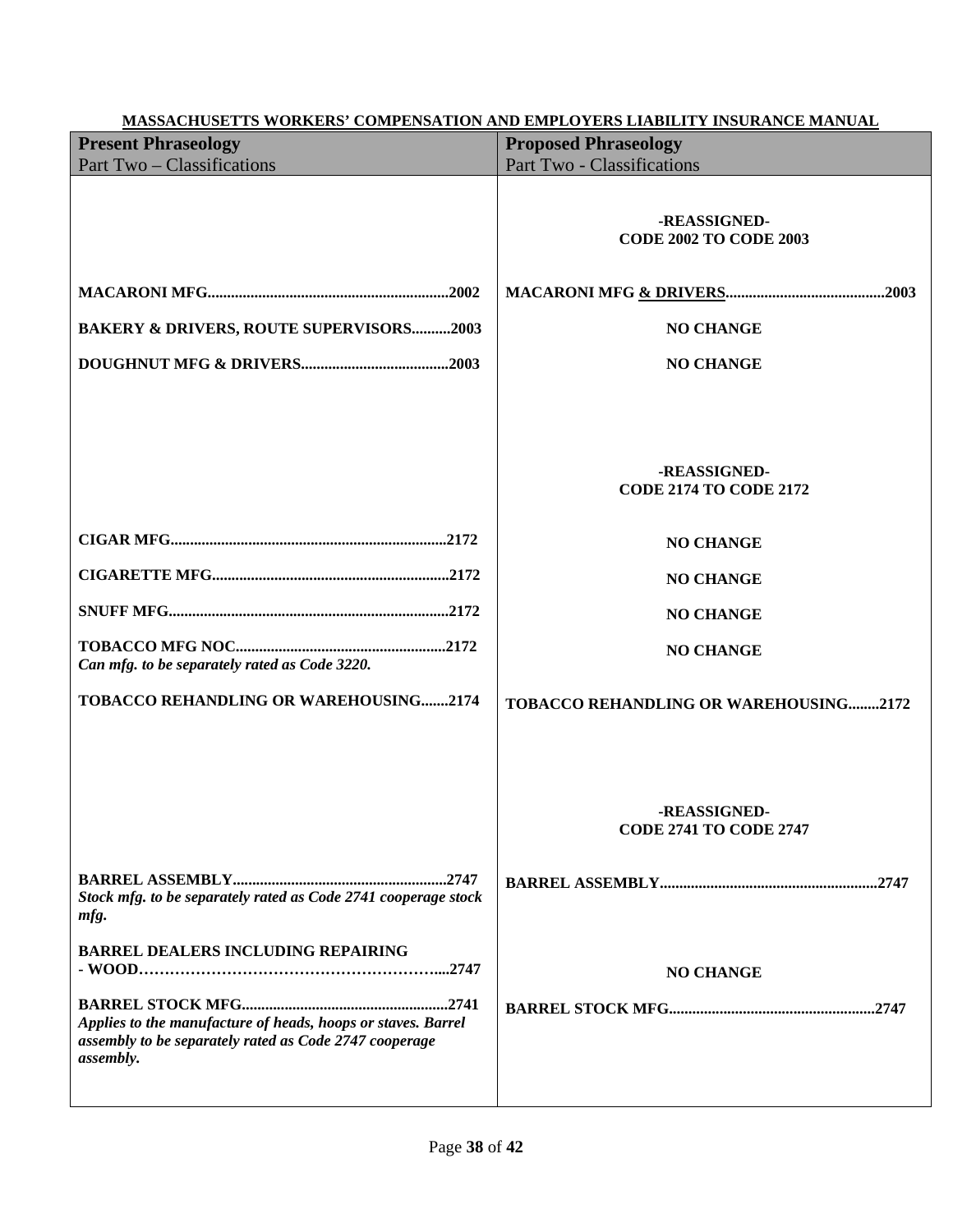| <b>MASSACHUSETTS WORKERS' COMPENSATION AND EMPLOYERS LIABILITY INSURANCE MANUAL</b>                                                 |                                               |  |
|-------------------------------------------------------------------------------------------------------------------------------------|-----------------------------------------------|--|
| <b>Present Phraseology</b>                                                                                                          | <b>Proposed Phraseology</b>                   |  |
| Part Two – Classifications                                                                                                          | Part Two - Classifications                    |  |
|                                                                                                                                     | -REASSIGNED-<br><b>CODE 2002 TO CODE 2003</b> |  |
|                                                                                                                                     |                                               |  |
| <b>BAKERY &amp; DRIVERS, ROUTE SUPERVISORS2003</b>                                                                                  | <b>NO CHANGE</b>                              |  |
|                                                                                                                                     | <b>NO CHANGE</b>                              |  |
|                                                                                                                                     | -REASSIGNED-<br><b>CODE 2174 TO CODE 2172</b> |  |
|                                                                                                                                     | <b>NO CHANGE</b>                              |  |
|                                                                                                                                     | <b>NO CHANGE</b>                              |  |
|                                                                                                                                     | <b>NO CHANGE</b>                              |  |
| Can mfg. to be separately rated as Code 3220.                                                                                       | <b>NO CHANGE</b>                              |  |
| TOBACCO REHANDLING OR WAREHOUSING2174                                                                                               | TOBACCO REHANDLING OR WAREHOUSING2172         |  |
|                                                                                                                                     | -REASSIGNED-<br><b>CODE 2741 TO CODE 2747</b> |  |
| Stock mfg. to be separately rated as Code 2741 cooperage stock<br>mfg.                                                              |                                               |  |
| <b>BARREL DEALERS INCLUDING REPAIRING</b>                                                                                           | <b>NO CHANGE</b>                              |  |
| Applies to the manufacture of heads, hoops or staves. Barrel<br>assembly to be separately rated as Code 2747 cooperage<br>assembly. |                                               |  |
|                                                                                                                                     |                                               |  |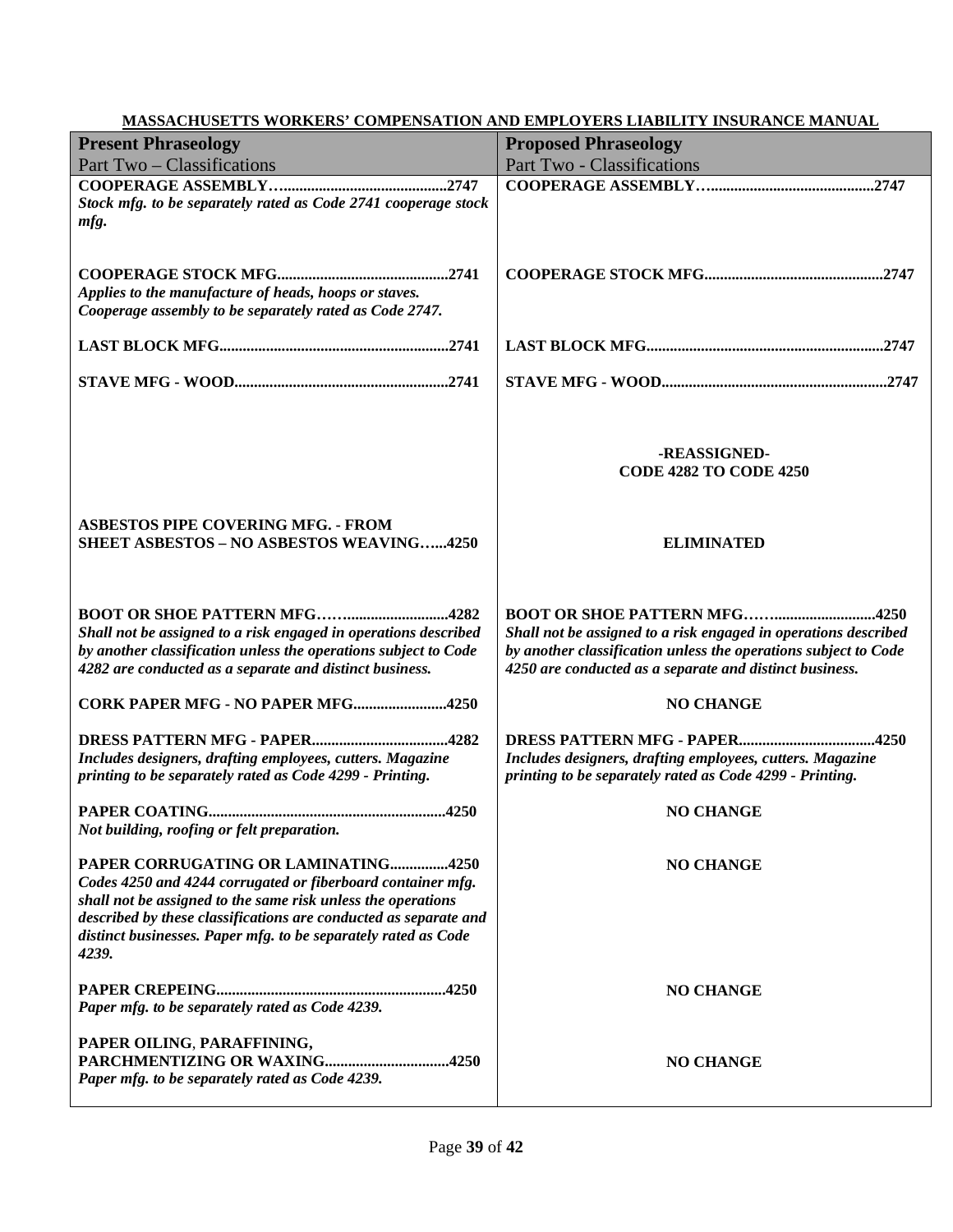#### **Present Phraseology** Part Two – Classifications **Proposed Phraseology** Part Two - Classifications **COOPERAGE ASSEMBLY…..........................................2747** *Stock mfg. to be separately rated as Code 2741 cooperage stock mfg.* **COOPERAGE STOCK MFG............................................2741** *Applies to the manufacture of heads, hoops or staves. Cooperage assembly to be separately rated as Code 2747.* **LAST BLOCK MFG...........................................................2741 STAVE MFG - WOOD.......................................................2741 ASBESTOS PIPE COVERING MFG. - FROM SHEET ASBESTOS – NO ASBESTOS WEAVING…...4250 BOOT OR SHOE PATTERN MFG……..........................4282** *Shall not be assigned to a risk engaged in operations described by another classification unless the operations subject to Code 4282 are conducted as a separate and distinct business.* **CORK PAPER MFG - NO PAPER MFG........................4250 DRESS PATTERN MFG - PAPER...................................4282** *Includes designers, drafting employees, cutters. Magazine printing to be separately rated as Code 4299 - Printing.* **PAPER COATING.............................................................4250** *Not building, roofing or felt preparation.* **PAPER CORRUGATING OR LAMINATING...............4250** *Codes 4250 and 4244 corrugated or fiberboard container mfg. shall not be assigned to the same risk unless the operations described by these classifications are conducted as separate and distinct businesses. Paper mfg. to be separately rated as Code 4239.* **PAPER CREPEING...........................................................4250** *Paper mfg. to be separately rated as Code 4239.* **PAPER OILING**, **PARAFFINING, PARCHMENTIZING OR WAXING................................4250** *Paper mfg. to be separately rated as Code 4239.* **COOPERAGE ASSEMBLY…..........................................2747 COOPERAGE STOCK MFG..............................................2747 LAST BLOCK MFG.............................................................2747 STAVE MFG - WOOD..........................................................2747 -REASSIGNED-CODE 4282 TO CODE 4250 ELIMINATED BOOT OR SHOE PATTERN MFG……..........................4250** *Shall not be assigned to a risk engaged in operations described by another classification unless the operations subject to Code 4250 are conducted as a separate and distinct business.* **NO CHANGE DRESS PATTERN MFG - PAPER...................................4250** *Includes designers, drafting employees, cutters. Magazine printing to be separately rated as Code 4299 - Printing.* **NO CHANGE NO CHANGE NO CHANGE NO CHANGE**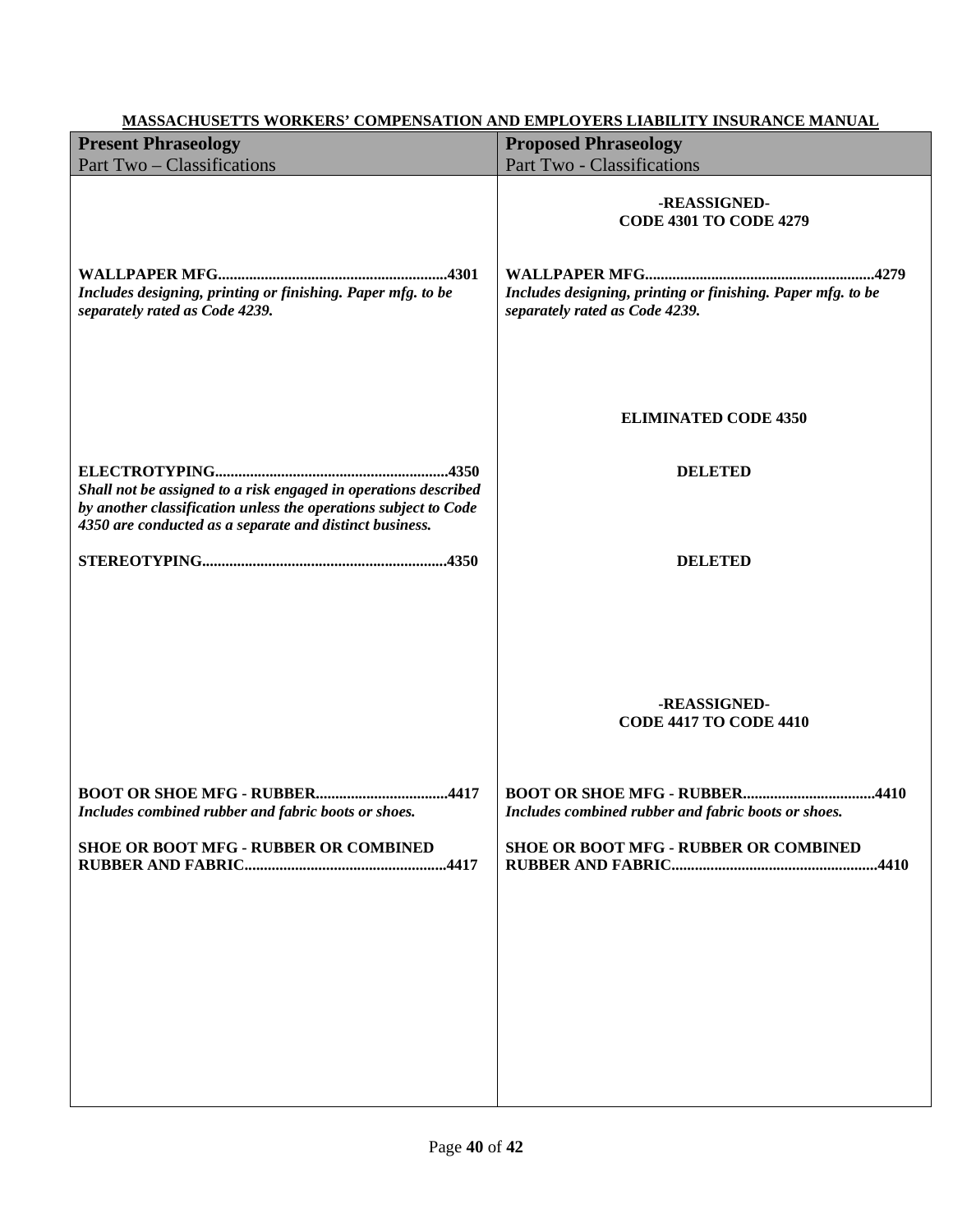| <b>Present Phraseology</b>                                                                                                 | <b>Proposed Phraseology</b>                                                                                                                    |
|----------------------------------------------------------------------------------------------------------------------------|------------------------------------------------------------------------------------------------------------------------------------------------|
| Part Two - Classifications                                                                                                 | <b>Part Two - Classifications</b>                                                                                                              |
| Includes designing, printing or finishing. Paper mfg. to be<br>separately rated as Code 4239.                              | -REASSIGNED-<br><b>CODE 4301 TO CODE 4279</b><br>Includes designing, printing or finishing. Paper mfg. to be<br>separately rated as Code 4239. |
| Shall not be assigned to a risk engaged in operations described                                                            | <b>ELIMINATED CODE 4350</b><br><b>DELETED</b>                                                                                                  |
| by another classification unless the operations subject to Code<br>4350 are conducted as a separate and distinct business. | <b>DELETED</b>                                                                                                                                 |
|                                                                                                                            | -REASSIGNED-<br><b>CODE 4417 TO CODE 4410</b>                                                                                                  |
| Includes combined rubber and fabric boots or shoes.                                                                        | Includes combined rubber and fabric boots or shoes.                                                                                            |
| <b>SHOE OR BOOT MFG - RUBBER OR COMBINED</b>                                                                               | <b>SHOE OR BOOT MFG - RUBBER OR COMBINED</b>                                                                                                   |
|                                                                                                                            |                                                                                                                                                |
|                                                                                                                            |                                                                                                                                                |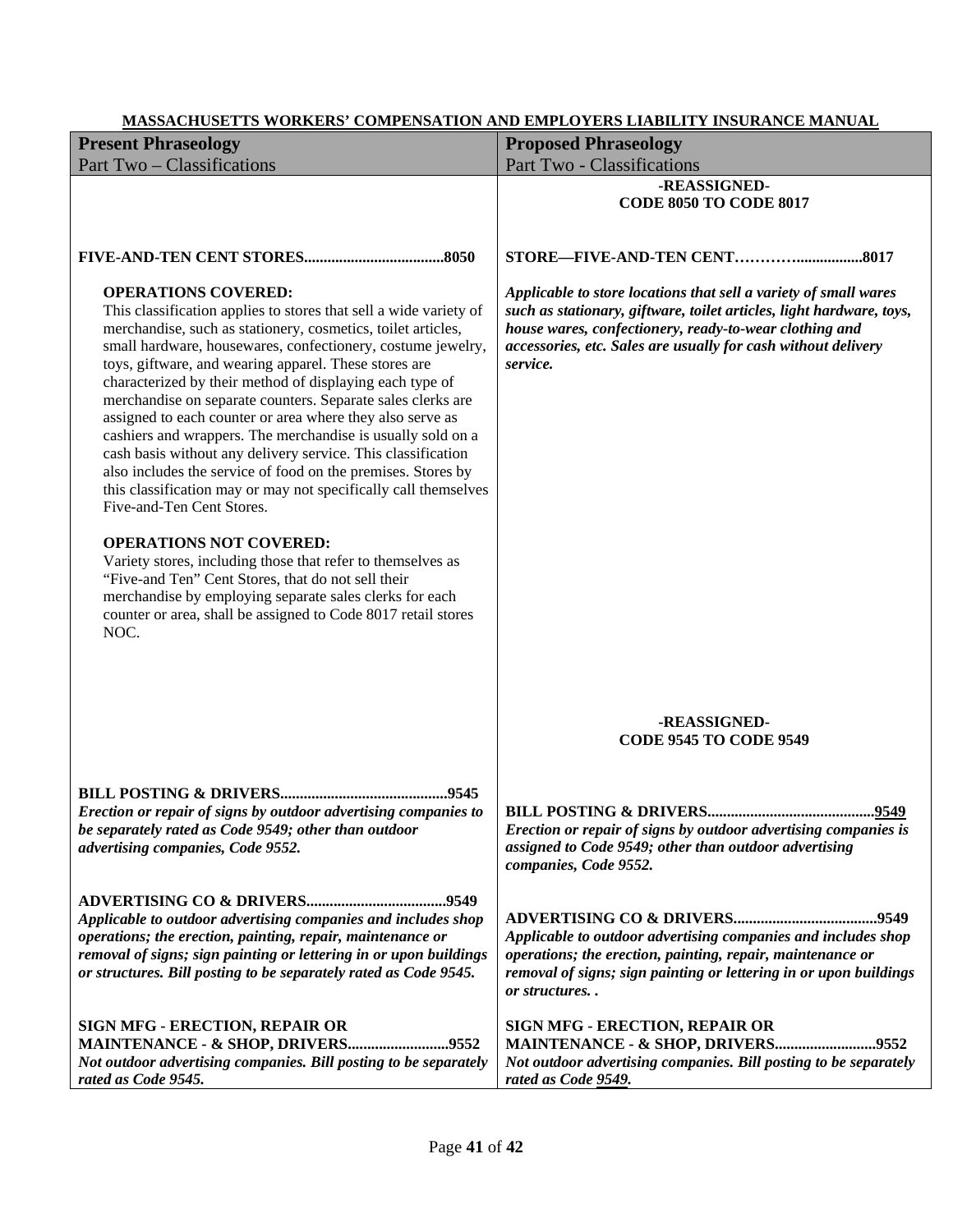| <b>Present Phraseology</b>                                                                                                                                                                                                                                                                                                                                                                                                                                                                                                                                                                                                                                                                                                                                                                                                                                                                                                                                                                                                                                                | <b>Proposed Phraseology</b>                                                                                                                                                                                                                                                     |
|---------------------------------------------------------------------------------------------------------------------------------------------------------------------------------------------------------------------------------------------------------------------------------------------------------------------------------------------------------------------------------------------------------------------------------------------------------------------------------------------------------------------------------------------------------------------------------------------------------------------------------------------------------------------------------------------------------------------------------------------------------------------------------------------------------------------------------------------------------------------------------------------------------------------------------------------------------------------------------------------------------------------------------------------------------------------------|---------------------------------------------------------------------------------------------------------------------------------------------------------------------------------------------------------------------------------------------------------------------------------|
| Part Two - Classifications                                                                                                                                                                                                                                                                                                                                                                                                                                                                                                                                                                                                                                                                                                                                                                                                                                                                                                                                                                                                                                                | Part Two - Classifications                                                                                                                                                                                                                                                      |
|                                                                                                                                                                                                                                                                                                                                                                                                                                                                                                                                                                                                                                                                                                                                                                                                                                                                                                                                                                                                                                                                           | -REASSIGNED-<br><b>CODE 8050 TO CODE 8017</b>                                                                                                                                                                                                                                   |
|                                                                                                                                                                                                                                                                                                                                                                                                                                                                                                                                                                                                                                                                                                                                                                                                                                                                                                                                                                                                                                                                           |                                                                                                                                                                                                                                                                                 |
| <b>OPERATIONS COVERED:</b><br>This classification applies to stores that sell a wide variety of<br>merchandise, such as stationery, cosmetics, toilet articles,<br>small hardware, housewares, confectionery, costume jewelry,<br>toys, giftware, and wearing apparel. These stores are<br>characterized by their method of displaying each type of<br>merchandise on separate counters. Separate sales clerks are<br>assigned to each counter or area where they also serve as<br>cashiers and wrappers. The merchandise is usually sold on a<br>cash basis without any delivery service. This classification<br>also includes the service of food on the premises. Stores by<br>this classification may or may not specifically call themselves<br>Five-and-Ten Cent Stores.<br><b>OPERATIONS NOT COVERED:</b><br>Variety stores, including those that refer to themselves as<br>"Five-and Ten" Cent Stores, that do not sell their<br>merchandise by employing separate sales clerks for each<br>counter or area, shall be assigned to Code 8017 retail stores<br>NOC. | Applicable to store locations that sell a variety of small wares<br>such as stationary, giftware, toilet articles, light hardware, toys,<br>house wares, confectionery, ready-to-wear clothing and<br>accessories, etc. Sales are usually for cash without delivery<br>service. |
|                                                                                                                                                                                                                                                                                                                                                                                                                                                                                                                                                                                                                                                                                                                                                                                                                                                                                                                                                                                                                                                                           | -REASSIGNED-<br><b>CODE 9545 TO CODE 9549</b>                                                                                                                                                                                                                                   |
| Erection or repair of signs by outdoor advertising companies to<br>be separately rated as Code 9549; other than outdoor<br>advertising companies, Code 9552.                                                                                                                                                                                                                                                                                                                                                                                                                                                                                                                                                                                                                                                                                                                                                                                                                                                                                                              | Erection or repair of signs by outdoor advertising companies is<br>assigned to Code 9549; other than outdoor advertising<br>companies, Code 9552.                                                                                                                               |
| Applicable to outdoor advertising companies and includes shop<br>operations; the erection, painting, repair, maintenance or<br>removal of signs; sign painting or lettering in or upon buildings<br>or structures. Bill posting to be separately rated as Code 9545.                                                                                                                                                                                                                                                                                                                                                                                                                                                                                                                                                                                                                                                                                                                                                                                                      | Applicable to outdoor advertising companies and includes shop<br>operations; the erection, painting, repair, maintenance or<br>removal of signs; sign painting or lettering in or upon buildings<br>or structures                                                               |
| SIGN MFG - ERECTION, REPAIR OR<br>MAINTENANCE - & SHOP, DRIVERS9552<br>Not outdoor advertising companies. Bill posting to be separately<br>rated as Code 9545.                                                                                                                                                                                                                                                                                                                                                                                                                                                                                                                                                                                                                                                                                                                                                                                                                                                                                                            | <b>SIGN MFG - ERECTION, REPAIR OR</b><br>MAINTENANCE - & SHOP, DRIVERS9552<br>Not outdoor advertising companies. Bill posting to be separately<br>rated as Code 9549.                                                                                                           |